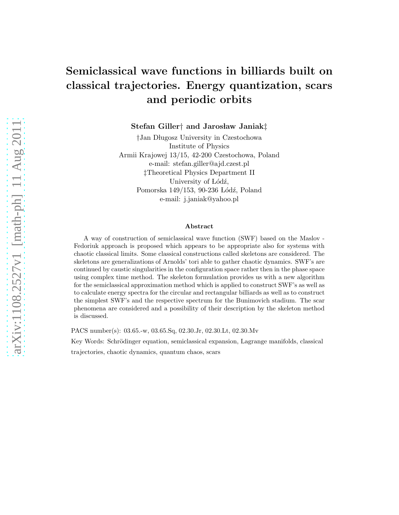# Semiclassical wave functions in billiards built on classical trajectories. Energy quantization, scars and periodic orbits

Stefan Giller<sup>†</sup> and Jarosław Janiak<sup>†</sup>

<sup>†</sup>Jan Długosz University in Czestochowa Institute of Physics Armii Krajowej 13/15, 42-200 Czestochowa, Poland e-mail: stefan.giller@ajd.czest.pl ‡Theoretical Physics Department II University of Lódź, Pomorska 149/153, 90-236 Łódź, Poland e-mail: j.janiak@yahoo.pl

#### Abstract

A way of construction of semiclassical wave function (SWF) based on the Maslov - Fedoriuk approach is proposed which appears to be appropriate also for systems with chaotic classical limits. Some classical constructions called skeletons are considered. The skeletons are generalizations of Arnolds' tori able to gather chaotic dynamics. SWF's are continued by caustic singularities in the configuration space rather then in the phase space using complex time method. The skeleton formulation provides us with a new algorithm for the semiclassical approximation method which is applied to construct SWF's as well as to calculate energy spectra for the circular and rectangular billiards as well as to construct the simplest SWF's and the respective spectrum for the Bunimovich stadium. The scar phenomena are considered and a possibility of their description by the skeleton method is discussed.

PACS number(s): 03.65.-w, 03.65.Sq, 02.30.Jr, 02.30.Lt, 02.30.Mv

Key Words: Schrödinger equation, semiclassical expansion, Lagrange manifolds, classical

trajectories, chaotic dynamics, quantum chaos, scars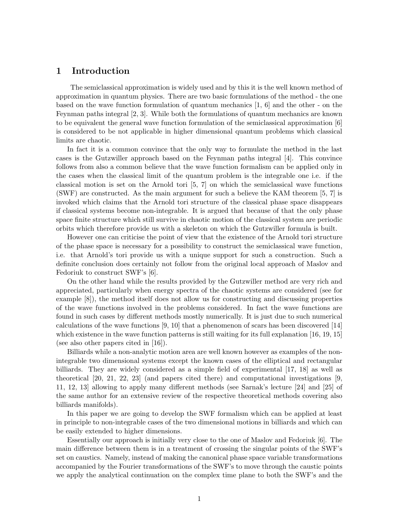### 1 Introduction

The semiclassical approximation is widely used and by this it is the well known method of approximation in quantum physics. There are two basic formulations of the method - the one based on the wave function formulation of quantum mechanics [1, 6] and the other - on the Feynman paths integral [2, 3]. While both the formulations of quantum mechanics are known to be equivalent the general wave function formulation of the semiclassical approximation [6] is considered to be not applicable in higher dimensional quantum problems which classical limits are chaotic.

In fact it is a common convince that the only way to formulate the method in the last cases is the Gutzwiller approach based on the Feynman paths integral [4]. This convince follows from also a common believe that the wave function formalism can be applied only in the cases when the classical limit of the quantum problem is the integrable one i.e. if the classical motion is set on the Arnold tori [5, 7] on which the semiclassical wave functions (SWF) are constructed. As the main argument for such a believe the KAM theorem [5, 7] is invoked which claims that the Arnold tori structure of the classical phase space disappears if classical systems become non-integrable. It is argued that because of that the only phase space finite structure which still survive in chaotic motion of the classical system are periodic orbits which therefore provide us with a skeleton on which the Gutzwiller formula is built.

However one can criticise the point of view that the existence of the Arnold tori structure of the phase space is necessary for a possibility to construct the semiclassical wave function, i.e. that Arnold's tori provide us with a unique support for such a construction. Such a definite conclusion does certainly not follow from the original local approach of Maslov and Fedoriuk to construct SWF's [6].

On the other hand while the results provided by the Gutzwiller method are very rich and appreciated, particularly when energy spectra of the chaotic systems are considered (see for example [8]), the method itself does not allow us for constructing and discussing properties of the wave functions involved in the problems considered. In fact the wave functions are found in such cases by different methods mostly numerically. It is just due to such numerical calculations of the wave functions [9, 10] that a phenomenon of scars has been discovered [14] which existence in the wave function patterns is still waiting for its full explanation [16, 19, 15] (see also other papers cited in [16]).

Billiards while a non-analytic motion area are well known however as examples of the nonintegrable two dimensional systems except the known cases of the elliptical and rectangular billiards. They are widely considered as a simple field of experimental [17, 18] as well as theoretical [20, 21, 22, 23] (and papers cited there) and computational investigations [9, 11, 12, 13] allowing to apply many different methods (see Sarnak's lecture [24] and [25] of the same author for an extensive review of the respective theoretical methods covering also billiards manifolds).

In this paper we are going to develop the SWF formalism which can be applied at least in principle to non-integrable cases of the two dimensional motions in billiards and which can be easily extended to higher dimensions.

Essentially our approach is initially very close to the one of Maslov and Fedoriuk [6]. The main difference between them is in a treatment of crossing the singular points of the SWF's set on caustics. Namely, instead of making the canonical phase space variable transformations accompanied by the Fourier transformations of the SWF's to move through the caustic points we apply the analytical continuation on the complex time plane to both the SWF's and the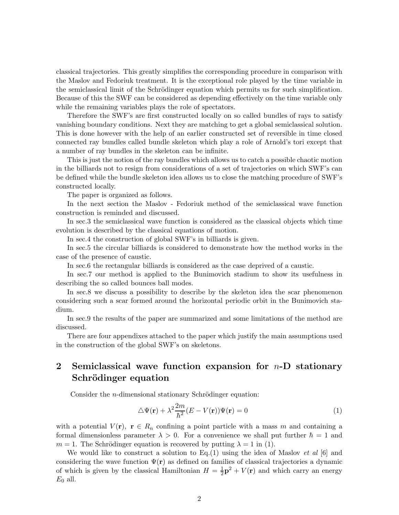classical trajectories. This greatly simplifies the corresponding procedure in comparison with the Maslov and Fedoriuk treatment. It is the exceptional role played by the time variable in the semiclassical limit of the Schrödinger equation which permits us for such simplification. Because of this the SWF can be considered as depending effectively on the time variable only while the remaining variables plays the role of spectators.

Therefore the SWF's are first constructed locally on so called bundles of rays to satisfy vanishing boundary conditions. Next they are matching to get a global semiclassical solution. This is done however with the help of an earlier constructed set of reversible in time closed connected ray bundles called bundle skeleton which play a role of Arnold's tori except that a number of ray bundles in the skeleton can be infinite.

This is just the notion of the ray bundles which allows us to catch a possible chaotic motion in the billiards not to resign from considerations of a set of trajectories on which SWF's can be defined while the bundle skeleton idea allows us to close the matching procedure of SWF's constructed locally.

The paper is organized as follows.

In the next section the Maslov - Fedoriuk method of the semiclassical wave function construction is reminded and discussed.

In sec.3 the semiclassical wave function is considered as the classical objects which time evolution is described by the classical equations of motion.

In sec.4 the construction of global SWF's in billiards is given.

In sec.5 the circular billiards is considered to demonstrate how the method works in the case of the presence of caustic.

In sec.6 the rectangular billiards is considered as the case deprived of a caustic.

In sec.7 our method is applied to the Bunimovich stadium to show its usefulness in describing the so called bounces ball modes.

In sec.8 we discuss a possibility to describe by the skeleton idea the scar phenomenon considering such a scar formed around the horizontal periodic orbit in the Bunimovich stadium.

In sec.9 the results of the paper are summarized and some limitations of the method are discussed.

There are four appendixes attached to the paper which justify the main assumptions used in the construction of the global SWF's on skeletons.

# 2 Semiclassical wave function expansion for  $n-D$  stationary Schrödinger equation

Consider the *n*-dimensional stationary Schrödinger equation:

$$
\Delta\Psi(\mathbf{r}) + \lambda^2 \frac{2m}{\hbar^2} (E - V(\mathbf{r})) \Psi(\mathbf{r}) = 0
$$
\n(1)

with a potential  $V(\mathbf{r}), \ \mathbf{r} \in R_n$  confining a point particle with a mass m and containing a formal dimensionless parameter  $\lambda > 0$ . For a convenience we shall put further  $\hbar = 1$  and  $m = 1$ . The Schrödinger equation is recovered by putting  $\lambda = 1$  in (1).

We would like to construct a solution to Eq.(1) using the idea of Maslov *et al* [6] and considering the wave function  $\Psi(\mathbf{r})$  as defined on families of classical trajectories a dynamic of which is given by the classical Hamiltonian  $H = \frac{1}{2}\mathbf{p}^2 + V(\mathbf{r})$  and which carry an energy  $E_0$  all.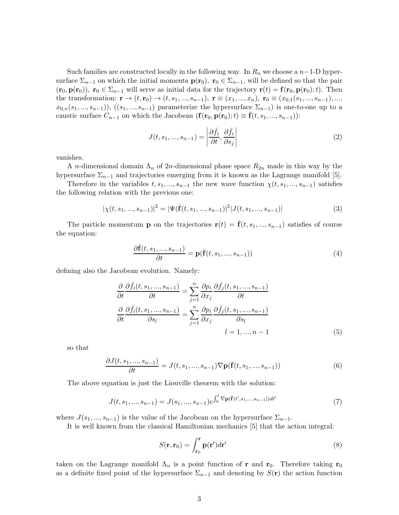Such families are constructed locally in the following way. In  $R_n$  we choose a  $n-1$ -D hypersurface  $\Sigma_{n-1}$  on which the initial momenta  $\mathbf{p}(\mathbf{r}_0)$ ,  $\mathbf{r}_0 \in \Sigma_{n-1}$ , will be defined so that the pair  $(\mathbf{r}_0, \mathbf{p}(\mathbf{r}_0))$ ,  $\mathbf{r}_0 \in \Sigma_{n-1}$  will serve as initial data for the trajectory  $\mathbf{r}(t) = \mathbf{f}(\mathbf{r}_0, \mathbf{p}(\mathbf{r}_0); t)$ . Then the transformation:  $\mathbf{r} \to (t, \mathbf{r}_0) \to (t, s_1, ..., s_{n-1}), \mathbf{r} \equiv (x_1, ..., x_n), \mathbf{r}_0 \equiv (x_{0,1}(s_1, ..., s_{n-1}), ...,$  $x_{0,n}(s_1, ..., s_{n-1}), ((s_1, ..., s_{n-1})$  parameterize the hypersurface  $\Sigma_{n-1}$ ) is one-to-one up to a caustic surface  $C_{n-1}$  on which the Jacobean  $({\bf f}(r_0, {\bf p}(r_0);t) \equiv {\bf f}(t, s_1, ..., s_{n-1}))$ :

$$
J(t, s_1, ..., s_{n-1}) = \left| \frac{\partial \bar{f}_i}{\partial t}, \frac{\partial \bar{f}_i}{\partial s_j} \right| \tag{2}
$$

vanishes.

A *n*-dimensional domain  $\Lambda_n$  of 2*n*-dimensional phase space  $R_{2n}$  made in this way by the hypersurface  $\Sigma_{n-1}$  and trajectories emerging from it is known as the Lagrange manifold [5].

Therefore in the variables  $t, s_1, ..., s_{n-1}$  the new wave function  $\chi(t, s_1, ..., s_{n-1})$  satisfies the following relation with the previous one:

$$
|\chi(t,s_1,...,s_{n-1})|^2 = |\Psi(\bar{\mathbf{f}}(t,s_1,...,s_{n-1})|^2 | J(t,s_1,...,s_{n-1})|
$$
\n(3)

The particle momentum **p** on the trajectories  $\mathbf{r}(t) = \mathbf{\bar{f}}(t, s_1, ..., s_{n-1})$  satisfies of course the equation:

$$
\frac{\partial \overline{\mathbf{f}}(t, s_1, ..., s_{n-1})}{\partial t} = \mathbf{p}(\overline{\mathbf{f}}(t, s_1, ..., s_{n-1}))
$$
\n(4)

defining also the Jacobean evolution. Namely:

$$
\frac{\partial}{\partial t} \frac{\partial \bar{f}_i(t, s_1, ..., s_{n-1})}{\partial t} = \sum_{j=1}^n \frac{\partial p_i}{\partial x_j} \frac{\partial \bar{f}_j(t, s_1, ..., s_{n-1})}{\partial t}
$$

$$
\frac{\partial}{\partial t} \frac{\partial \bar{f}_i(t, s_1, ..., s_{n-1})}{\partial s_l} = \sum_{j=1}^n \frac{\partial p_i}{\partial x_j} \frac{\partial \bar{f}_j(t, s_1, ..., s_{n-1})}{\partial s_l}
$$

$$
l = 1, ..., n-1
$$
(5)

so that

$$
\frac{\partial J(t, s_1, ..., s_{n-1})}{\partial t} = J(t, s_1, ..., s_{n-1}) \nabla \mathbf{p}(\bar{\mathbf{f}}(t, s_1, ..., s_{n-1}))
$$
(6)

The above equation is just the Liouville theorem with the solution:

$$
J(t, s_1, ..., s_{n-1}) = J(s_1, ..., s_{n-1})e^{\int_0^t \nabla \mathbf{p}(\bar{\mathbf{f}}(t', s_1, ..., s_{n-1}))dt'}
$$
(7)

where  $J(s_1, ..., s_{n-1})$  is the value of the Jacobean on the hypersurface  $\Sigma_{n-1}$ .

It is well known from the classical Hamiltonian mechanics [5] that the action integral:

$$
S(\mathbf{r}, \mathbf{r}_0) = \int_{\mathbf{r}_0}^{\mathbf{r}} \mathbf{p}(\mathbf{r}') d\mathbf{r}'
$$
 (8)

taken on the Lagrange manifold  $\Lambda_n$  is a point function of r and r<sub>0</sub>. Therefore taking r<sub>0</sub> as a definite fixed point of the hypersurface  $\Sigma_{n-1}$  and denoting by  $S(\mathbf{r})$  the action function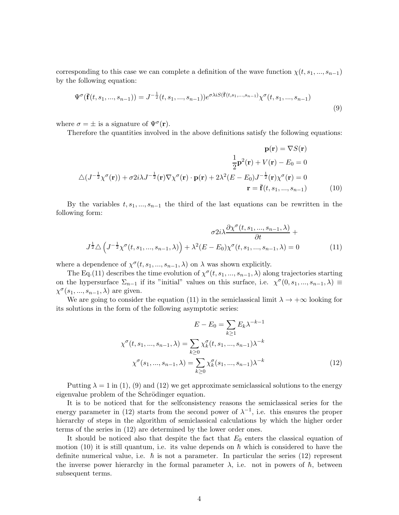corresponding to this case we can complete a definition of the wave function  $\chi(t, s_1, ..., s_{n-1})$ by the following equation:

$$
\Psi^{\sigma}(\bar{\mathbf{f}}(t,s_1,...,s_{n-1})) = J^{-\frac{1}{2}}(t,s_1,...,s_{n-1}))e^{\sigma\lambda iS(\bar{\mathbf{f}}(t,s_1,...,s_{n-1})}\chi^{\sigma}(t,s_1,...,s_{n-1})
$$
\n(9)

where  $\sigma = \pm$  is a signature of  $\Psi^{\sigma}(\mathbf{r})$ .

Therefore the quantities involved in the above definitions satisfy the following equations:

$$
\mathbf{p}(\mathbf{r}) = \nabla S(\mathbf{r})
$$

$$
\frac{1}{2}\mathbf{p}^2(\mathbf{r}) + V(\mathbf{r}) - E_0 = 0
$$

$$
\Delta(J^{-\frac{1}{2}}\chi^{\sigma}(\mathbf{r})) + \sigma 2i\lambda J^{-\frac{1}{2}}(\mathbf{r})\nabla\chi^{\sigma}(\mathbf{r}) \cdot \mathbf{p}(\mathbf{r}) + 2\lambda^2(E - E_0)J^{-\frac{1}{2}}(\mathbf{r})\chi^{\sigma}(\mathbf{r}) = 0
$$

$$
\mathbf{r} = \bar{\mathbf{f}}(t, s_1, ..., s_{n-1})
$$
(10)

By the variables  $t, s_1, ..., s_{n-1}$  the third of the last equations can be rewritten in the following form:

$$
\sigma 2i\lambda \frac{\partial \chi^{\sigma}(t, s_1, ..., s_{n-1}, \lambda)}{\partial t} + J^{\frac{1}{2}} \Delta \left( J^{-\frac{1}{2}} \chi^{\sigma}(t, s_1, ..., s_{n-1}, \lambda) \right) + \lambda^2 (E - E_0) \chi^{\sigma}(t, s_1, ..., s_{n-1}, \lambda) = 0 \tag{11}
$$

where a dependence of  $\chi^{\sigma}(t, s_1, ..., s_{n-1}, \lambda)$  on  $\lambda$  was shown explicitly.

The Eq.(11) describes the time evolution of  $\chi^{\sigma}(t, s_1, ..., s_{n-1}, \lambda)$  along trajectories starting on the hypersurface  $\Sigma_{n-1}$  if its "initial" values on this surface, i.e.  $\chi^{\sigma}(0, s_1, ..., s_{n-1}, \lambda) \equiv$  $\chi^{\sigma}(s_1, ..., s_{n-1}, \lambda)$  are given.

We are going to consider the equation (11) in the semiclassical limit  $\lambda \to +\infty$  looking for its solutions in the form of the following asymptotic series:

$$
E - E_0 = \sum_{k \ge 1} E_k \lambda^{-k-1}
$$
  

$$
\chi^{\sigma}(t, s_1, ..., s_{n-1}, \lambda) = \sum_{k \ge 0} \chi_k^{\sigma}(t, s_1, ..., s_{n-1}) \lambda^{-k}
$$
  

$$
\chi^{\sigma}(s_1, ..., s_{n-1}, \lambda) = \sum_{k \ge 0} \chi_k^{\sigma}(s_1, ..., s_{n-1}) \lambda^{-k}
$$
(12)

Putting  $\lambda = 1$  in (1), (9) and (12) we get approximate semiclassical solutions to the energy eigenvalue problem of the Schrödinger equation.

It is to be noticed that for the selfconsistency reasons the semiclassical series for the energy parameter in (12) starts from the second power of  $\lambda^{-1}$ , i.e. this ensures the proper hierarchy of steps in the algorithm of semiclassical calculations by which the higher order terms of the series in (12) are determined by the lower order ones.

It should be noticed also that despite the fact that  $E_0$  enters the classical equation of motion (10) it is still quantum, i.e. its value depends on  $\hbar$  which is considered to have the definite numerical value, i.e.  $\hbar$  is not a parameter. In particular the series (12) represent the inverse power hierarchy in the formal parameter  $\lambda$ , i.e. not in powers of  $\hbar$ , between subsequent terms.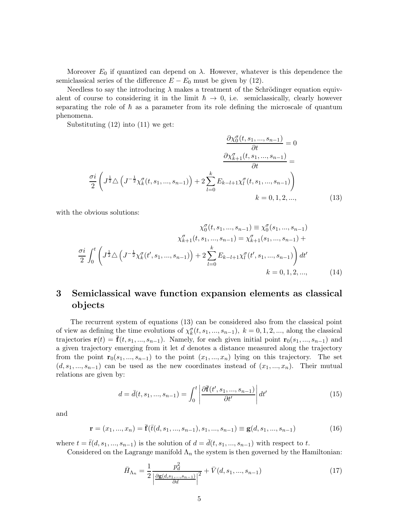Moreover  $E_0$  if quantized can depend on  $\lambda$ . However, whatever is this dependence the semiclassical series of the difference  $E - E_0$  must be given by (12).

Needless to say the introducing  $\lambda$  makes a treatment of the Schrödinger equation equivalent of course to considering it in the limit  $\hbar \to 0$ , i.e. semiclassically, clearly however separating the role of  $\hbar$  as a parameter from its role defining the microscale of quantum phenomena.

Substituting (12) into (11) we get:

$$
\frac{\partial \chi_0^{\sigma}(t, s_1, ..., s_{n-1})}{\partial t} = 0
$$

$$
\frac{\partial \chi_{k+1}^{\sigma}(t, s_1, ..., s_{n-1})}{\partial t} = \frac{\frac{\partial \chi_{k+1}^{\sigma}(t, s_1, ..., s_{n-1})}{\partial t}}{k} = \frac{\frac{\partial i}{\partial s} \left( J^{\frac{1}{2}} \triangle \left( J^{-\frac{1}{2}} \chi_k^{\sigma}(t, s_1, ..., s_{n-1}) \right) + 2 \sum_{l=0}^{k} E_{k-l+1} \chi_l^{\sigma}(t, s_1, ..., s_{n-1}) \right)}{k} = 0, 1, 2, ..., \tag{13}
$$

with the obvious solutions:

$$
\chi_0^{\sigma}(t, s_1, ..., s_{n-1}) \equiv \chi_0^{\sigma}(s_1, ..., s_{n-1})
$$

$$
\chi_{k+1}^{\sigma}(t, s_1, ..., s_{n-1}) = \chi_{k+1}^{\sigma}(s_1, ..., s_{n-1}) + \frac{\sigma i}{2} \int_0^t \left( J^{\frac{1}{2}} \triangle \left( J^{-\frac{1}{2}} \chi_k^{\sigma}(t', s_1, ..., s_{n-1}) \right) + 2 \sum_{l=0}^k E_{k-l+1} \chi_l^{\sigma}(t', s_1, ..., s_{n-1}) \right) dt'
$$

$$
k = 0, 1, 2, ..., \qquad (14)
$$

# 3 Semiclassical wave function expansion elements as classical objects

The recurrent system of equations (13) can be considered also from the classical point of view as defining the time evolutions of  $\chi^{\sigma}_k(t, s_1, ..., s_{n-1}), k = 0, 1, 2, ...,$  along the classical trajectories  $\mathbf{r}(t) = \mathbf{f}(t, s_1, ..., s_{n-1})$ . Namely, for each given initial point  $\mathbf{r}_0(s_1, ..., s_{n-1})$  and a given trajectory emerging from it let d denotes a distance measured along the trajectory from the point  $\mathbf{r}_0(s_1, ..., s_{n-1})$  to the point  $(x_1, ..., x_n)$  lying on this trajectory. The set  $(d, s_1, ..., s_{n-1})$  can be used as the new coordinates instead of  $(x_1, ..., x_n)$ . Their mutual relations are given by:

$$
d = \bar{d}(t, s_1, ..., s_{n-1}) = \int_0^t \left| \frac{\partial \bar{\mathbf{f}}(t', s_1, ..., s_{n-1})}{\partial t'} \right| dt'
$$
(15)

and

$$
\mathbf{r} = (x_1, ..., x_n) = \overline{\mathbf{f}}(\overline{t}(d, s_1, ..., s_{n-1}), s_1, ..., s_{n-1}) \equiv \mathbf{g}(d, s_1, ..., s_{n-1})
$$
(16)

where  $t = \overline{t}(d, s_1, ..., s_{n-1})$  is the solution of  $d = \overline{d}(t, s_1, ..., s_{n-1})$  with respect to t.

Considered on the Lagrange manifold  $\Lambda_n$  the system is then governed by the Hamiltonian:

$$
\bar{H}_{\Lambda_n} = \frac{1}{2} \frac{p_d^2}{\left| \frac{\partial \mathbf{g}(d, s_1, \dots, s_{n-1})}{\partial d} \right|^2} + \bar{V}(d, s_1, \dots, s_{n-1})
$$
\n(17)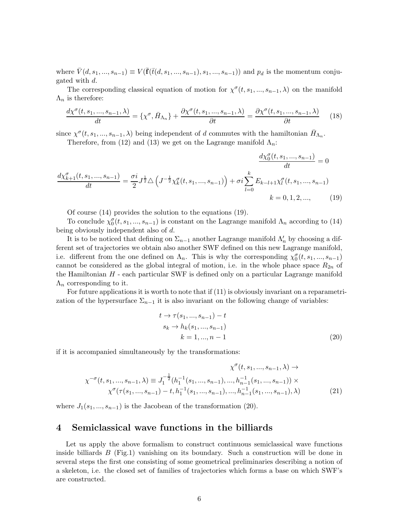where  $\bar{V}(d, s_1, ..., s_{n-1}) \equiv V(\bar{\mathbf{f}}(\bar{t}(d, s_1, ..., s_{n-1}), s_1, ..., s_{n-1}))$  and  $p_d$  is the momentum conjugated with d.

The corresponding classical equation of motion for  $\chi^{\sigma}(t, s_1, ..., s_{n-1}, \lambda)$  on the manifold  $\Lambda_n$  is therefore:

$$
\frac{d\chi^{\sigma}(t,s_{1},...,s_{n-1},\lambda)}{dt} = \{\chi^{\sigma},\bar{H}_{\Lambda_{n}}\} + \frac{\partial\chi^{\sigma}(t,s_{1},...,s_{n-1},\lambda)}{\partial t} = \frac{\partial\chi^{\sigma}(t,s_{1},...,s_{n-1},\lambda)}{\partial t}
$$
(18)

since  $\chi^{\sigma}(t, s_1, ..., s_{n-1}, \lambda)$  being independent of d commutes with the hamiltonian  $\bar{H}_{\Lambda_n}$ .

Therefore, from (12) and (13) we get on the Lagrange manifold  $\Lambda_n$ :

$$
\frac{d\chi_{b+1}^{\sigma}(t,s_{1},...,s_{n-1})}{dt} = \frac{\sigma i}{2}J^{\frac{1}{2}}\Delta\left(J^{-\frac{1}{2}}\chi_{k}^{\sigma}(t,s_{1},...,s_{n-1})\right) + \sigma i\sum_{l=0}^{k}E_{k-l+1}\chi_{l}^{\sigma}(t,s_{1},...,s_{n-1})
$$
\n
$$
k = 0, 1, 2, ..., \qquad (19)
$$

Of course (14) provides the solution to the equations (19).

To conclude  $\chi_0^{\sigma}(t, s_1, ..., s_{n-1})$  is constant on the Lagrange manifold  $\Lambda_n$  according to (14) being obviously independent also of d.

It is to be noticed that defining on  $\Sigma_{n-1}$  another Lagrange manifold  $\Lambda'_n$  by choosing a different set of trajectories we obtain also another SWF defined on this new Lagrange manifold, i.e. different from the one defined on  $\Lambda_n$ . This is why the corresponding  $\chi_0^{\sigma}(t, s_1, ..., s_{n-1})$ cannot be considered as the global integral of motion, i.e. in the whole phace space  $R_{2n}$  of the Hamiltonian  $H$  - each particular SWF is defined only on a particular Lagrange manifold  $\Lambda_n$  corresponding to it.

For future applications it is worth to note that if (11) is obviously invariant on a reparametrization of the hypersurface  $\Sigma_{n-1}$  it is also invariant on the following change of variables:

$$
t \to \tau(s_1, ..., s_{n-1}) - t
$$
  
\n
$$
s_k \to h_k(s_1, ..., s_{n-1})
$$
  
\n
$$
k = 1, ..., n - 1
$$
 (20)

if it is accompanied simultaneously by the transformations:

$$
\chi^{\sigma}(t, s_1, ..., s_{n-1}, \lambda) \to
$$
  
\n
$$
\chi^{\sigma}(t, s_1, ..., s_{n-1}, \lambda) \equiv J_1^{-\frac{1}{2}}(h_1^{-1}(s_1, ..., s_{n-1}), ..., h_{n-1}^{-1}(s_1, ..., s_{n-1})) \times
$$
  
\n
$$
\chi^{\sigma}(\tau(s_1, ..., s_{n-1}) - t, h_1^{-1}(s_1, ..., s_{n-1}), ..., h_{n-1}^{-1}(s_1, ..., s_{n-1}), \lambda)
$$
\n(21)

where  $J_1(s_1, ..., s_{n-1})$  is the Jacobean of the transformation (20).

#### 4 Semiclassical wave functions in the billiards

Let us apply the above formalism to construct continuous semiclassical wave functions inside billiards  $B$  (Fig.1) vanishing on its boundary. Such a construction will be done in several steps the first one consisting of some geometrical preliminaries describing a notion of a skeleton, i.e. the closed set of families of trajectories which forms a base on which SWF's are constructed.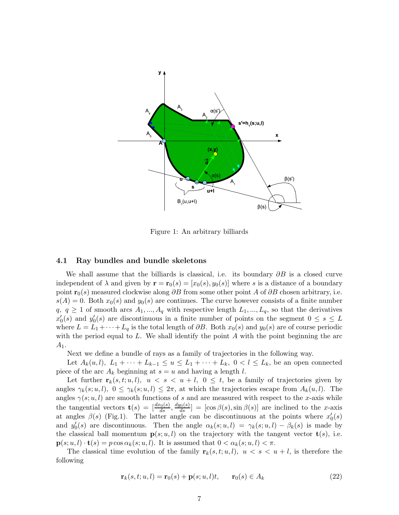

Figure 1: An arbitrary billiards

#### 4.1 Ray bundles and bundle skeletons

We shall assume that the billiards is classical, i.e. its boundary  $\partial B$  is a closed curve independent of  $\lambda$  and given by  $\mathbf{r} = \mathbf{r}_0(s) = [x_0(s), y_0(s)]$  where s is a distance of a boundary point  $\mathbf{r}_0(s)$  measured clockwise along ∂B from some other point A of ∂B chosen arbitrary, i.e.  $s(A) = 0$ . Both  $x_0(s)$  and  $y_0(s)$  are continues. The curve however consists of a finite number  $q, q \geq 1$  of smooth arcs  $A_1, ..., A_q$  with respective length  $L_1, ..., L_q$ , so that the derivatives  $x'_0(s)$  and  $y'_0(s)$  are discontinuous in a finite number of points on the segment  $0 \le s \le L$ where  $L = L_1 + \cdots + L_q$  is the total length of  $\partial B$ . Both  $x_0(s)$  and  $y_0(s)$  are of course periodic with the period equal to  $L$ . We shall identify the point  $A$  with the point beginning the arc  $A_1$ .

Next we define a bundle of rays as a family of trajectories in the following way.

Let  $A_k(u, l)$ ,  $L_1 + \cdots + L_{k-1} \le u \le L_1 + \cdots + L_k$ ,  $0 < l \le L_k$ , be an open connected piece of the arc  $A_k$  beginning at  $s = u$  and having a length l.

Let further  $\mathbf{r}_k(s,t;u,l)$ ,  $u < s < u + l$ ,  $0 \le t$ , be a family of trajectories given by angles  $\gamma_k(s; u, l)$ ,  $0 \leq \gamma_k(s; u, l) \leq 2\pi$ , at which the trajectories escape from  $A_k(u, l)$ . The angles  $\gamma(s; u, l)$  are smooth functions of s and are measured with respect to the x-axis while the tangential vectors  $\mathbf{t}(s) = \left[\frac{dx_0(s)}{ds}, \frac{dy_0(s)}{ds}\right] = \left[\cos \beta(s), \sin \beta(s)\right]$  are inclined to the x-axis at angles  $\beta(s)$  (Fig.1). The latter angle can be discontinuous at the points where  $x'_0(s)$ and  $y'_0(s)$  are discontinuous. Then the angle  $\alpha_k(s; u, l) = \gamma_k(s; u, l) - \beta_k(s)$  is made by the classical ball momentum  $p(s; u, l)$  on the trajectory with the tangent vector  $\mathbf{t}(s)$ , i.e.  $\mathbf{p}(s; u, l) \cdot \mathbf{t}(s) = p \cos \alpha_k(s; u, l)$ . It is assumed that  $0 < \alpha_k(s; u, l) < \pi$ .

The classical time evolution of the family  $r_k(s, t; u, l)$ ,  $u < s < u + l$ , is therefore the following

$$
\mathbf{r}_k(s,t;u,l) = \mathbf{r}_0(s) + \mathbf{p}(s;u,l)t, \qquad \mathbf{r}_0(s) \in A_k \tag{22}
$$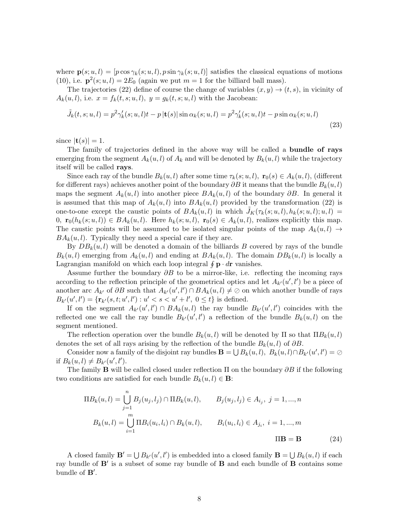where  $\mathbf{p}(s; u, l) = [p \cos \gamma_k(s; u, l), p \sin \gamma_k(s; u, l)]$  satisfies the classical equations of motions (10), i.e.  $\mathbf{p}^2(s; u, l) = 2E_0$  (again we put  $m = 1$  for the billiard ball mass).

The trajectories (22) define of course the change of variables  $(x, y) \rightarrow (t, s)$ , in vicinity of  $A_k(u, l)$ , i.e.  $x = f_k(t, s; u, l)$ ,  $y = g_k(t, s; u, l)$  with the Jacobean:

$$
\tilde{J}_k(t,s;u,l) = p^2 \gamma'_k(s;u,l)t - p\left|\mathbf{t}(s)\right| \sin \alpha_k(s;u,l) = p^2 \gamma'_k(s;u,l)t - p\sin \alpha_k(s;u,l)
$$
\n(23)

since  $|\mathbf{t}(s)| = 1$ .

The family of trajectories defined in the above way will be called a bundle of rays emerging from the segment  $A_k(u, l)$  of  $A_k$  and will be denoted by  $B_k(u, l)$  while the trajectory itself will be called rays.

Since each ray of the bundle  $B_k(u, l)$  after some time  $\tau_k(s; u, l)$ ,  $\mathbf{r}_0(s) \in A_k(u, l)$ , (different for different rays) achieves another point of the boundary  $\partial B$  it means that the bundle  $B_k(u, l)$ maps the segment  $A_k(u, l)$  into another piece  $BA_k(u, l)$  of the boundary  $\partial B$ . In general it is assumed that this map of  $A_k(u, l)$  into  $BA_k(u, l)$  provided by the transformation (22) is one-to-one except the caustic points of  $BA_k(u, l)$  in which  $J_K(\tau_k(s; u, l), h_k(s; u, l); u, l)$ 0,  $\mathbf{r}_0(h_k(s; u, l)) \in BA_k(u, l)$ . Here  $h_k(s; u, l)$ ,  $\mathbf{r}_0(s) \in A_k(u, l)$ , realizes explicitly this map. The caustic points will be assumed to be isolated singular points of the map  $A_k(u, l) \rightarrow$  $BA_k(u, l)$ . Typically they need a special care if they are.

By  $DB_k(u, l)$  will be denoted a domain of the billiards B covered by rays of the bundle  $B_k(u, l)$  emerging from  $A_k(u, l)$  and ending at  $B_k(u, l)$ . The domain  $DB_k(u, l)$  is locally a Lagrangian manifold on which each loop integral  $\oint \mathbf{p} \cdot d\mathbf{r}$  vanishes.

Assume further the boundary  $\partial B$  to be a mirror-like, i.e. reflecting the incoming rays according to the reflection principle of the geometrical optics and let  $A_{k'}(u',l')$  be a piece of another arc  $A_{k'}$  of  $\partial B$  such that  $A_{k'}(u', l') \cap BA_k(u, l) \neq \emptyset$  on which another bundle of rays  $B_{k'}(u', l') = \{ \mathbf{r}_{k'}(s, t; u', l') : u' < s < u' + l', 0 \leq t \}$  is defined.

If on the segment  $A_{k'}(u',l') \cap BA_k(u,l)$  the ray bundle  $B_{k'}(u',l')$  coincides with the reflected one we call the ray bundle  $B_{k'}(u', l')$  a reflection of the bundle  $B_k(u, l)$  on the segment mentioned.

The reflection operation over the bundle  $B_k(u, l)$  will be denoted by  $\Pi$  so that  $\Pi B_k(u, l)$ denotes the set of all rays arising by the reflection of the bundle  $B_k(u, l)$  of  $\partial B$ .

Consider now a family of the disjoint ray bundles  $\mathbf{B} = \bigcup B_k(u, l), B_k(u, l) \cap B_{k'}(u', l') = \emptyset$ if  $B_k(u, l) \neq B_{k'}(u', l').$ 

The family **B** will be called closed under reflection  $\Pi$  on the boundary  $\partial B$  if the following two conditions are satisfied for each bundle  $B_k(u, l) \in \mathbf{B}$ :

$$
\Pi B_k(u, l) = \bigcup_{j=1}^n B_j(u_j, l_j) \cap \Pi B_k(u, l), \qquad B_j(u_j, l_j) \in A_{i_j}, \ j = 1, ..., n
$$
  

$$
B_k(u, l) = \bigcup_{i=1}^m \Pi B_i(u_i, l_i) \cap B_k(u, l), \qquad B_i(u_i, l_i) \in A_{j_i}, \ i = 1, ..., m
$$
  

$$
\Pi \mathbf{B} = \mathbf{B}
$$
 (24)

A closed family  $\mathbf{B}' = \bigcup B_{k'}(u', l')$  is embedded into a closed family  $\mathbf{B} = \bigcup B_k(u, l)$  if each ray bundle of **B'** is a subset of some ray bundle of **B** and each bundle of **B** contains some bundle of B′ .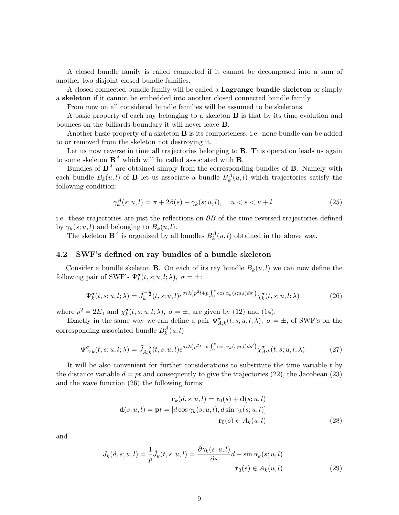A closed bundle family is called connected if it cannot be decomposed into a sum of another two disjoint closed bundle families.

A closed connected bundle family will be called a Lagrange bundle skeleton or simply a skeleton if it cannot be embedded into another closed connected bundle family.

From now on all considered bundle families will be assumed to be skeletons.

A basic property of each ray belonging to a skeleton B is that by its time evolution and bounces on the billiards boundary it will never leave B.

Another basic property of a skeleton B is its completeness, i.e. none bundle can be added to or removed from the skeleton not destroying it.

Let us now reverse in time all trajectories belonging to **B**. This operation leads us again to some skeleton  $\mathbf{B}^{A}$  which will be called associated with **B**.

Bundles of  $\mathbf{B}^A$  are obtained simply from the corresponding bundles of  $\mathbf{B}$ . Namely with each bundle  $B_k(u, l)$  of **B** let us associate a bundle  $B_k^A(u, l)$  which trajectories satisfy the following condition:

$$
\gamma_k^A(s; u, l) = \pi + 2\beta(s) - \gamma_k(s; u, l), \quad u < s < u + l \tag{25}
$$

i.e. these trajectories are just the reflections on  $\partial B$  of the time reversed trajectories defined by  $\gamma_k(s; u, l)$  and belonging to  $B_k(u, l)$ .

The skeleton  $\mathbf{B}^A$  is organized by all bundles  $B_k^A(u, l)$  obtained in the above way.

#### 4.2 SWF's defined on ray bundles of a bundle skeleton

Consider a bundle skeleton **B**. On each of its ray bundle  $B_k(u, l)$  we can now define the following pair of SWF's  $\Psi_k^{\sigma}(t, s; u, l; \lambda)$ ,  $\sigma = \pm$ :

$$
\Psi_k^{\sigma}(t,s;u,l;\lambda) = \tilde{J}_k^{-\frac{1}{2}}(t,s;u,l)e^{\sigma i\lambda(p^2t+p\int_0^s \cos\alpha_k(s;u,l)ds')}\chi_k^{\sigma}(t,s;u,l;\lambda)
$$
\n(26)

where  $p^2 = 2E_0$  and  $\chi^{\sigma}_k(t, s; u, l; \lambda)$ ,  $\sigma = \pm$ , are given by (12) and (14).

Exactly in the same way we can define a pair  $\Psi^{\sigma}_{A;k}(t,s;u,l;\lambda)$ ,  $\sigma = \pm$ , of SWF's on the corresponding associated bundle  $B_k^A(u, l)$ :

$$
\Psi_{A;k}^{\sigma}(t,s;u,l;\lambda) = \tilde{J}_{A;k}^{-\frac{1}{2}}(t,s;u,l)e^{\sigma i\lambda(p^2t-p\int_0^s \cos\alpha_k(s;u,l)ds')} \chi_{A;k}^{\sigma}(t,s;u,l;\lambda)
$$
(27)

It will be also convenient for further considerations to substitute the time variable t by the distance variable  $d = pt$  and consequently to give the trajectories (22), the Jacobean (23) and the wave function (26) the following forms:

$$
\mathbf{r}_k(d, s; u, l) = \mathbf{r}_0(s) + \mathbf{d}(s; u, l)
$$

$$
\mathbf{d}(s; u, l) = \mathbf{p}t = [d\cos\gamma_k(s; u, l), d\sin\gamma_k(s; u, l)]
$$

$$
\mathbf{r}_0(s) \in A_k(u, l)
$$
(28)

and

$$
J_k(d, s; u, l) = \frac{1}{p} \tilde{J}_k(t, s; u, l) = \frac{\partial \gamma_k(s; u, l)}{\partial s} d - \sin \alpha_k(s; u, l)
$$

$$
\mathbf{r}_0(s) \in A_k(u, l)
$$
(29)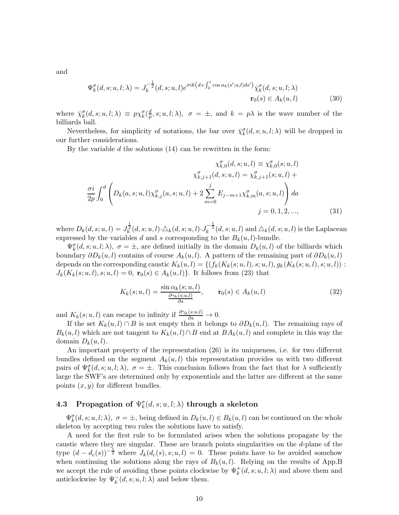and

$$
\Psi_k^{\sigma}(d,s;u,l;\lambda) = J_k^{-\frac{1}{2}}(d,s;u,l)e^{\sigma ik\left(d+\int_0^s \cos\alpha_k(s';u,l)ds'\right)}\overline{\chi}_k^{\sigma}(d,s;u,l;\lambda)
$$
\n
$$
\mathbf{r}_0(s) \in A_k(u,l) \tag{30}
$$

where  $\bar{\chi}_{k}^{\sigma}(d, s; u, l; \lambda) \equiv p \chi_{k}^{\sigma}(\frac{d}{p})$  $\frac{a}{p}, s; u, l; \lambda), \sigma = \pm$ , and  $k = p\lambda$  is the wave number of the billiards ball.

Nevertheless, for simplicity of notations, the bar over  $\bar{\chi}_k^{\sigma}(d, s; u, l; \lambda)$  will be dropped in our further considerations.

By the variable  $d$  the solutions  $(14)$  can be rewritten in the form:

$$
\chi_{k,0}^{\sigma}(d,s;u,l) \equiv \chi_{k,0}^{\sigma}(s;u,l)
$$

$$
\chi_{k,j+1}^{\sigma}(d,s;u,l) = \chi_{k,j+1}^{\sigma}(s;u,l) + \frac{\sigma i}{2p} \int_0^d \left( D_k(a,s;u,l) \chi_{k,j}^{\sigma}(a,s;u,l) + 2 \sum_{m=0}^j E_{j-m+1} \chi_{k,m}^{\sigma}(a,s;u,l) \right) da
$$

$$
j = 0, 1, 2, ..., \qquad (31)
$$

where  $D_k(d, s; u, l) = J_k^{\frac{1}{2}}(d, s; u, l) \cdot \Delta_k(d, s; u, l) \cdot J_k^{-\frac{1}{2}}(d, s; u, l)$  and  $\Delta_k(d, s; u, l)$  is the Laplacean expressed by the variables d and s corresponding to the  $B_k(u, l)$ -bundle.

 $\Psi_k^{\sigma}(d, s; u, l; \lambda), \sigma = \pm$ , are defined initially in the domain  $D_k(u, l)$  of the billiards which boundary  $\partial D_k(u, l)$  contains of course  $A_k(u, l)$ . A pattern of the remaining part of  $\partial D_k(u, l)$ depends on the corresponding caustic  $K_k(u, l) = \{(f_k(K_k(s; u, l), s; u, l), g_k(K_k(s; u, l), s; u, l))\}$  $J_k(K_k(s; u, l), s; u, l) = 0$ ,  $\mathbf{r}_0(s) \in A_k(u, l)$ . It follows from (23) that

$$
K_k(s; u, l) = \frac{\sin \alpha_k(s; u, l)}{\frac{\partial \gamma_k(s; u, l)}{\partial s}}, \qquad \mathbf{r}_0(s) \in A_k(u, l)
$$
\n(32)

and  $K_k(s; u, l)$  can escape to infinity if  $\frac{\partial \gamma_k(s; u, l)}{\partial s} \to 0$ .

If the set  $K_k(u, l) \cap B$  is not empty then it belongs to  $\partial D_k(u, l)$ . The remaining rays of  $B_k(u, l)$  which are not tangent to  $K_k(u, l) \cap B$  end at  $BA_k(u, l)$  and complete in this way the domain  $D_k(u, l)$ .

An important property of the representation (26) is its uniqueness, i.e. for two different bundles defined on the segment  $A_k(u, l)$  this representation provides us with two different pairs of  $\Psi_k^{\sigma}(d,s;u,l;\lambda)$ ,  $\sigma = \pm$ . This conclusion follows from the fact that for  $\lambda$  sufficiently large the SWF's are determined only by exponentials and the latter are different at the same points  $(x, y)$  for different bundles.

# 4.3 Propagation of  $\Psi^{\sigma}_k(d,s;u,l;\lambda)$  through a skeleton

 $\Psi_k^{\sigma}(d, s; u, l; \lambda), \sigma = \pm$ , being defined in  $D_k(u, l) \in B_k(u, l)$  can be continued on the whole skeleton by accepting two rules the solutions have to satisfy.

A need for the first rule to be formulated arises when the solutions propagate by the caustic where they are singular. These are branch points singularities on the d-plane of the type  $(d - d_c(s))^{-\frac{1}{2}}$  where  $J_k(d_c(s), s; u, l) = 0$ . These points have to be avoided somehow when continuing the solutions along the rays of  $B_k(u, l)$ . Relying on the results of App.B we accept the rule of avoiding these points clockwise by  $\Psi^+_k(d, s; u, l; \lambda)$  and above them and anticlockwise by  $\Psi_k^-(d, s; u, l; \lambda)$  and below them.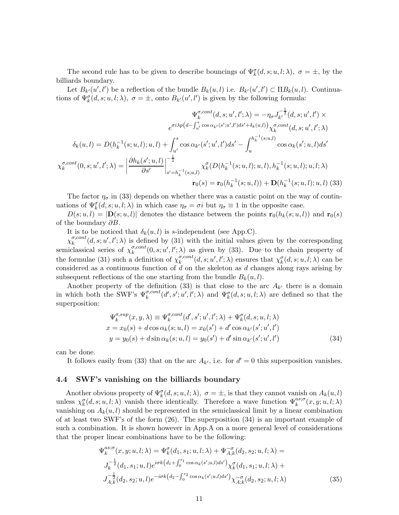The second rule has to be given to describe bouncings of  $\Psi_k^{\sigma}(d, s; u, l; \lambda)$ ,  $\sigma = \pm$ , by the billiards boundary.

Let  $B_{k'}(u',l')$  be a reflection of the bundle  $B_k(u,l)$  i.e.  $B_{k'}(u',l') \subset \Pi B_k(u,l)$ . Continuations of  $\Psi_k^{\sigma}(d, s; u, l; \lambda), \sigma = \pm$ , onto  $B_{k'}(u', l')$  is given by the following formula:

$$
\Psi_{k}^{\sigma, cont}(d, s; u', l'; \lambda) = -\eta_{\sigma} J_{k'}^{-\frac{1}{2}}(d, s; u', l') \times
$$
\n
$$
e^{\sigma i \lambda p (d - \int_{u'}^s \cos \alpha_{k'}(s'; u', l') ds' + \delta_{k}(u, l))} \chi_{k}^{\sigma, cont}(d, s; u', l'; \lambda)
$$
\n
$$
\delta_{k}(u, l) = D(h_{k}^{-1}(s; u, l); u, l) + \int_{u'}^{s} \cos \alpha_{k'}(s'; u', l') ds' - \int_{u}^{h_{k}^{-1}(s; u, l)} \cos \alpha_{k}(s'; u, l) ds'
$$
\n
$$
\chi_{k}^{\sigma, cont}(0, s; u', l'; \lambda) = \left| \frac{\partial h_{k}(s'; u, l)}{\partial s'} \right|_{s'=h_{k}^{-1}(s; u, l)}^{-\frac{1}{2}} \chi_{k}^{\sigma}(D(h_{k}^{-1}(s; u, l); u, l), h_{k}^{-1}(s; u, l); u, l; \lambda)
$$
\n
$$
\mathbf{r}_{0}(s) = \mathbf{r}_{0}(h_{k}^{-1}(s; u, l)) + \mathbf{D}(h_{k}^{-1}(s; u, l); u, l) \tag{33}
$$

The factor  $\eta_{\sigma}$  in (33) depends on whether there was a caustic point on the way of continuations of  $\Psi_k^{\sigma}(d, s; u, l; \lambda)$  in which case  $\eta_{\sigma} = \sigma i$  but  $\eta_{\sigma} \equiv 1$  in the opposite case.

 $D(s; u, l) = |\mathbf{D}(s; u, l)|$  denotes the distance between the points  $\mathbf{r}_0(h_k(s; u, l))$  and  $\mathbf{r}_0(s)$ of the boundary  $\partial B$ .

It is to be noticed that  $\delta_k(u, l)$  is s-independent (see App.C).

 $\chi_k^{\sigma, cont}(d, s; u', l'; \lambda)$  is defined by (31) with the initial values given by the corresponding k semiclassical series of  $\chi_k^{\sigma, cont}$  $\kappa_k^{\sigma, cont}(0, s; u', l'; \lambda)$  as given by (33). Due to the chain property of the formulae (31) such a definition of  $\chi_k^{\sigma, cont}$  $\chi_k^{\sigma,cont}(d, s; u', l'; \lambda)$  ensures that  $\chi_k^{\sigma}(d, s; u, l; \lambda)$  can be considered as a continuous function of  $d$  on the skeleton as  $d$  changes along rays arising by subsequent reflections of the one starting from the bundle  $B_k(u, l)$ .

Another property of the definition (33) is that close to the arc  $A_{k'}$  there is a domain in which both the SWF's  $\Psi_k^{\sigma, cont}(d', s'; u', l'; \lambda)$  and  $\Psi_k^{\sigma}(d, s; u, l; \lambda)$  are defined so that the superposition:

$$
\Psi_k^{\sigma,sup}(x,y,\lambda) \equiv \Psi_k^{\sigma,cont}(d',s';u',l';\lambda) + \Psi_k^{\sigma}(d,s;u,l;\lambda)
$$
  
\n
$$
x = x_0(s) + d\cos\alpha_k(s;u,l) = x_0(s') + d'\cos\alpha_{k'}(s';u',l')
$$
  
\n
$$
y = y_0(s) + d\sin\alpha_k(s;u,l) = y_0(s') + d'\sin\alpha_{k'}(s';u',l')
$$
\n(34)

can be done.

It follows easily from (33) that on the arc  $A_{k'}$ , i.e. for  $d' = 0$  this superposition vanishes.

#### 4.4 SWF's vanishing on the billiards boundary

Another obvious property of  $\Psi_k^{\sigma}(d, s; u, l; \lambda)$ ,  $\sigma = \pm$ , is that they cannot vanish on  $A_k(u, l)$ unless  $\chi_k^{\sigma}(d, s; u, l; \lambda)$  vanish there identically. Therefore a wave function  $\Psi_k^{as; \sigma}(x, y; u, l; \lambda)$ vanishing on  $A_k(u, l)$  should be represented in the semiclassical limit by a linear combination of at least two SWF's of the form (26). The superposition (34) is an important example of such a combination. It is shown however in App.A on a more general level of considerations that the proper linear combinations have to be the following:

$$
\Psi_k^{as;\sigma}(x, y; u, l; \lambda) = \Psi_k^{\sigma}(d_1, s_1; u, l; \lambda) + \Psi_{A;k}^{-\sigma}(d_2, s_2; u, l; \lambda) =
$$
\n
$$
J_k^{-\frac{1}{2}}(d_1, s_1; u, l)e^{i\sigma k\left(d_1 + \int_0^{s_1} \cos \alpha_k(s'; u, l)ds'\right)} \chi_k^{\sigma}(d_1, s_1; u, l; \lambda) +
$$
\n
$$
J_{A;k}^{-\frac{1}{2}}(d_2, s_2; u, l)e^{-i\sigma k\left(d_2 - \int_0^{s_2} \cos \alpha_k(s'; u, l)ds'\right)} \chi_{A;k}^{-\sigma}(d_2, s_2; u, l; \lambda)
$$
\n(35)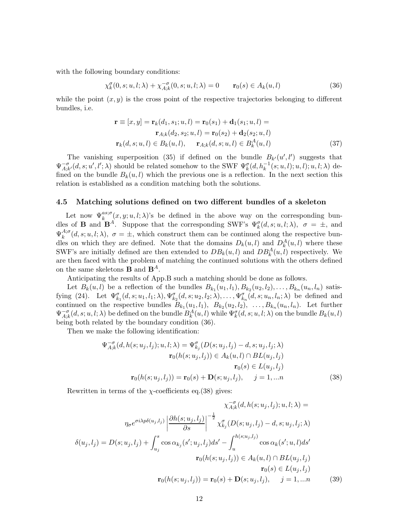with the following boundary conditions:

$$
\chi_k^{\sigma}(0, s; u, l; \lambda) + \chi_{A;k}^{-\sigma}(0, s; u, l; \lambda) = 0 \qquad \mathbf{r}_0(s) \in A_k(u, l)
$$
\n(36)

while the point  $(x, y)$  is the cross point of the respective trajectories belonging to different bundles, i.e.

$$
\mathbf{r} \equiv [x, y] = \mathbf{r}_k(d_1, s_1; u, l) = \mathbf{r}_0(s_1) + \mathbf{d}_1(s_1; u, l) =
$$
  
\n
$$
\mathbf{r}_{A;k}(d_2, s_2; u, l) = \mathbf{r}_0(s_2) + \mathbf{d}_2(s_2; u, l)
$$
  
\n
$$
\mathbf{r}_k(d, s; u, l) \in B_k(u, l), \quad \mathbf{r}_{A;k}(d, s; u, l) \in B_k^A(u, l)
$$
\n(37)

The vanishing superposition (35) if defined on the bundle  $B_{k'}(u',l')$  suggests that  $\Psi^{-\sigma}_{A \cdot k}$  $\overline{A}_{A;k'}^{\sigma}(d,s;u',l';\lambda)$  should be related somehow to the SWF  $\Psi_{k}^{\sigma}(d,h_k^{-1}(s;u,l);u,l);u,l;\lambda)$  defined on the bundle  $B_k(u, l)$  which the previous one is a reflection. In the next section this relation is established as a condition matching both the solutions.

#### 4.5 Matching solutions defined on two different bundles of a skeleton

Let now  $\Psi_k^{as;\sigma}(x,y;u,l;\lambda)$ 's be defined in the above way on the corresponding bundles of **B** and  $\mathbf{B}^A$ . Suppose that the corresponding SWF's  $\Psi_k^{\sigma}(d, s; u, l; \lambda)$ ,  $\sigma = \pm$ , and  $\Psi_k^{A;\sigma}$  $k^{A;\sigma}(d,s;u,l;\lambda), \sigma = \pm$ , which construct them can be continued along the respective bundles on which they are defined. Note that the domains  $D_k(u, l)$  and  $D_k^A(u, l)$  where these SWF's are initially defined are then extended to  $DB_k(u, l)$  and  $DB_k^A(u, l)$  respectively. We are then faced with the problem of matching the continued solutions with the others defined on the same skeletons **B** and  $\mathbf{B}^{A}$ .

Anticipating the results of App.B such a matching should be done as follows.

Let  $B_k(u, l)$  be a reflection of the bundles  $B_{k_1}(u_1, l_1), B_{k_2}(u_2, l_2), \ldots, B_{k_n}(u_n, l_n)$  satisfying (24). Let  $\Psi_{k_1}^{\sigma}(d, s; u_1, l_1; \lambda), \Psi_{k_2}^{\sigma}(d, s; u_2, l_2; \lambda), \ldots, \Psi_{k_n}^{\sigma}(d, s; u_n, l_n; \lambda)$  be defined and continued on the respective bundles  $B_{k_1}(u_1, l_1)$ ,  $B_{k_2}(u_2, l_2)$ ,  $\ldots$ ,  $B_{k_n}(u_n, l_n)$ . Let further  $\Psi_{A;k}^{-\sigma}(d,s;u,l;\lambda)$  be defined on the bundle  $B_k^A(u,l)$  while  $\Psi_k^{\sigma}(d,s;u,l;\lambda)$  on the bundle  $B_k(u,l)$ being both related by the boundary condition (36).

Then we make the following identification:

$$
\Psi_{A;k}^{-\sigma}(d, h(s; u_j, l_j); u, l; \lambda) = \Psi_{k_j}^{\sigma}(D(s; u_j, l_j) - d, s; u_j, l_j; \lambda)
$$

$$
\mathbf{r}_0(h(s; u_j, l_j)) \in A_k(u, l) \cap BL(u_j, l_j)
$$

$$
\mathbf{r}_0(s) \in L(u_j, l_j)
$$

$$
\mathbf{r}_0(h(s; u_j, l_j)) = \mathbf{r}_0(s) + \mathbf{D}(s; u_j, l_j), \quad j = 1, \dots n
$$
(38)

Rewritten in terms of the  $\chi$ -coefficients eq.(38) gives:

$$
\chi_{A;k}^{-\sigma}(d, h(s; u_j, l_j); u, l; \lambda) =
$$

$$
\eta_{\sigma}e^{\sigma i \lambda p \delta(u_j, l_j)} \left| \frac{\partial h(s; u_j, l_j)}{\partial s} \right|^{-\frac{1}{2}} \chi_{k_j}^{\sigma}(D(s; u_j, l_j) - d, s; u_j, l_j; \lambda)
$$

$$
\delta(u_j, l_j) = D(s; u_j, l_j) + \int_{u_j}^{s} \cos \alpha_{k_j}(s'; u_j, l_j) ds' - \int_{u}^{h(s; u_j, l_j)} \cos \alpha_{k}(s'; u, l) ds'
$$

$$
\mathbf{r}_0(h(s; u_j, l_j)) \in A_k(u, l) \cap BL(u_j, l_j)
$$

$$
\mathbf{r}_0(s) \in L(u_j, l_j)
$$

$$
\mathbf{r}_0(h(s; u_j, l_j)) = \mathbf{r}_0(s) + \mathbf{D}(s; u_j, l_j), \quad j = 1, \dots n \tag{39}
$$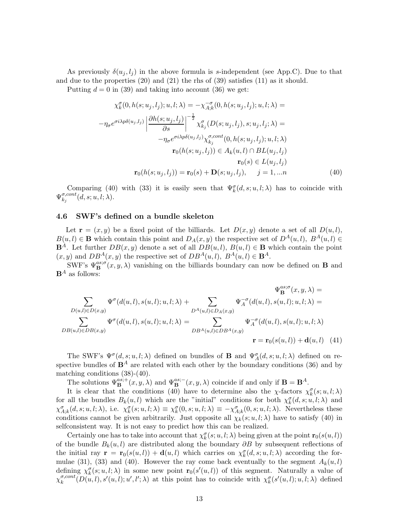As previously  $\delta(u_i, l_i)$  in the above formula is s-independent (see App.C). Due to that and due to the properties (20) and (21) the rhs of (39) satisfies (11) as it should.

Putting  $d = 0$  in (39) and taking into account (36) we get:

$$
\chi_k^{\sigma}(0, h(s; u_j, l_j); u, l; \lambda) = -\chi_{A;k}^{-\sigma}(0, h(s; u_j, l_j); u, l; \lambda) =
$$

$$
-\eta_{\sigma} e^{\sigma i \lambda p \delta(u_j, l_j)} \left| \frac{\partial h(s; u_j, l_j)}{\partial s} \right|^{-\frac{1}{2}} \chi_{k_j}^{\sigma}(D(s; u_j, l_j), s; u_j, l_j; \lambda) =
$$

$$
-\eta_{\sigma} e^{\sigma i \lambda p \delta(u_j, l_j)} \chi_{k_j}^{\sigma, cont}(0, h(s; u_j, l_j); u, l; \lambda)
$$

$$
\mathbf{r}_0(h(s; u_j, l_j)) \in A_k(u, l) \cap BL(u_j, l_j)
$$

$$
\mathbf{r}_0(s) \in L(u_j, l_j)
$$

$$
\mathbf{r}_0(h(s; u_j, l_j)) = \mathbf{r}_0(s) + \mathbf{D}(s; u_j, l_j), \quad j = 1, \dots n
$$
(40)

Comparing (40) with (33) it is easily seen that  $\Psi_{k}^{\sigma}(d, s; u, l; \lambda)$  has to coincide with  $\Psi_{k}^{\sigma,cont}$  $_{k_{j}}^{\sigma, cont}(d,s;u,l;\lambda).$ 

#### 4.6 SWF's defined on a bundle skeleton

Let  $\mathbf{r} = (x, y)$  be a fixed point of the billiards. Let  $D(x, y)$  denote a set of all  $D(u, l)$ ,  $B(u, l) \in \mathbf{B}$  which contain this point and  $D_A(x, y)$  the respective set of  $D^A(u, l)$ ,  $B^A(u, l) \in$  $\mathbf{B}^{A}$ . Let further  $DB(x, y)$  denote a set of all  $DB(u, l)$ ,  $B(u, l) \in \mathbf{B}$  which contain the point  $(x, y)$  and  $DB^A(x, y)$  the respective set of  $DB^A(u, l)$ ,  $B^A(u, l) \in \mathbf{B}^A$ .

SWF's  $\Psi_{\mathbf{B}}^{as;\sigma}(x,y,\lambda)$  vanishing on the billiards boundary can now be defined on **B** and  $\mathbf{B}^A$  as follows:

$$
\Psi_{\mathbf{B}}^{as;\sigma}(x, y, \lambda) =
$$
\n
$$
\sum_{D(u,l) \in D(x,y)} \Psi^{\sigma}(d(u,l), s(u,l); u, l; \lambda) + \sum_{D^{A}(u,l) \in D_{A}(x,y)} \Psi_{A}^{-\sigma}(d(u,l), s(u,l); u, l; \lambda) =
$$
\n
$$
\sum_{D^{B}(u,l) \in DB(x,y)} \Psi^{\sigma}(d(u,l), s(u,l); u, l; \lambda) = \sum_{D^{B^{A}}(u,l) \in DB^{A}(x,y)} \Psi_{A}^{-\sigma}(d(u,l), s(u,l); u, l; \lambda)
$$
\n
$$
\mathbf{r} = \mathbf{r}_{0}(s(u,l)) + \mathbf{d}(u,l) \quad (41)
$$

The SWF's  $\Psi^{\sigma}(d,s;u,l;\lambda)$  defined on bundles of **B** and  $\Psi^{\sigma}_A(d,s;u,l;\lambda)$  defined on respective bundles of  $B^A$  are related with each other by the boundary conditions (36) and by matching conditions (38)-(40).

The solutions  $\Psi_{\mathbf{B}}^{as;+}(x, y, \lambda)$  and  $\Psi_{\mathbf{B}}^{as;-}(x, y, \lambda)$  coincide if and only if  $\mathbf{B} = \mathbf{B}^A$ .

It is clear that the conditions (40) have to determine also the  $\chi$ -factors  $\chi^{\sigma}_k(s; u, l; \lambda)$ for all the bundles  $B_k(u, l)$  which are the "initial" conditions for both  $\chi_k^{\sigma}(d, s; u, l; \lambda)$  and  $\chi^{\sigma}_{A;k}(d,s;u,l;\lambda)$ , i.e.  $\chi^{\sigma}_k(s;u,l;\lambda) \equiv \chi^{\sigma}_k(0,s;u,l;\lambda) \equiv -\chi^{\sigma}_{A;k}(0,s;u,l;\lambda)$ . Nevertheless these conditions cannot be given arbitrarily. Just opposite all  $\chi_k(s; u, l; \lambda)$  have to satisfy (40) in selfconsistent way. It is not easy to predict how this can be realized.

Certainly one has to take into account that  $\chi^{\sigma}_k(s; u, l; \lambda)$  being given at the point  $\mathbf{r}_0(s(u, l))$ of the bundle  $B_k(u, l)$  are distributed along the boundary  $\partial B$  by subsequent reflections of the initial ray  $\mathbf{r} = \mathbf{r}_0(s(u,l)) + \mathbf{d}(u,l)$  which carries on  $\chi_k^{\sigma}(d,s;u,l;\lambda)$  according the formulae (31), (33) and (40). However the ray come back eventually to the segment  $A_k(u, l)$ defining  $\chi^{\sigma}_k(s; u, l; \lambda)$  in some new point  $\mathbf{r}_0(s'(u, l))$  of this segment. Naturally a value of  $\chi_k^{\sigma,cont}$  $\chi_k^{\sigma,cont}(D(u,l), s'(u,l); u', l'; \lambda)$  at this point has to coincide with  $\chi_k^{\sigma}(s'(u,l); u, l; \lambda)$  defined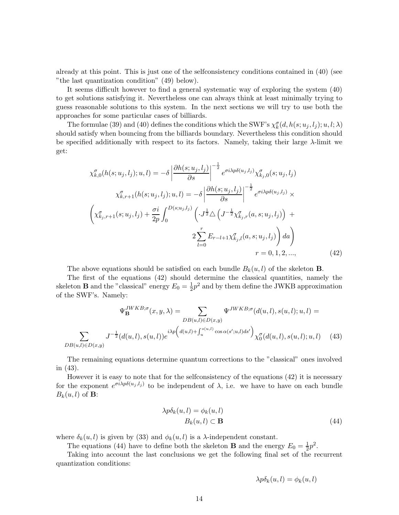already at this point. This is just one of the selfconsistency conditions contained in (40) (see "the last quantization condition" (49) below).

It seems difficult however to find a general systematic way of exploring the system (40) to get solutions satisfying it. Nevertheless one can always think at least minimally trying to guess reasonable solutions to this system. In the next sections we will try to use both the approaches for some particular cases of billiards.

The formulae (39) and (40) defines the conditions which the SWF's  $\chi_k^{\sigma}(d, h(s; u_j, l_j); u, l; \lambda)$ should satisfy when bouncing from the billiards boundary. Nevertheless this condition should be specified additionally with respect to its factors. Namely, taking their large  $\lambda$ -limit we get:

$$
\chi_{k,0}^{\sigma}(h(s; u_j, l_j); u, l) = -\delta \left| \frac{\partial h(s; u_j, l_j)}{\partial s} \right|^{-\frac{1}{2}} e^{\sigma i \lambda p \delta(u_j, l_j)} \chi_{k_j,0}^{\sigma}(s; u_j, l_j) \n\chi_{k,r+1}^{\sigma}(h(s; u_j, l_j); u, l) = -\delta \left| \frac{\partial h(s; u_j, l_j)}{\partial s} \right|^{-\frac{1}{2}} e^{\sigma i \lambda p \delta(u_j, l_j)} \times \n\left( \chi_{k_j,r+1}^{\sigma}(s; u_j, l_j) + \frac{\sigma i}{2p} \int_0^{D(s; u_j, l_j)} \left( J^{\frac{1}{2}} \Delta \left( J^{-\frac{1}{2}} \chi_{k_j,r}^{\sigma}(a, s; u_j, l_j) \right) + \frac{\sigma i}{2p} E_{r-l+1} \chi_{k_j,l}^{\sigma}(a, s; u_j, l_j) \right) da \right) \nr = 0, 1, 2, ..., \n\tag{42}
$$

The above equations should be satisfied on each bundle  $B_k(u, l)$  of the skeleton **B**.

The first of the equations (42) should determine the classical quantities, namely the skeleton **B** and the "classical" energy  $E_0 = \frac{1}{2}$  $\frac{1}{2}p^2$  and by them define the JWKB approximation of the SWF's. Namely:

$$
\Psi_{\mathbf{B}}^{JWKB;\sigma}(x,y,\lambda) = \sum_{DB(u,l) \in D(x,y)} \Psi^{JWKB;\sigma}(d(u,l),s(u,l);u,l) =
$$
  

$$
\sum_{B(u,l) \in D(x,y)} J^{-\frac{1}{2}}(d(u,l),s(u,l))e^{i\lambda p \left(d(u,l) + \int_u^{s(u,l)} \cos \alpha(s';u,l)ds'\right)} \chi_0^{\sigma}(d(u,l),s(u,l);u,l) \quad (43)
$$

The remaining equations determine quantum corrections to the "classical" ones involved in (43).

However it is easy to note that for the selfconsistency of the equations (42) it is necessary for the exponent  $e^{\sigma i\lambda p\delta(u_j,l_j)}$  to be independent of  $\lambda$ , i.e. we have to have on each bundle  $B_k(u, l)$  of **B**:

$$
\lambda p\delta_k(u,l) = \phi_k(u,l)
$$
  

$$
B_k(u,l) \subset \mathbf{B}
$$
 (44)

where  $\delta_k(u, l)$  is given by (33) and  $\phi_k(u, l)$  is a  $\lambda$ -independent constant.

 $D$ 

The equations (44) have to define both the skeleton **B** and the energy  $E_0 = \frac{1}{2}$  $\frac{1}{2}p^2$ .

Taking into account the last conclusions we get the following final set of the recurrent quantization conditions:

$$
\lambda p \delta_k(u,l) = \phi_k(u,l)
$$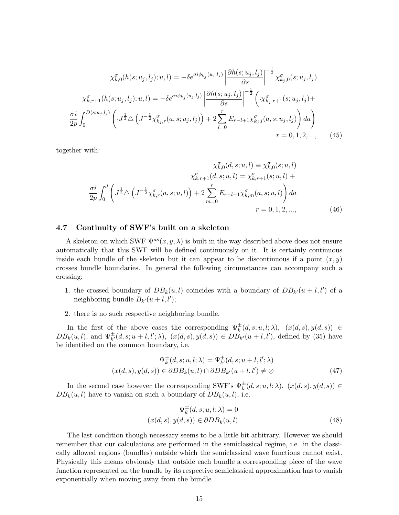$$
\chi_{k,0}^{\sigma}(h(s; u_j, l_j); u, l) = -\delta e^{\sigma i \phi_{k_j}(u_j, l_j)} \left| \frac{\partial h(s; u_j, l_j)}{\partial s} \right|^{-\frac{1}{2}} \chi_{k_j,0}^{\sigma}(s; u_j, l_j)
$$

$$
\chi_{k,r+1}^{\sigma}(h(s; u_j, l_j); u, l) = -\delta e^{\sigma i \phi_{k_j}(u_j, l_j)} \left| \frac{\partial h(s; u_j, l_j)}{\partial s} \right|^{-\frac{1}{2}} \left( \chi_{k_j,r+1}^{\sigma}(s; u_j, l_j) + \frac{\sigma i}{2p} \int_0^{D(s; u_j, l_j)} \left( \cdot J^{\frac{1}{2}} \Delta \left( J^{-\frac{1}{2}} \chi_{k_j,r}^{\sigma}(a, s; u_j, l_j) \right) + 2 \sum_{l=0}^r E_{r-l+1} \chi_{k_j,l}^{\sigma}(a, s; u_j, l_j) \right) da \right)
$$

$$
r = 0, 1, 2, ..., \qquad (45)
$$

together with:

$$
\chi_{k,0}^{\sigma}(d,s;u,l) \equiv \chi_{k,0}^{\sigma}(s;u,l)
$$

$$
\chi_{k,r+1}^{\sigma}(d,s;u,l) = \chi_{k,r+1}^{\sigma}(s;u,l) + \frac{\sigma i}{2p} \int_0^d \left( J^{\frac{1}{2}} \Delta \left( J^{-\frac{1}{2}} \chi_{k,r}^{\sigma}(a,s;u,l) \right) + 2 \sum_{m=0}^r E_{r-l+1} \chi_{k,m}^{\sigma}(a,s;u,l) \right) da
$$

$$
r = 0, 1, 2, ..., \qquad (46)
$$

#### 4.7 Continuity of SWF's built on a skeleton

A skeleton on which SWF  $\Psi^{as}(x, y, \lambda)$  is built in the way described above does not ensure automatically that this SWF will be defined continuously on it. It is certainly continuous inside each bundle of the skeleton but it can appear to be discontinuous if a point  $(x, y)$ crosses bundle boundaries. In general the following circumstances can accompany such a crossing:

- 1. the crossed boundary of  $DB_k(u, l)$  coincides with a boundary of  $DB_{k'}(u + l, l')$  of a neighboring bundle  $B_{k'}(u+l, l')$ ;
- 2. there is no such respective neighboring bundle.

In the first of the above cases the corresponding  $\Psi_k^{\pm}(d,s;u,l;\lambda)$ ,  $(x(d,s),y(d,s)) \in$  $DB_k(u, l)$ , and  $\Psi_{k'}^{\pm}(d, s; u+l, l'; \lambda), (x(d, s), y(d, s)) \in DB_{k'}(u+l, l')$ , defined by (35) have be identified on the common boundary, i.e.

$$
\Psi_k^{\pm}(d,s;u,l;\lambda) = \Psi_{k'}^{\pm}(d,s;u+l,l';\lambda)
$$

$$
(x(d,s),y(d,s)) \in \partial DB_k(u,l) \cap \partial DB_{k'}(u+l,l') \neq \emptyset
$$
(47)

In the second case however the corresponding SWF's  $\Psi_k^{\pm}(d, s; u, l; \lambda)$ ,  $(x(d, s), y(d, s)) \in$  $DB_k(u, l)$  have to vanish on such a boundary of  $DB_k(u, l)$ , i.e.

$$
\Psi_k^{\pm}(d,s;u,l;\lambda) = 0
$$
  

$$
(x(d,s), y(d,s)) \in \partial DB_k(u,l)
$$
 (48)

The last condition though necessary seems to be a little bit arbitrary. However we should remember that our calculations are performed in the semiclassical regime, i.e. in the classically allowed regions (bundles) outside which the semiclassical wave functions cannot exist. Physically this means obviously that outside each bundle a corresponding piece of the wave function represented on the bundle by its respective semiclassical approximation has to vanish exponentially when moving away from the bundle.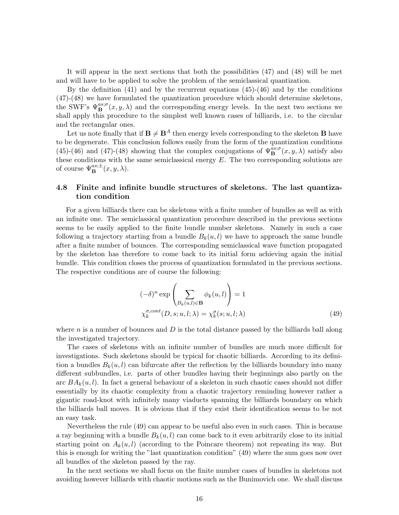It will appear in the next sections that both the possibilities (47) and (48) will be met and will have to be applied to solve the problem of the semiclassical quantization.

By the definition (41) and by the recurrent equations (45)-(46) and by the conditions (47)-(48) we have formulated the quantization procedure which should determine skeletons, the SWF's  $\Psi_{\mathbf{B}}^{as;\sigma}(x,y,\lambda)$  and the corresponding energy levels. In the next two sections we shall apply this procedure to the simplest well known cases of billiards, i.e. to the circular and the rectangular ones.

Let us note finally that if  $\mathbf{B} \neq \mathbf{B}^A$  then energy levels corresponding to the skeleton **B** have to be degenerate. This conclusion follows easily from the form of the quantization conditions (45)-(46) and (47)-(48) showing that the complex conjugations of  $\Psi_{\mathbf{B}}^{as;\sigma}(x, y, \lambda)$  satisfy also these conditions with the same semiclassical energy  $E$ . The two corresponding solutions are of course  $\Psi_{\mathbf{B}}^{as;\pm}(x,y,\lambda)$ .

### 4.8 Finite and infinite bundle structures of skeletons. The last quantization condition

For a given billiards there can be skeletons with a finite number of bundles as well as with an infinite one. The semiclassical quantization procedure described in the previous sections seems to be easily applied to the finite bundle number skeletons. Namely in such a case following a trajectory starting from a bundle  $B_k(u, l)$  we have to approach the same bundle after a finite number of bounces. The corresponding semiclassical wave function propagated by the skeleton has therefore to come back to its initial form achieving again the initial bundle. This condition closes the process of quantization formulated in the previous sections. The respective conditions are of course the following:

$$
(-\delta)^n \exp\left(\sum_{B_k(u,l)\in\mathbf{B}} \phi_k(u,l)\right) = 1
$$
  

$$
\chi_k^{\sigma, cont}(D, s; u, l; \lambda) = \chi_k^{\sigma}(s; u, l; \lambda)
$$
 (49)

where  $n$  is a number of bounces and  $D$  is the total distance passed by the billiards ball along the investigated trajectory.

The cases of skeletons with an infinite number of bundles are much more difficult for investigations. Such skeletons should be typical for chaotic billiards. According to its definition a bundles  $B_k(u, l)$  can bifurcate after the reflection by the billiards boundary into many different subbundles, i.e. parts of other bundles having their beginnings also partly on the arc  $BA_k(u, l)$ . In fact a general behaviour of a skeleton in such chaotic cases should not differ essentially by its chaotic complexity from a chaotic trajectory reminding however rather a gigantic road-knot with infinitely many viaducts spanning the billiards boundary on which the billiards ball moves. It is obvious that if they exist their identification seems to be not an easy task.

Nevertheless the rule (49) can appear to be useful also even in such cases. This is because a ray beginning with a bundle  $B_k(u, l)$  can come back to it even arbitrarily close to its initial starting point on  $A_k(u, l)$  (according to the Poincare theorem) not repeating its way. But this is enough for writing the "last quantization condition" (49) where the sum goes now over all bundles of the skeleton passed by the ray.

In the next sections we shall focus on the finite number cases of bundles in skeletons not avoiding however billiards with chaotic motions such as the Bunimovich one. We shall discuss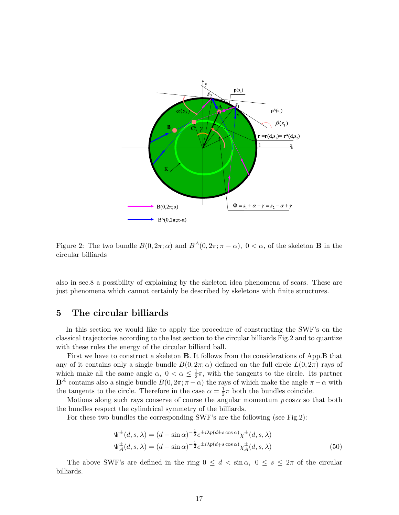

Figure 2: The two bundle  $B(0, 2\pi; \alpha)$  and  $B^A(0, 2\pi; \pi - \alpha)$ ,  $0 < \alpha$ , of the skeleton **B** in the circular billiards

also in sec.8 a possibility of explaining by the skeleton idea phenomena of scars. These are just phenomena which cannot certainly be described by skeletons with finite structures.

### 5 The circular billiards

In this section we would like to apply the procedure of constructing the SWF's on the classical trajectories according to the last section to the circular billiards Fig.2 and to quantize with these rules the energy of the circular billiard ball.

First we have to construct a skeleton B. It follows from the considerations of App.B that any of it contains only a single bundle  $B(0, 2\pi; \alpha)$  defined on the full circle  $L(0, 2\pi)$  rays of which make all the same angle  $\alpha$ ,  $0 < \alpha \leq \frac{1}{2}$  $\frac{1}{2}\pi$ , with the tangents to the circle. Its partner  $\mathbf{B}^A$  contains also a single bundle  $B(0, 2\pi; \pi - \alpha)$  the rays of which make the angle  $\pi - \alpha$  with the tangents to the circle. Therefore in the case  $\alpha = \frac{1}{2}$  $\frac{1}{2}\pi$  both the bundles coincide.

Motions along such rays conserve of course the angular momentum  $p \cos \alpha$  so that both the bundles respect the cylindrical symmetry of the billiards.

For these two bundles the corresponding SWF's are the following (see Fig.2):

$$
\Psi^{\pm}(d,s,\lambda) = (d - \sin \alpha)^{-\frac{1}{2}} e^{\pm i\lambda p(d \pm s \cos \alpha)} \chi^{\pm}(d,s,\lambda)
$$
  

$$
\Psi^{\pm}_A(d,s,\lambda) = (d - \sin \alpha)^{-\frac{1}{2}} e^{\pm i\lambda p(d \mp s \cos \alpha)} \chi^{\pm}_A(d,s,\lambda)
$$
(50)

The above SWF's are defined in the ring  $0 \leq d < \sin \alpha$ ,  $0 \leq s \leq 2\pi$  of the circular billiards.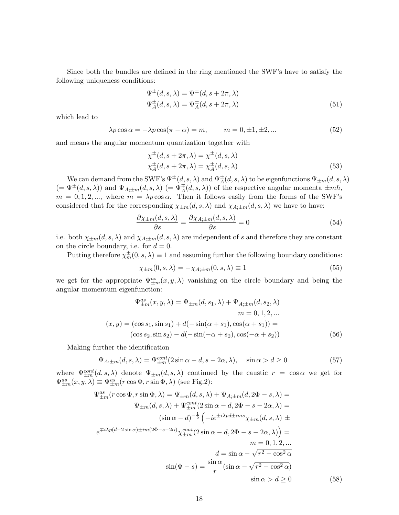Since both the bundles are defined in the ring mentioned the SWF's have to satisfy the following uniqueness conditions:

$$
\Psi^{\pm}(d,s,\lambda) = \Psi^{\pm}(d,s+2\pi,\lambda)
$$
  
\n
$$
\Psi^{\pm}_{A}(d,s,\lambda) = \Psi^{\pm}_{A}(d,s+2\pi,\lambda)
$$
\n(51)

which lead to

$$
\lambda p \cos \alpha = -\lambda p \cos(\pi - \alpha) = m, \qquad m = 0, \pm 1, \pm 2, \dots \tag{52}
$$

and means the angular momentum quantization together with

$$
\chi^{\pm}(d, s + 2\pi, \lambda) = \chi^{\pm}(d, s, \lambda)
$$
  
\n
$$
\chi^{\pm}_A(d, s + 2\pi, \lambda) = \chi^{\pm}_A(d, s, \lambda)
$$
\n(53)

We can demand from the SWF's  $\Psi^{\pm}(d,s,\lambda)$  and  $\Psi^{\pm}_{A}(d,s,\lambda)$  to be eigenfunctions  $\Psi_{\pm m}(d,s,\lambda)$  $(=\Psi^{\pm}(d,s,\lambda))$  and  $\Psi_{A;\pm m}(d,s,\lambda)$   $(=\Psi^{\mp}_A(d,s,\lambda))$  of the respective angular momenta  $\pm m\hbar$ ,  $m = 0, 1, 2, \dots$ , where  $m = \lambda p \cos \alpha$ . Then it follows easily from the forms of the SWF's considered that for the corresponding  $\chi_{\pm m}(d, s, \lambda)$  and  $\chi_{A; \pm m}(d, s, \lambda)$  we have to have:

$$
\frac{\partial \chi_{\pm m}(d,s,\lambda)}{\partial s} = \frac{\partial \chi_{A;\pm m}(d,s,\lambda)}{\partial s} = 0
$$
\n(54)

i.e. both  $\chi_{\pm m}(d, s, \lambda)$  and  $\chi_{A;\pm m}(d, s, \lambda)$  are independent of s and therefore they are constant on the circle boundary, i.e. for  $d = 0$ .

Putting therefore  $\chi_m^{\pm}(0, s, \lambda) \equiv 1$  and assuming further the following boundary conditions:

$$
\chi_{\pm m}(0, s, \lambda) = -\chi_{A; \pm m}(0, s, \lambda) \equiv 1 \tag{55}
$$

we get for the appropriate  $\Psi_{\pm m}^{as}(x, y, \lambda)$  vanishing on the circle boundary and being the angular momentum eigenfunction:

$$
\Psi_{\pm m}^{as}(x, y, \lambda) = \Psi_{\pm m}(d, s_1, \lambda) + \Psi_{A; \pm m}(d, s_2, \lambda)
$$
  
\n
$$
m = 0, 1, 2, ...
$$
  
\n
$$
(x, y) = (\cos s_1, \sin s_1) + d(-\sin(\alpha + s_1), \cos(\alpha + s_1)) =
$$
  
\n
$$
(\cos s_2, \sin s_2) - d(-\sin(-\alpha + s_2), \cos(-\alpha + s_2))
$$
\n(56)

Making further the identification

$$
\Psi_{A;\pm m}(d,s,\lambda) = \Psi_{\pm m}^{cont}(2\sin\alpha - d, s - 2\alpha, \lambda), \quad \sin\alpha > d \ge 0
$$
\n(57)

where  $\Psi_{\pm m}^{cont}(d, s, \lambda)$  denote  $\Psi_{\pm m}(d, s, \lambda)$  continued by the caustic  $r = \cos \alpha$  we get for  $\Psi_{\pm m}^{as}(x, y, \lambda) \equiv \Psi_{\pm m}^{as}(r \cos \Phi, r \sin \Phi, \lambda)$  (see Fig.2):

$$
\Psi_{\pm m}^{as}(r\cos\Phi, r\sin\Phi, \lambda) = \Psi_{\pm m}(d, s, \lambda) + \Psi_{A;\pm m}(d, 2\Phi - s, \lambda) =
$$
  

$$
\Psi_{\pm m}(d, s, \lambda) + \Psi_{\pm m}^{cont}(2\sin\alpha - d, 2\Phi - s - 2\alpha, \lambda) =
$$
  

$$
(\sin\alpha - d)^{-\frac{1}{2}} \left( -ie^{\pm i\lambda pd \pm ims} \chi_{\pm m}(d, s, \lambda) \pm \right.
$$
  

$$
e^{\mp i\lambda p(d-2\sin\alpha)\pm im(2\Phi - s - 2\alpha)} \chi_{\pm m}^{cont}(2\sin\alpha - d, 2\Phi - s - 2\alpha, \lambda) \right) =
$$
  

$$
m = 0, 1, 2, ...
$$
  

$$
d = \sin\alpha - \sqrt{r^2 - \cos^2\alpha}
$$
  

$$
\sin(\Phi - s) = \frac{\sin\alpha}{r} (\sin\alpha - \sqrt{r^2 - \cos^2\alpha})
$$
  

$$
\sin\alpha > d \ge 0
$$
 (58)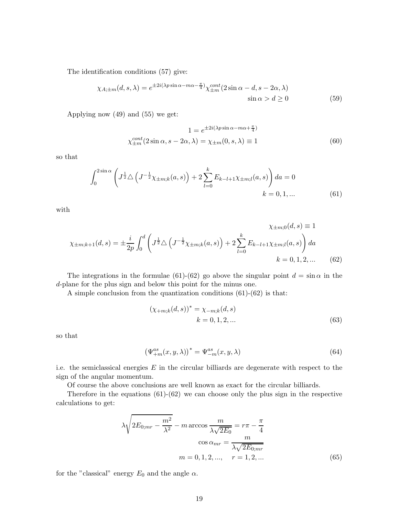The identification conditions (57) give:

$$
\chi_{A;\pm m}(d,s,\lambda) = e^{\pm 2i(\lambda p \sin \alpha - m\alpha - \frac{\pi}{4})} \chi_{\pm m}^{cont}(2 \sin \alpha - d, s - 2\alpha, \lambda)
$$
  
 
$$
\sin \alpha > d \ge 0
$$
 (59)

Applying now (49) and (55) we get:

$$
1 = e^{\pm 2i(\lambda p \sin \alpha - m\alpha + \frac{\pi}{4})}
$$
  

$$
\chi_{\pm m}^{cont}(2 \sin \alpha, s - 2\alpha, \lambda) = \chi_{\pm m}(0, s, \lambda) \equiv 1
$$
 (60)

so that

$$
\int_0^{2\sin\alpha} \left( J^{\frac{1}{2}} \Delta \left( J^{-\frac{1}{2}} \chi_{\pm m;k}(a,s) \right) + 2 \sum_{l=0}^k E_{k-l+1} \chi_{\pm m;l}(a,s) \right) da = 0
$$
  
  $k = 0, 1, ...$  (61)

with

$$
\chi_{\pm m;k+1}(d,s) = \pm \frac{i}{2p} \int_0^d \left( J^{\frac{1}{2}} \triangle \left( J^{-\frac{1}{2}} \chi_{\pm m;k}(a,s) \right) + 2 \sum_{l=0}^k E_{k-l+1} \chi_{\pm m;l}(a,s) \right) da
$$
  

$$
k = 0, 1, 2, \dots \qquad (62)
$$

The integrations in the formulae (61)-(62) go above the singular point  $d = \sin \alpha$  in the d-plane for the plus sign and below this point for the minus one.

A simple conclusion from the quantization conditions (61)-(62) is that:

$$
(\chi_{+m;k}(d,s))^* = \chi_{-m;k}(d,s)
$$
  
  $k = 0, 1, 2, ...$  (63)

so that

$$
\left(\Psi_{+m}^{as}(x,y,\lambda)\right)^{*} = \Psi_{-m}^{as}(x,y,\lambda)
$$
\n(64)

i.e. the semiclassical energies  $E$  in the circular billiards are degenerate with respect to the sign of the angular momentum.

Of course the above conclusions are well known as exact for the circular billiards.

Therefore in the equations  $(61)-(62)$  we can choose only the plus sign in the respective calculations to get:

$$
\lambda \sqrt{2E_{0;mr} - \frac{m^2}{\lambda^2}} - m \arccos \frac{m}{\lambda \sqrt{2E_0}} = r\pi - \frac{\pi}{4}
$$

$$
\cos \alpha_{mr} = \frac{m}{\lambda \sqrt{2E_{0;mr}}}
$$

$$
m = 0, 1, 2, ..., \quad r = 1, 2, ... \tag{65}
$$

for the "classical" energy  $E_0$  and the angle  $\alpha$ .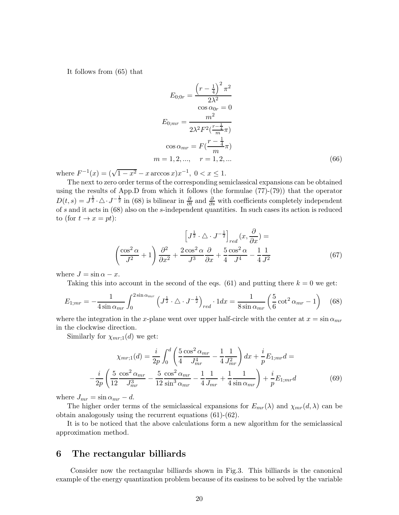It follows from (65) that

$$
E_{0;0r} = \frac{\left(r - \frac{1}{4}\right)^2 \pi^2}{2\lambda^2}
$$
  
\n
$$
E_{0;mr} = \frac{m^2}{2\lambda^2 F^2(\frac{r - \frac{1}{4}}{m}\pi)}
$$
  
\n
$$
\cos \alpha_{mr} = F(\frac{r - \frac{1}{4}}{m}\pi)
$$
  
\n
$$
m = 1, 2, ..., \quad r = 1, 2, ...
$$
\n(66)

where  $F^{-1}(x) = (\sqrt{1-x^2} - x \arccos x)x^{-1}$ ,  $0 < x \le 1$ .

The next to zero order terms of the corresponding semiclassical expansions can be obtained using the results of App.D from which it follows (the formulae (77)-(79)) that the operator  $D(t,s) = J^{\frac{1}{2}} \cdot \Delta \cdot J^{-\frac{1}{2}}$  in (68) is bilinear in  $\frac{\partial}{\partial t}$  and  $\frac{\partial}{\partial s}$  with coefficients completely independent of s and it acts in (68) also on the s-independent quantities. In such cases its action is reduced to (for  $t \to x = pt$ ):

$$
\left[J^{\frac{1}{2}} \cdot \triangle \cdot J^{-\frac{1}{2}}\right]_{red}(x, \frac{\partial}{\partial x}) =
$$
\n
$$
\left(\frac{\cos^2 \alpha}{J^2} + 1\right) \frac{\partial^2}{\partial x^2} + \frac{2 \cos^2 \alpha}{J^3} \frac{\partial}{\partial x} + \frac{5}{4} \frac{\cos^2 \alpha}{J^4} - \frac{1}{4} \frac{1}{J^2}
$$
\n(67)

where  $J = \sin \alpha - x$ .

Taking this into account in the second of the eqs. (61) and putting there  $k = 0$  we get:

$$
E_{1;mr} = -\frac{1}{4\sin\alpha_{mr}} \int_0^{2\sin\alpha_{mr}} \left(J^{\frac{1}{2}} \cdot \triangle \cdot J^{-\frac{1}{2}}\right)_{red} \cdot 1 dx = \frac{1}{8\sin\alpha_{mr}} \left(\frac{5}{6}\cot^2\alpha_{mr} - 1\right) \tag{68}
$$

where the integration in the x-plane went over upper half-circle with the center at  $x = \sin \alpha_{mr}$ in the clockwise direction.

Similarly for  $\chi_{mr;1}(d)$  we get:

$$
\chi_{mr;1}(d) = \frac{i}{2p} \int_0^d \left( \frac{5}{4} \frac{\cos^2 \alpha_{mr}}{J_{mr}^4} - \frac{1}{4} \frac{1}{J_{mr}^2} \right) dx + \frac{i}{p} E_{1;mr} d =
$$

$$
-\frac{i}{2p} \left( \frac{5}{12} \frac{\cos^2 \alpha_{mr}}{J_{mr}^3} - \frac{5}{12} \frac{\cos^2 \alpha_{mr}}{\sin^3 \alpha_{mr}} - \frac{1}{4} \frac{1}{J_{mr}} + \frac{1}{4} \frac{1}{\sin \alpha_{mr}} \right) + \frac{i}{p} E_{1;mr} d \tag{69}
$$

where  $J_{mr} = \sin \alpha_{mr} - d$ .

The higher order terms of the semiclassical expansions for  $E_{mr}(\lambda)$  and  $\chi_{mr}(d, \lambda)$  can be obtain analogously using the recurrent equations (61)-(62).

It is to be noticed that the above calculations form a new algorithm for the semiclassical approximation method.

### 6 The rectangular billiards

Consider now the rectangular billiards shown in Fig.3. This billiards is the canonical example of the energy quantization problem because of its easiness to be solved by the variable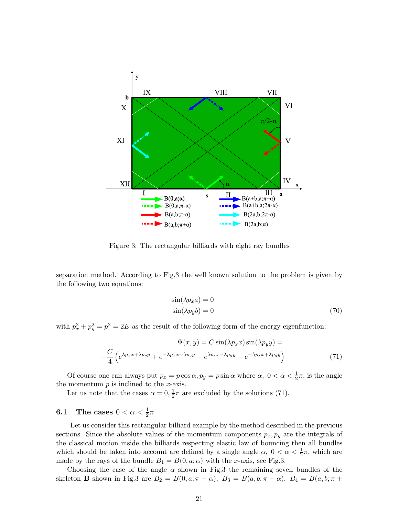

Figure 3: The rectangular billiards with eight ray bundles

separation method. According to Fig.3 the well known solution to the problem is given by the following two equations:

$$
\sin(\lambda p_x a) = 0
$$
  
 
$$
\sin(\lambda p_y b) = 0
$$
 (70)

with  $p_x^2 + p_y^2 = p^2 = 2E$  as the result of the following form of the energy eigenfunction:

$$
\Psi(x,y) = C \sin(\lambda p_x x) \sin(\lambda p_y y) =
$$
  

$$
-\frac{C}{4} \left( e^{\lambda p_x x + \lambda p_y y} + e^{-\lambda p_x x - \lambda p_y y} - e^{\lambda p_x x - \lambda p_y y} - e^{-\lambda p_x x + \lambda p_y y} \right)
$$
(71)

Of course one can always put  $p_x = p \cos \alpha$ ,  $p_y = p \sin \alpha$  where  $\alpha$ ,  $0 < \alpha < \frac{1}{2}\pi$ , is the angle the momentum  $p$  is inclined to the  $x$ -axis.

Let us note that the cases  $\alpha = 0, \frac{1}{2}$  $\frac{1}{2}\pi$  are excluded by the solutions (71).

# 6.1 The cases  $0 < \alpha < \frac{1}{2}\pi$

Let us consider this rectangular billiard example by the method described in the previous sections. Since the absolute values of the momentum components  $p_x, p_y$  are the integrals of the classical motion inside the billiards respecting elastic law of bouncing then all bundles which should be taken into account are defined by a single angle  $\alpha$ ,  $0 < \alpha < \frac{1}{2}\pi$ , which are made by the rays of the bundle  $B_1 = B(0, a; \alpha)$  with the x-axis, see Fig.3.

Choosing the case of the angle  $\alpha$  shown in Fig.3 the remaining seven bundles of the skeleton **B** shown in Fig.3 are  $B_2 = B(0, a; \pi - \alpha)$ ,  $B_3 = B(a, b; \pi - \alpha)$ ,  $B_4 = B(a, b; \pi + \alpha)$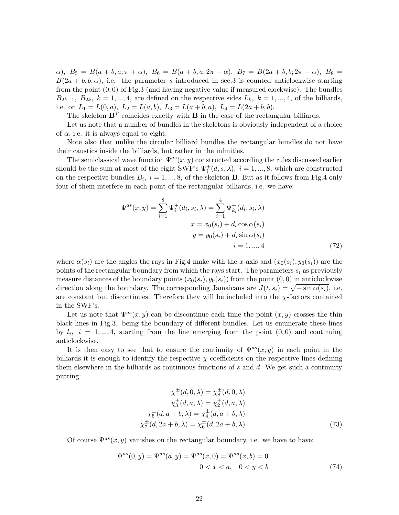$\alpha$ ),  $B_5 = B(a + b, a; \pi + \alpha)$ ,  $B_6 = B(a + b, a; 2\pi - \alpha)$ ,  $B_7 = B(2a + b, b; 2\pi - \alpha)$ ,  $B_8 =$  $B(2a + b, b; \alpha)$ , i.e. the parameter s introduced in sec. 3 is counted anticlockwise starting from the point  $(0,0)$  of Fig.3 (and having negative value if measured clockwise). The bundles  $B_{2k-1}, B_{2k}, k = 1, \ldots, 4$ , are defined on the respective sides  $L_k, k = 1, \ldots, 4$ , of the billiards, i.e. on  $L_1 = L(0, a), L_2 = L(a, b), L_3 = L(a + b, a), L_4 = L(2a + b, b).$ 

The skeleton  $\mathbf{B}^T$  coincides exactly with **B** in the case of the rectangular billiards.

Let us note that a number of bundles in the skeletons is obviously independent of a choice of  $\alpha$ , i.e. it is always equal to eight.

Note also that unlike the circular billiard bundles the rectangular bundles do not have their caustics inside the billiards, but rather in the infinities.

The semiclassical wave function  $\Psi^{as}(x, y)$  constructed according the rules discussed earlier should be the sum at most of the eight SWF's  $\Psi_i^+(d, s, \lambda)$ ,  $i = 1, ..., 8$ , which are constructed on the respective bundles  $B_i$ ,  $i = 1, ..., 8$ , of the skeleton **B**. But as it follows from Fig.4 only four of them interfere in each point of the rectangular billiards, i.e. we have:

$$
\Psi^{as}(x, y) = \sum_{i=1}^{8} \Psi_i^+(d_i, s_i, \lambda) = \sum_{i=1}^{4} \Psi_{k_i}^+(d_i, s_i, \lambda)
$$

$$
x = x_0(s_i) + d_i \cos \alpha(s_i)
$$

$$
y = y_0(s_i) + d_i \sin \alpha(s_i)
$$

$$
i = 1, ..., 4
$$
(72)

where  $\alpha(s_i)$  are the angles the rays in Fig.4 make with the x-axis and  $(x_0(s_i), y_0(s_i))$  are the points of the rectangular boundary from which the rays start. The parameters  $s_i$  as previously measure distances of the boundary points  $(x_0(s_i), y_0(s_i))$  from the point  $(0, 0)$  in anticlockwise direction along the boundary. The corresponding Jamaicans are  $J(t, s_i) = \sqrt{-\sin \alpha(s_i)}$ , i.e. are constant but discontinues. Therefore they will be included into the  $\chi$ -factors contained in the SWF's.

Let us note that  $\Psi^{as}(x, y)$  can be discontinue each time the point  $(x, y)$  crosses the thin black lines in Fig.3. being the boundary of different bundles. Let us enumerate these lines by  $l_i$ ,  $i = 1, ..., 4$ , starting from the line emerging from the point  $(0, 0)$  and continuing anticlockwise.

It is then easy to see that to ensure the continuity of  $\Psi^{as}(x, y)$  in each point in the billiards it is enough to identify the respective χ-coefficients on the respective lines defining them elsewhere in the billiards as continuous functions of  $s$  and  $d$ . We get such a continuity putting:

$$
\chi_1^{\pm}(d, 0, \lambda) = \chi_8^{\pm}(d, 0, \lambda)
$$
  
\n
$$
\chi_3^{\pm}(d, a, \lambda) = \chi_2^{\pm}(d, a, \lambda)
$$
  
\n
$$
\chi_5^{\pm}(d, a + b, \lambda) = \chi_4^{\pm}(d, a + b, \lambda)
$$
  
\n
$$
\chi_7^{\pm}(d, 2a + b, \lambda) = \chi_6^{\pm}(d, 2a + b, \lambda)
$$
\n(73)

Of course  $\Psi^{as}(x, y)$  vanishes on the rectangular boundary, i.e. we have to have:

$$
\Psi^{as}(0, y) = \Psi^{as}(a, y) = \Psi^{as}(x, 0) = \Psi^{as}(x, b) = 0
$$
  
0 < x < a, 0 < y < b (74)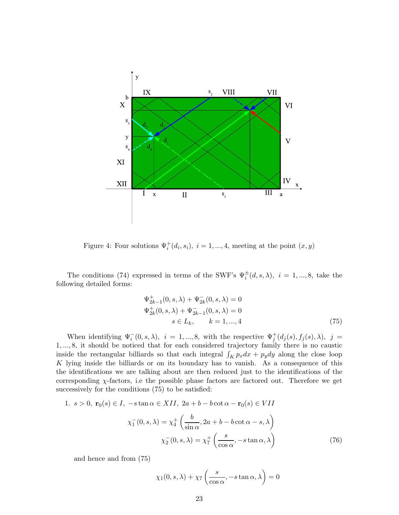

Figure 4: Four solutions  $\Psi_i^+(d_i, s_i)$ ,  $i = 1, ..., 4$ , meeting at the point  $(x, y)$ 

The conditions (74) expressed in terms of the SWF's  $\Psi_i^{\pm}(d, s, \lambda)$ ,  $i = 1, ..., 8$ , take the following detailed forms:

$$
\Psi_{2k-1}^{+}(0, s, \lambda) + \Psi_{2k}^{-}(0, s, \lambda) = 0
$$
  
\n
$$
\Psi_{2k}^{+}(0, s, \lambda) + \Psi_{2k-1}^{-}(0, s, \lambda) = 0
$$
  
\n
$$
s \in L_k, \qquad k = 1, ..., 4
$$
\n(75)

When identifying  $\Psi_i^-(0, s, \lambda)$ ,  $i = 1, ..., 8$ , with the respective  $\Psi_j^+(d_j(s), f_j(s), \lambda)$ ,  $j =$ 1, ..., 8, it should be noticed that for each considered trajectory family there is no caustic inside the rectangular billiards so that each integral  $\int_K p_x dx + p_y dy$  along the close loop  $K$  lying inside the billiards or on its boundary has to vanish. As a consequence of this the identifications we are talking about are then reduced just to the identifications of the corresponding  $\chi$ -factors, i.e the possible phase factors are factored out. Therefore we get successively for the conditions (75) to be satisfied:

1. 
$$
s > 0
$$
,  $\mathbf{r}_0(s) \in I$ ,  $-s \tan \alpha \in XII$ ,  $2a + b - b \cot \alpha - \mathbf{r}_0(s) \in VII$   

$$
\chi_1^-(0, s, \lambda) = \chi_4^+ \left( \frac{b}{\sin \alpha}, 2a + b - b \cot \alpha - s, \lambda \right)
$$

$$
\chi_2^-(0, s, \lambda) = \chi_7^+ \left( \frac{s}{\cos \alpha}, -s \tan \alpha, \lambda \right)
$$
(76)

and hence and from (75)

$$
\chi_1(0, s, \lambda) + \chi_7\left(\frac{s}{\cos \alpha}, -s \tan \alpha, \lambda\right) = 0
$$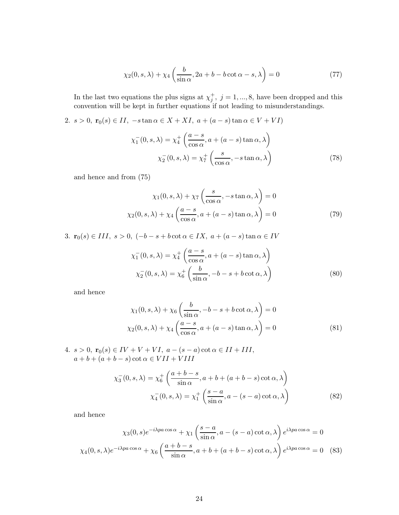$$
\chi_2(0, s, \lambda) + \chi_4\left(\frac{b}{\sin \alpha}, 2a + b - b \cot \alpha - s, \lambda\right) = 0\tag{77}
$$

In the last two equations the plus signs at  $\chi_j^+$ ,  $j = 1, ..., 8$ , have been dropped and this convention will be kept in further equations if not leading to misunderstandings.

2.  $s > 0$ ,  $\mathbf{r}_0(s) \in II$ ,  $-s \tan \alpha \in X + XI$ ,  $a + (a - s) \tan \alpha \in V + VI$ 

$$
\chi_1^-(0, s, \lambda) = \chi_4^+ \left( \frac{a - s}{\cos \alpha}, a + (a - s) \tan \alpha, \lambda \right)
$$

$$
\chi_2^-(0, s, \lambda) = \chi_7^+ \left( \frac{s}{\cos \alpha}, -s \tan \alpha, \lambda \right)
$$
(78)

and hence and from (75)

$$
\chi_1(0, s, \lambda) + \chi_7\left(\frac{s}{\cos \alpha}, -s \tan \alpha, \lambda\right) = 0
$$
  

$$
\chi_2(0, s, \lambda) + \chi_4\left(\frac{a-s}{\cos \alpha}, a + (a-s) \tan \alpha, \lambda\right) = 0
$$
 (79)

3.  $\mathbf{r}_0(s) \in III, s > 0, (-b - s + b \cot \alpha \in IX, a + (a - s) \tan \alpha \in IV$ 

$$
\chi_1^-(0, s, \lambda) = \chi_4^+ \left( \frac{a - s}{\cos \alpha}, a + (a - s) \tan \alpha, \lambda \right)
$$

$$
\chi_2^-(0, s, \lambda) = \chi_6^+ \left( \frac{b}{\sin \alpha}, -b - s + b \cot \alpha, \lambda \right)
$$
(80)

and hence

$$
\chi_1(0, s, \lambda) + \chi_6\left(\frac{b}{\sin \alpha}, -b - s + b \cot \alpha, \lambda\right) = 0
$$
  

$$
\chi_2(0, s, \lambda) + \chi_4\left(\frac{a - s}{\cos \alpha}, a + (a - s) \tan \alpha, \lambda\right) = 0
$$
 (81)

4.  $s > 0$ ,  $\mathbf{r}_0(s) \in IV + V + VI$ ,  $a - (s - a) \cot \alpha \in II + III$ ,  $a + b + (a + b - s) \cot \alpha \in VIII + VIII$ 

$$
\chi_3^-(0, s, \lambda) = \chi_6^+ \left( \frac{a+b-s}{\sin \alpha}, a+b+(a+b-s)\cot \alpha, \lambda \right)
$$

$$
\chi_4^-(0, s, \lambda) = \chi_1^+ \left( \frac{s-a}{\sin \alpha}, a-(s-a)\cot \alpha, \lambda \right)
$$
(82)

and hence

$$
\chi_3(0,s)e^{-i\lambda pa\cos\alpha} + \chi_1\left(\frac{s-a}{\sin\alpha},a-(s-a)\cot\alpha,\lambda\right)e^{i\lambda pa\cos\alpha} = 0
$$
  

$$
\chi_4(0,s,\lambda)e^{-i\lambda pa\cos\alpha} + \chi_6\left(\frac{a+b-s}{\sin\alpha},a+b+(a+b-s)\cot\alpha,\lambda\right)e^{i\lambda pa\cos\alpha} = 0
$$
 (83)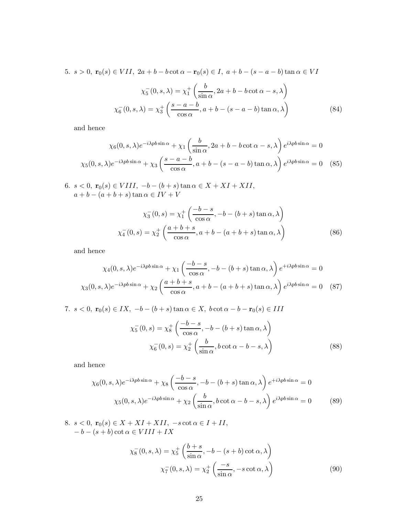5. 
$$
s > 0
$$
,  $\mathbf{r}_0(s) \in VII$ ,  $2a + b - b \cot \alpha - \mathbf{r}_0(s) \in I$ ,  $a + b - (s - a - b) \tan \alpha \in VI$   
\n
$$
\chi_0^-(0, s, \lambda) = \chi_1^+ \left( \frac{b}{\sin \alpha}, 2a + b - b \cot \alpha - s, \lambda \right)
$$
\n
$$
\chi_0^-(0, s, \lambda) = \chi_3^+ \left( \frac{s - a - b}{\cos \alpha}, a + b - (s - a - b) \tan \alpha, \lambda \right)
$$
\n(84)

and hence

$$
\chi_6(0, s, \lambda)e^{-i\lambda p b \sin \alpha} + \chi_1\left(\frac{b}{\sin \alpha}, 2a + b - b \cot \alpha - s, \lambda\right)e^{i\lambda p b \sin \alpha} = 0
$$
  

$$
\chi_5(0, s, \lambda)e^{-i\lambda p b \sin \alpha} + \chi_3\left(\frac{s - a - b}{\cos \alpha}, a + b - (s - a - b) \tan \alpha, \lambda\right)e^{i\lambda p b \sin \alpha} = 0
$$
 (85)

6.  $s < 0$ ,  $\mathbf{r}_0(s) \in VIII$ ,  $-b - (b + s) \tan \alpha \in X + XI + XII$ ,  $a + b - (a + b + s) \tan \alpha \in IV + V$ 

$$
\chi_3^-(0,s) = \chi_1^+ \left( \frac{-b-s}{\cos \alpha}, -b - (b+s) \tan \alpha, \lambda \right)
$$

$$
\chi_4^-(0,s) = \chi_2^+ \left( \frac{a+b+s}{\cos \alpha}, a+b - (a+b+s) \tan \alpha, \lambda \right)
$$
(86)

and hence

$$
\chi_4(0, s, \lambda)e^{-i\lambda p b \sin \alpha} + \chi_1\left(\frac{-b-s}{\cos \alpha}, -b-(b+s)\tan \alpha, \lambda\right)e^{+i\lambda p b \sin \alpha} = 0
$$
  

$$
\chi_3(0, s, \lambda)e^{-i\lambda p b \sin \alpha} + \chi_2\left(\frac{a+b+s}{\cos \alpha}, a+b-(a+b+s)\tan \alpha, \lambda\right)e^{i\lambda p b \sin \alpha} = 0
$$
 (87)

7.  $s < 0$ ,  $\mathbf{r}_0(s) \in IX$ ,  $-b - (b + s) \tan \alpha \in X$ ,  $b \cot \alpha - b - \mathbf{r}_0(s) \in III$ 

$$
\chi_5^-(0, s) = \chi_8^+ \left( \frac{-b - s}{\cos \alpha}, -b - (b + s) \tan \alpha, \lambda \right)
$$

$$
\chi_6^-(0, s) = \chi_2^+ \left( \frac{b}{\sin \alpha}, b \cot \alpha - b - s, \lambda \right)
$$
(88)

and hence

$$
\chi_6(0, s, \lambda)e^{-i\lambda p b \sin \alpha} + \chi_8\left(\frac{-b-s}{\cos \alpha}, -b-(b+s)\tan \alpha, \lambda\right)e^{+i\lambda p b \sin \alpha} = 0
$$

$$
\chi_5(0, s, \lambda)e^{-i\lambda p b \sin \alpha} + \chi_2\left(\frac{b}{\sin \alpha}, b \cot \alpha - b - s, \lambda\right)e^{i\lambda p b \sin \alpha} = 0
$$
(89)

8. 
$$
s < 0
$$
,  $\mathbf{r}_0(s) \in X + XI + XII$ ,  $-s \cot \alpha \in I + II$ ,  
\n $-b - (s + b) \cot \alpha \in VIII + IX$ 

$$
\chi_8^-(0, s, \lambda) = \chi_5^+ \left( \frac{b+s}{\sin \alpha}, -b - (s+b) \cot \alpha, \lambda \right)
$$

$$
\chi_7^-(0, s, \lambda) = \chi_2^+ \left( \frac{-s}{\sin \alpha}, -s \cot \alpha, \lambda \right)
$$
(90)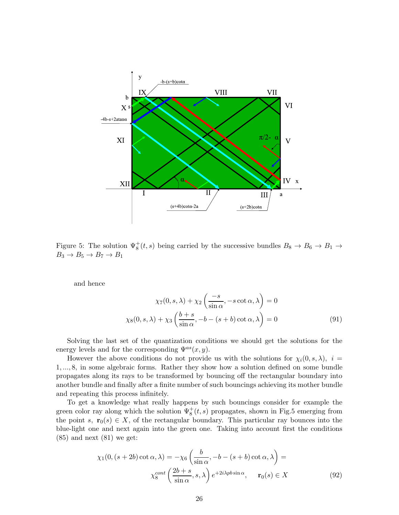

Figure 5: The solution  $\Psi^+(s,t)$  being carried by the successive bundles  $B_8 \to B_6 \to B_1 \to$  $B_3 \rightarrow B_5 \rightarrow B_7 \rightarrow B_1$ 

and hence

$$
\chi_7(0, s, \lambda) + \chi_2\left(\frac{-s}{\sin \alpha}, -s \cot \alpha, \lambda\right) = 0
$$

$$
\chi_8(0, s, \lambda) + \chi_3\left(\frac{b+s}{\sin \alpha}, -b - (s+b) \cot \alpha, \lambda\right) = 0
$$
(91)

Solving the last set of the quantization conditions we should get the solutions for the energy levels and for the corresponding  $\Psi^{as}(x, y)$ .

However the above conditions do not provide us with the solutions for  $\chi_i(0, s, \lambda)$ ,  $i =$ 1, ..., 8, in some algebraic forms. Rather they show how a solution defined on some bundle propagates along its rays to be transformed by bouncing off the rectangular boundary into another bundle and finally after a finite number of such bouncings achieving its mother bundle and repeating this process infinitely.

To get a knowledge what really happens by such bouncings consider for example the green color ray along which the solution  $\Psi^+_8(t, s)$  propagates, shown in Fig.5 emerging from the point s,  $\mathbf{r}_0(s) \in X$ , of the rectangular boundary. This particular ray bounces into the blue-light one and next again into the green one. Taking into account first the conditions  $(85)$  and next  $(81)$  we get:

$$
\chi_1(0, (s+2b)\cot\alpha, \lambda) = -\chi_6\left(\frac{b}{\sin\alpha}, -b - (s+b)\cot\alpha, \lambda\right) =
$$

$$
\chi_8^{cont}\left(\frac{2b+s}{\sin\alpha}, s, \lambda\right) e^{+2i\lambda p b \sin\alpha}, \quad \mathbf{r}_0(s) \in X \tag{92}
$$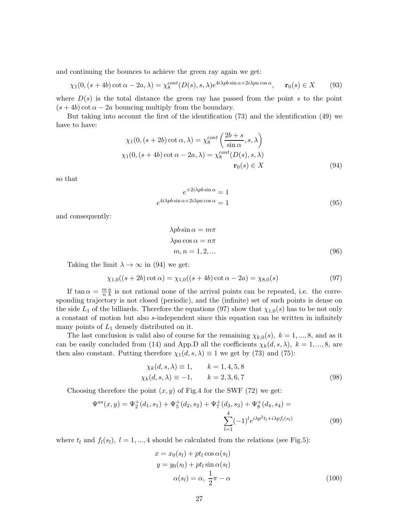and continuing the bounces to achieve the green ray again we get:

$$
\chi_1(0, (s+4b)\cot\alpha - 2a, \lambda) = \chi_8^{cont}(D(s), s, \lambda)e^{4i\lambda p b \sin\alpha + 2i\lambda p a \cos\alpha}, \quad \mathbf{r}_0(s) \in X \tag{93}
$$

where  $D(s)$  is the total distance the green ray has passed from the point s to the point  $(s + 4b) \cot \alpha - 2a$  bouncing multiply from the boundary.

But taking into account the first of the identification (73) and the identification (49) we have to have:

$$
\chi_1(0, (s+2b)\cot\alpha, \lambda) = \chi_8^{cont} \left(\frac{2b+s}{\sin\alpha}, s, \lambda\right)
$$
  

$$
\chi_1(0, (s+4b)\cot\alpha - 2a, \lambda) = \chi_8^{cont} (D(s), s, \lambda)
$$
  

$$
\mathbf{r}_0(s) \in X
$$
 (94)

so that

$$
e^{+2i\lambda p b \sin \alpha} = 1
$$
  

$$
e^{4i\lambda p b \sin \alpha + 2i\lambda p a \cos \alpha} = 1
$$
 (95)

and consequently:

$$
\lambda p b \sin \alpha = m\pi
$$
  
\n
$$
\lambda p a \cos \alpha = n\pi
$$
  
\n
$$
m, n = 1, 2, ...
$$
\n(96)

Taking the limit  $\lambda \to \infty$  in (94) we get:

$$
\chi_{1,0}((s+2b)\cot\alpha) = \chi_{1,0}((s+4b)\cot\alpha - 2a) = \chi_{8,0}(s)
$$
 (97)

If tan  $\alpha = \frac{m}{n}$ n a  $\frac{a}{b}$  is not rational none of the arrival points can be repeated, i.e. the corresponding trajectory is not closed (periodic), and the (infinite) set of such points is dense on the side  $L_1$  of the billiards. Therefore the equations (97) show that  $\chi_{1,0}(s)$  has to be not only a constant of motion but also s-independent since this equation can be written in infinitely many points of  $L_1$  densely distributed on it.

The last conclusion is valid also of course for the remaining  $\chi_{k,0}(s)$ ,  $k = 1, ..., 8$ , and as it can be easily concluded from (14) and App.D all the coefficients  $\chi_k(d, s, \lambda)$ ,  $k = 1, ..., 8$ , are then also constant. Putting therefore  $\chi_1(d, s, \lambda) \equiv 1$  we get by (73) and (75):

$$
\chi_k(d, s, \lambda) \equiv 1, \qquad k = 1, 4, 5, 8\n\chi_k(d, s, \lambda) \equiv -1, \qquad k = 2, 3, 6, 7
$$
\n(98)

Choosing therefore the point  $(x, y)$  of Fig.4 for the SWF (72) we get:

$$
\Psi^{as}(x,y) = \Psi_2^+(d_1, s_1) + \Psi_5^+(d_2, s_2) + \Psi_7^+(d_3, s_3) + \Psi_8^+(d_4, s_4) = \sum_{l=1}^4 (-1)^l e^{i\lambda p^2 t_l + i\lambda p f_l(s_l)}
$$
(99)

where  $t_l$  and  $f_l(s_l)$ ,  $l = 1, ..., 4$  should be calculated from the relations (see Fig.5):

$$
x = x_0(s_l) + pt_l \cos \alpha(s_l)
$$
  
\n
$$
y = y_0(s_l) + pt_l \sin \alpha(s_l)
$$
  
\n
$$
\alpha(s_l) = \alpha, \frac{1}{2}\pi - \alpha
$$
\n(100)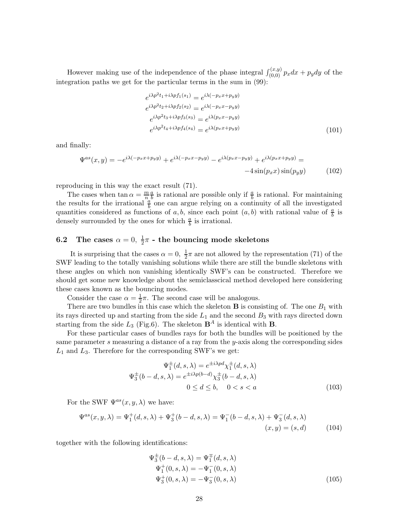However making use of the independence of the phase integral  $\int_{(0,0)}^{(x,y)} p_x dx + p_y dy$  of the integration paths we get for the particular terms in the sum in (99):

$$
e^{i\lambda p^{2}t_{1}+i\lambda pf_{1}(s_{1})} = e^{i\lambda(-p_{x}x+p_{y}y)}
$$

$$
e^{i\lambda p^{2}t_{2}+i\lambda pf_{2}(s_{2})} = e^{i\lambda(-p_{x}x-p_{y}y)}
$$

$$
e^{i\lambda p^{2}t_{3}+i\lambda pf_{3}(s_{3})} = e^{i\lambda(p_{x}x-p_{y}y)}
$$

$$
e^{i\lambda p^{2}t_{4}+i\lambda pf_{4}(s_{4})} = e^{i\lambda(p_{x}x+p_{y}y)}
$$
(101)

and finally:

$$
\Psi^{as}(x,y) = -e^{i\lambda(-p_x x + p_y y)} + e^{i\lambda(-p_x x - p_y y)} - e^{i\lambda(p_x x - p_y y)} + e^{i\lambda(p_x x + p_y y)} = -4\sin(p_x x)\sin(p_y y)
$$
(102)

reproducing in this way the exact result (71).

The cases when  $\tan \alpha = \frac{m}{n}$ a  $\frac{a}{b}$  is rational are possible only if  $\frac{a}{b}$  is rational. For maintaining the results for the irrational  $\frac{a}{b}$  one can argue relying on a continuity of all the investigated quantities considered as functions of a, b, since each point  $(a, b)$  with rational value of  $\frac{a}{b}$  is densely surrounded by the ones for which  $\frac{a}{b}$  is irrational.

#### **6.2** The cases  $\alpha = 0, \frac{1}{2}$  $\frac{1}{2}\pi$  - the bouncing mode skeletons

It is surprising that the cases  $\alpha = 0, \frac{1}{2}$  $\frac{1}{2}\pi$  are not allowed by the representation (71) of the SWF leading to the totally vanishing solutions while there are still the bundle skeletons with these angles on which non vanishing identically SWF's can be constructed. Therefore we should get some new knowledge about the semiclasscical method developed here considering these cases known as the bouncing modes.

Consider the case  $\alpha = \frac{1}{2}$  $\frac{1}{2}\pi$ . The second case will be analogous.

There are two bundles in this case which the skeleton **B** is consisting of. The one  $B_1$  with its rays directed up and starting from the side  $L_1$  and the second  $B_3$  with rays directed down starting from the side  $L_3$  (Fig.6). The skeleton  $\mathbf{B}^A$  is identical with **B**.

For these particular cases of bundles rays for both the bundles will be positioned by the same parameter s measuring a distance of a ray from the y-axis along the corresponding sides  $L_1$  and  $L_3$ . Therefore for the corresponding SWF's we get:

$$
\Psi_1^{\pm}(d,s,\lambda) = e^{\pm i\lambda p d} \chi_1^{\pm}(d,s,\lambda)
$$

$$
\Psi_3^{\pm}(b-d,s,\lambda) = e^{\pm i\lambda p(b-d)} \chi_3^{\pm}(b-d,s,\lambda)
$$

$$
0 \le d \le b, \quad 0 < s < a
$$
 (103)

For the SWF  $\Psi^{as}(x, y, \lambda)$  we have:

$$
\Psi^{as}(x, y, \lambda) = \Psi_1^+(d, s, \lambda) + \Psi_3^+(b - d, s, \lambda) = \Psi_1^-(b - d, s, \lambda) + \Psi_3^-(d, s, \lambda)
$$
  
(x, y) = (s, d) (104)

together with the following identifications:

$$
\Psi_3^{\pm}(b-d,s,\lambda) = \Psi_1^{\mp}(d,s,\lambda)
$$
  
\n
$$
\Psi_1^+(0,s,\lambda) = -\Psi_1^-(0,s,\lambda)
$$
  
\n
$$
\Psi_3^+(0,s,\lambda) = -\Psi_3^-(0,s,\lambda)
$$
\n(105)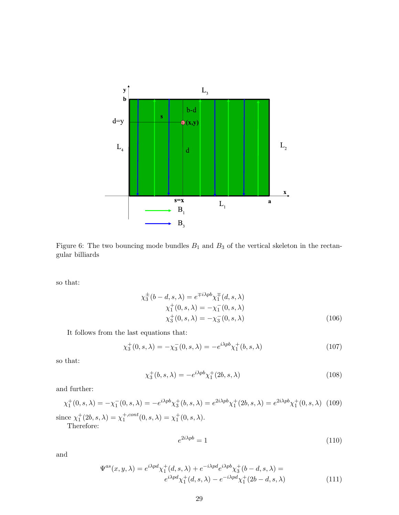

Figure 6: The two bouncing mode bundles  $B_1$  and  $B_3$  of the vertical skeleton in the rectangular billiards

so that:

$$
\chi_3^{\pm}(b-d,s,\lambda) = e^{\mp i\lambda pb} \chi_1^{\pm}(d,s,\lambda)
$$
  
\n
$$
\chi_1^+(0,s,\lambda) = -\chi_1^-(0,s,\lambda)
$$
  
\n
$$
\chi_3^+(0,s,\lambda) = -\chi_3^-(0,s,\lambda)
$$
  
\n(106)

It follows from the last equations that:

$$
\chi_3^+(0, s, \lambda) = -\chi_3^-(0, s, \lambda) = -e^{i\lambda p b} \chi_1^+(b, s, \lambda)
$$
\n(107)

so that:

$$
\chi_3^+(b,s,\lambda) = -e^{i\lambda pb}\chi_1^+(2b,s,\lambda)
$$
\n(108)

and further:

$$
\chi_1^+(0, s, \lambda) = -\chi_1^-(0, s, \lambda) = -e^{i\lambda pb}\chi_3^+(b, s, \lambda) = e^{2i\lambda pb}\chi_1^+(2b, s, \lambda) = e^{2i\lambda pb}\chi_1^+(0, s, \lambda)
$$
 (109)  
since  $\chi_1^+(2b, s, \lambda) = \chi_1^{+, cont}(0, s, \lambda) = \chi_1^+(0, s, \lambda)$ .  
Therefore:

Therefore:

$$
e^{2i\lambda p b} = 1\tag{110}
$$

and

$$
\Psi^{as}(x, y, \lambda) = e^{i\lambda p d} \chi_1^+(d, s, \lambda) + e^{-i\lambda p d} e^{i\lambda p b} \chi_3^+(b - d, s, \lambda) =
$$
  

$$
e^{i\lambda p d} \chi_1^+(d, s, \lambda) - e^{-i\lambda p d} \chi_1^+(2b - d, s, \lambda)
$$
 (111)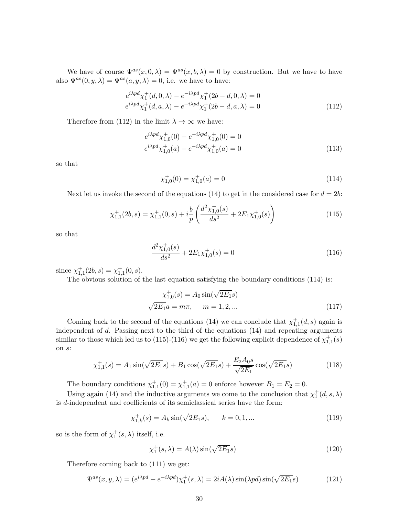We have of course  $\Psi^{as}(x,0,\lambda) = \Psi^{as}(x,b,\lambda) = 0$  by construction. But we have to have also  $\Psi^{as}(0, y, \lambda) = \Psi^{as}(a, y, \lambda) = 0$ , i.e. we have to have:

$$
e^{i\lambda p d} \chi_1^+(d, 0, \lambda) - e^{-i\lambda p d} \chi_1^+(2b - d, 0, \lambda) = 0
$$
  
\n
$$
e^{i\lambda p d} \chi_1^+(d, a, \lambda) - e^{-i\lambda p d} \chi_1^+(2b - d, a, \lambda) = 0
$$
\n(112)

Therefore from (112) in the limit  $\lambda \to \infty$  we have:

$$
e^{i\lambda p d} \chi_{1,0}^{+}(0) - e^{-i\lambda p d} \chi_{1,0}^{+}(0) = 0
$$
  
\n
$$
e^{i\lambda p d} \chi_{1,0}^{+}(a) - e^{-i\lambda p d} \chi_{1,0}^{+}(a) = 0
$$
\n(113)

so that

$$
\chi_{1,0}^+(0) = \chi_{1,0}^+(a) = 0 \tag{114}
$$

Next let us invoke the second of the equations (14) to get in the considered case for  $d = 2b$ :

$$
\chi_{1,1}^+(2b,s) = \chi_{1,1}^+(0,s) + i\frac{b}{p} \left( \frac{d^2 \chi_{1,0}^+(s)}{ds^2} + 2E_1 \chi_{1,0}^+(s) \right)
$$
(115)

so that

$$
\frac{d^2\chi^+_{1,0}(s)}{ds^2} + 2E_1\chi^+_{1,0}(s) = 0\tag{116}
$$

since  $\chi_{1,1}^+(2b,s) = \chi_{1,1}^+(0,s)$ .

The obvious solution of the last equation satisfying the boundary conditions (114) is:

$$
\chi_{1,0}^{+}(s) = A_0 \sin(\sqrt{2E_1} s)
$$
  

$$
\sqrt{2E_1} a = m\pi, \quad m = 1, 2, ...
$$
 (117)

Coming back to the second of the equations (14) we can conclude that  $\chi^+_{1,1}(d, s)$  again is independent of d. Passing next to the third of the equations (14) and repeating arguments similar to those which led us to (115)-(116) we get the following explicit dependence of  $\chi^{+}_{1,1}(s)$ on s:

$$
\chi_{1,1}^{+}(s) = A_1 \sin(\sqrt{2E_1} s) + B_1 \cos(\sqrt{2E_1} s) + \frac{E_2 A_0 s}{\sqrt{2E_1}} \cos(\sqrt{2E_1} s)
$$
(118)

The boundary conditions  $\chi^+_{1,1}(0) = \chi^+_{1,1}(a) = 0$  enforce however  $B_1 = E_2 = 0$ .

Using again (14) and the inductive arguments we come to the conclusion that  $\chi_1^+(d,s,\lambda)$ is d-independent and coefficients of its semiclassical series have the form:

$$
\chi_{1,k}^+(s) = A_k \sin(\sqrt{2E_1}s), \qquad k = 0, 1, \dots \tag{119}
$$

so is the form of  $\chi_1^+(s,\lambda)$  itself, i.e.

$$
\chi_1^+(s,\lambda) = A(\lambda)\sin(\sqrt{2E_1}s)
$$
\n(120)

Therefore coming back to (111) we get:

$$
\Psi^{as}(x, y, \lambda) = (e^{i\lambda pd} - e^{-i\lambda pd})\chi_1^+(s, \lambda) = 2iA(\lambda)\sin(\lambda pd)\sin(\sqrt{2E_1}s)
$$
(121)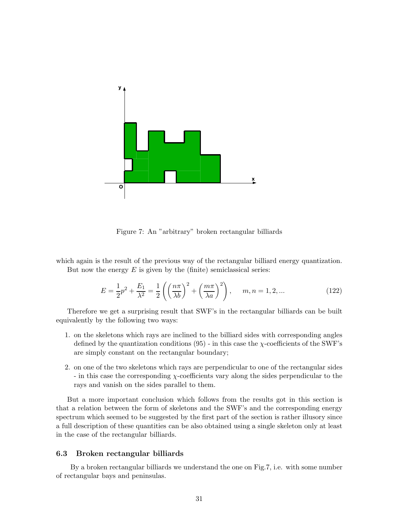

Figure 7: An "arbitrary" broken rectangular billiards

which again is the result of the previous way of the rectangular billiard energy quantization. But now the energy  $E$  is given by the (finite) semiclassical series:

$$
E = \frac{1}{2}p^2 + \frac{E_1}{\lambda^2} = \frac{1}{2}\left(\left(\frac{n\pi}{\lambda b}\right)^2 + \left(\frac{m\pi}{\lambda a}\right)^2\right), \quad m, n = 1, 2, ... \tag{122}
$$

Therefore we get a surprising result that SWF's in the rectangular billiards can be built equivalently by the following two ways:

- 1. on the skeletons which rays are inclined to the billiard sides with corresponding angles defined by the quantization conditions  $(95)$  - in this case the  $\chi$ -coefficients of the SWF's are simply constant on the rectangular boundary;
- 2. on one of the two skeletons which rays are perpendicular to one of the rectangular sides - in this case the corresponding  $\chi$ -coefficients vary along the sides perpendicular to the rays and vanish on the sides parallel to them.

But a more important conclusion which follows from the results got in this section is that a relation between the form of skeletons and the SWF's and the corresponding energy spectrum which seemed to be suggested by the first part of the section is rather illusory since a full description of these quantities can be also obtained using a single skeleton only at least in the case of the rectangular billiards.

#### 6.3 Broken rectangular billiards

By a broken rectangular billiards we understand the one on Fig.7, i.e. with some number of rectangular bays and peninsulas.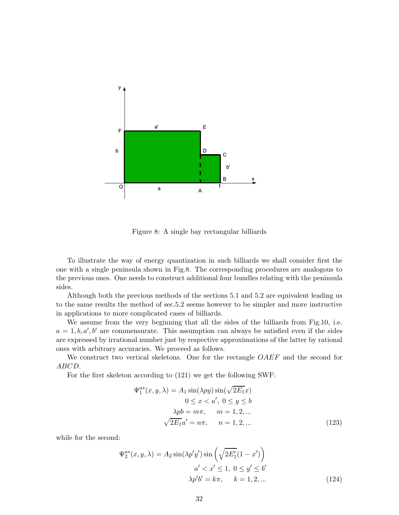

Figure 8: A single bay rectangular billiards

To illustrate the way of energy quantization in such billiards we shall consider first the one with a single peninsula shown in Fig.8. The corresponding procedures are analogous to the previous ones. One needs to construct additional four bundles relating with the peninsula sides.

Although both the previous methods of the sections 5.1 and 5.2 are equivalent leading us to the same results the method of sec.5.2 seems however to be simpler and more instructive in applications to more complicated cases of billiards.

We assume from the very beginning that all the sides of the billiards from Fig.10, i.e.  $a = 1, b, a', b'$  are commensurate. This assumption can always be satisfied even if the sides are expressed by irrational number just by respective approximations of the latter by rational ones with arbitrary accuracies. We proceed as follows.

We construct two vertical skeletons. One for the rectangle OAEF and the second for ABCD.

For the first skeleton according to (121) we get the following SWF:

$$
\Psi_1^{as}(x, y, \lambda) = A_1 \sin(\lambda py) \sin(\sqrt{2E_1}x)
$$
  

$$
0 \le x < a', \ 0 \le y \le b
$$
  

$$
\lambda pb = m\pi, \quad m = 1, 2, \dots
$$
  

$$
\sqrt{2E_1}a' = n\pi, \quad n = 1, 2, \dots
$$
\n(123)

while for the second:

$$
\Psi_2^{as}(x, y, \lambda) = A_2 \sin(\lambda p'y') \sin\left(\sqrt{2E'_1(1 - x')}\right)
$$
  

$$
a' < x' \le 1, \ 0 \le y' \le b'
$$
  

$$
\lambda p'b' = k\pi, \quad k = 1, 2, \dots
$$
 (124)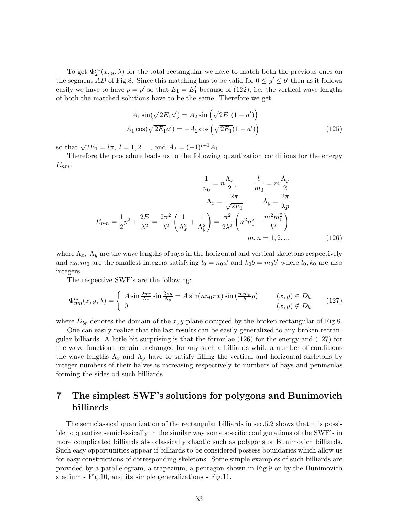To get  $\Psi_2^{as}(x, y, \lambda)$  for the total rectangular we have to match both the previous ones on the segment AD of Fig.8. Since this matching has to be valid for  $0 \le y' \le b'$  then as it follows easily we have to have  $p = p'$  so that  $E_1 = E'_1$  because of (122), i.e. the vertical wave lengths of both the matched solutions have to be the same. Therefore we get:

$$
A_1 \sin(\sqrt{2E_1}a') = A_2 \sin(\sqrt{2E_1}(1 - a'))
$$
  

$$
A_1 \cos(\sqrt{2E_1}a') = -A_2 \cos(\sqrt{2E_1}(1 - a'))
$$
 (125)

so that  $\sqrt{2E_1} = l\pi$ ,  $l = 1, 2, ...,$  and  $A_2 = (-1)^{l+1}A_1$ .

Therefore the procedure leads us to the following quantization conditions for the energy  $E_{nm}$ :

$$
\frac{1}{n_0} = n\frac{\Lambda_x}{2}, \qquad \frac{b}{m_0} = m\frac{\Lambda_y}{2}
$$

$$
\Lambda_x = \frac{2\pi}{\sqrt{2E_1}}, \qquad \Lambda_y = \frac{2\pi}{\lambda p}
$$

$$
E_{nm} = \frac{1}{2}p^2 + \frac{2E}{\lambda^2} = \frac{2\pi^2}{\lambda^2} \left(\frac{1}{\Lambda_x^2} + \frac{1}{\Lambda_y^2}\right) = \frac{\pi^2}{2\lambda^2} \left(n^2n_0^2 + \frac{m^2m_0^2}{b^2}\right)
$$

$$
m, n = 1, 2, ... \tag{126}
$$

where  $\Lambda_x$ ,  $\Lambda_y$  are the wave lengths of rays in the horizontal and vertical skeletons respectively and  $n_0, m_0$  are the smallest integers satisfying  $l_0 = n_0 a'$  and  $k_0 b = m_0 b'$  where  $l_0, k_0$  are also integers.

The respective SWF's are the following:

$$
\Psi_{nm}^{as}(x,y,\lambda) = \begin{cases}\nA\sin\frac{2\pi x}{\Lambda_x}\sin\frac{2\pi y}{\Lambda_y} = A\sin(nn_0\pi x)\sin\left(\frac{mm_0}{b}y\right) & (x,y) \in D_{br} \\
0 & (x,y) \notin D_{br}\n\end{cases}
$$
\n(127)

where  $D_{br}$  denotes the domain of the x, y-plane occupied by the broken rectangular of Fig.8.

One can easily realize that the last results can be easily generalized to any broken rectangular billiards. A little bit surprising is that the formulae (126) for the energy and (127) for the wave functions remain unchanged for any such a billiards while a number of conditions the wave lengths  $\Lambda_x$  and  $\Lambda_y$  have to satisfy filling the vertical and horizontal skeletons by integer numbers of their halves is increasing respectively to numbers of bays and peninsulas forming the sides od such billiards.

# 7 The simplest SWF's solutions for polygons and Bunimovich billiards

The semiclassical quantization of the rectangular billiards in sec.5.2 shows that it is possible to quantize semiclassically in the similar way some specific configurations of the SWF's in more complicated billiards also classically chaotic such as polygons or Bunimovich billiards. Such easy opportunities appear if billiards to be considered possess boundaries which allow us for easy constructions of corresponding skeletons. Some simple examples of such billiards are provided by a parallelogram, a trapezium, a pentagon shown in Fig.9 or by the Bunimovich stadium - Fig.10, and its simple generalizations - Fig.11.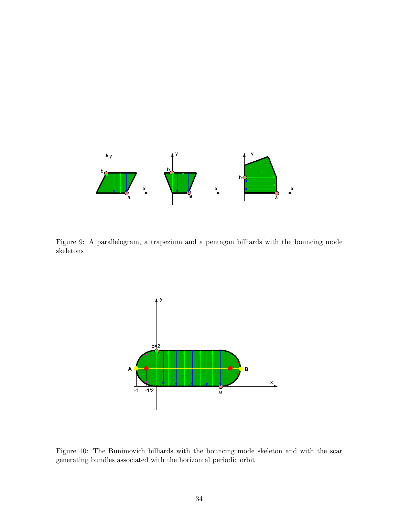

Figure 9: A parallelogram, a trapezium and a pentagon billiards with the bouncing mode skeletons



Figure 10: The Bunimovich billiards with the bouncing mode skeleton and with the scar generating bundles associated with the horizontal periodic orbit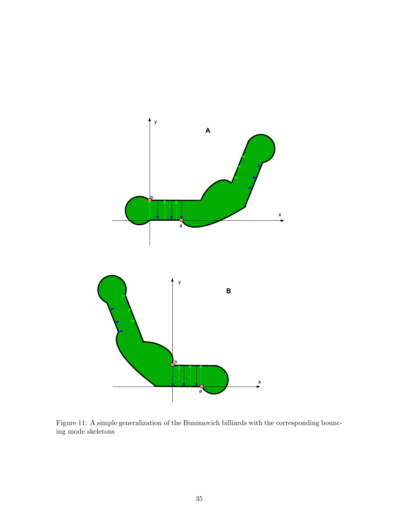

Figure 11: A simple generalization of the Bunimovich billiards with the corresponding bouncing mode skeletons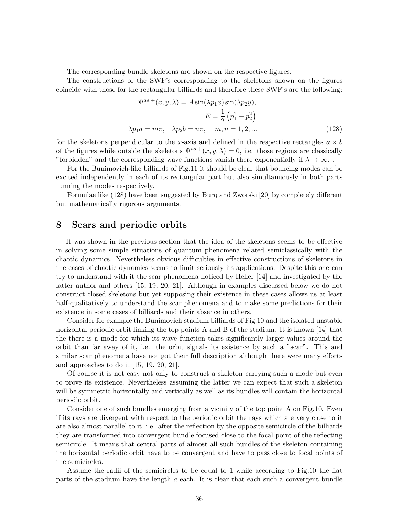The corresponding bundle skeletons are shown on the respective figures.

The constructions of the SWF's corresponding to the skeletons shown on the figures coincide with those for the rectangular billiards and therefore these SWF's are the following:

$$
\Psi^{as,+}(x, y, \lambda) = A \sin(\lambda p_1 x) \sin(\lambda p_2 y),
$$

$$
E = \frac{1}{2} \left( p_1^2 + p_2^2 \right)
$$

$$
\lambda p_1 a = m\pi, \quad \lambda p_2 b = n\pi, \quad m, n = 1, 2, \dots
$$
(128)

for the skeletons perpendicular to the x-axis and defined in the respective rectangles  $a \times b$ of the figures while outside the skeletons  $\Psi^{as,+}(x, y, \lambda) = 0$ , i.e. those regions are classically "forbidden" and the corresponding wave functions vanish there exponentially if  $\lambda \to \infty$ .

For the Bunimovich-like billiards of Fig.11 it should be clear that bouncing modes can be excited independently in each of its rectangular part but also simultanuously in both parts tunning the modes respectively.

Formulae like (128) have been suggested by Burq and Zworski [20] by completely different but mathematically rigorous arguments.

### 8 Scars and periodic orbits

It was shown in the previous section that the idea of the skeletons seems to be effective in solving some simple situations of quantum phenomena related semiclassically with the chaotic dynamics. Nevertheless obvious difficulties in effective constructions of skeletons in the cases of chaotic dynamics seems to limit seriously its applications. Despite this one can try to understand with it the scar phenomena noticed by Heller [14] and investigated by the latter author and others [15, 19, 20, 21]. Although in examples discussed below we do not construct closed skeletons but yet supposing their existence in these cases allows us at least half-qualitatively to understand the scar phenomena and to make some predictions for their existence in some cases of billiards and their absence in others.

Consider for example the Bunimovich stadium billiards of Fig.10 and the isolated unstable horizontal periodic orbit linking the top points A and B of the stadium. It is known [14] that the there is a mode for which its wave function takes significantly larger values around the orbit than far away of it, i.e. the orbit signals its existence by such a "scar". This and similar scar phenomena have not got their full description although there were many efforts and approaches to do it [15, 19, 20, 21].

Of course it is not easy not only to construct a skeleton carrying such a mode but even to prove its existence. Nevertheless assuming the latter we can expect that such a skeleton will be symmetric horizontally and vertically as well as its bundles will contain the horizontal periodic orbit.

Consider one of such bundles emerging from a vicinity of the top point A on Fig.10. Even if its rays are divergent with respect to the periodic orbit the rays which are very close to it are also almost parallel to it, i.e. after the reflection by the opposite semicircle of the billiards they are transformed into convergent bundle focused close to the focal point of the reflecting semicircle. It means that central parts of almost all such bundles of the skeleton containing the horizontal periodic orbit have to be convergent and have to pass close to focal points of the semicircles.

Assume the radii of the semicircles to be equal to 1 while according to Fig.10 the flat parts of the stadium have the length  $a$  each. It is clear that each such a convergent bundle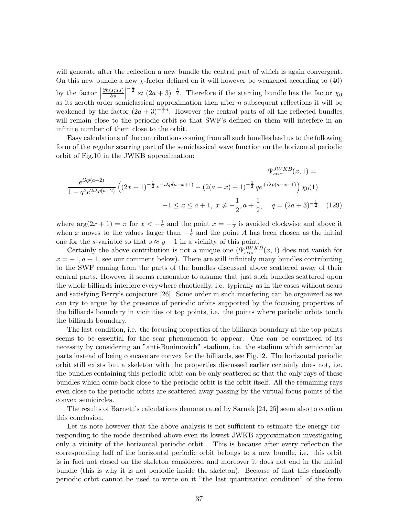will generate after the reflection a new bundle the central part of which is again convergent. On this new bundle a new  $\chi$ -factor defined on it will however be weakened according to (40) by the factor  $\vert$  $\partial h(s;u,l)$  $rac{(s; u, l)}{\partial s}$  $-\frac{1}{2} \approx (2a+3)^{-\frac{1}{2}}$ . Therefore if the starting bundle has the factor  $\chi_0$ as its zeroth order semiclassical approximation then after  $n$  subsequent reflections it will be weakened by the factor  $(2a + 3)^{-1}\overline{2}n$ . However the central parts of all the reflected bundles will remain close to the periodic orbit so that SWF's defined on them will interfere in an infinite number of them close to the orbit.

Easy calculations of the contributions coming from all such bundles lead us to the following form of the regular scarring part of the semiclassical wave function on the horizontal periodic orbit of Fig.10 in the JWKB approximation:

$$
\Psi_{scar}^{JWKB}(x, 1) =
$$
  

$$
\frac{e^{i\lambda p(a+2)}}{1 - q^2 e^{2i\lambda p(a+2)}} \left( (2x+1)^{-\frac{1}{2}} e^{-i\lambda p(a-x+1)} - (2(a-x)+1)^{-\frac{1}{2}} q e^{+i\lambda p(a-x+1)} \right) \chi_0(1)
$$
  

$$
-1 \le x \le a+1, \ x \ne -\frac{1}{2}, \ a+\frac{1}{2}, \ q = (2a+3)^{-\frac{1}{2}} \quad (129)
$$

where  $\arg(2x + 1) = \pi$  for  $x < -\frac{1}{2}$  $\frac{1}{2}$  and the point  $x = -\frac{1}{2}$  $\frac{1}{2}$  is avoided clockwise and above it when x moves to the values larger than  $-\frac{1}{2}$  $\frac{1}{2}$  and the point A has been chosen as the initial one for the s-variable so that  $s \approx y - 1$  in a vicinity of this point.

Certainly the above contribution is not a unique one  $(\Psi_{scar}^{JWKB}(x, 1))$  does not vanish for  $x = -1, a + 1$ , see our comment below). There are still infinitely many bundles contributing to the SWF coming from the parts of the bundles discussed above scattered away of their central parts. However it seems reasonable to assume that just such bundles scattered upon the whole billiards interfere everywhere chaotically, i.e. typically as in the cases without scars and satisfying Berry's conjecture [26]. Some order in such interfering can be organized as we can try to argue by the presence of periodic orbits supported by the focusing properties of the billiards boundary in vicinities of top points, i.e. the points where periodic orbits touch the billiards boundary.

The last condition, i.e. the focusing properties of the billiards boundary at the top points seems to be essential for the scar phenomenon to appear. One can be convinced of its necessity by considering an "anti-Bunimovich" stadium, i.e. the stadium which semicircular parts instead of being concave are convex for the billiards, see Fig.12. The horizontal periodic orbit still exists but a skeleton with the properties discussed earlier certainly does not, i.e. the bundles containing this periodic orbit can be only scattered so that the only rays of these bundles which come back close to the periodic orbit is the orbit itself. All the remaining rays even close to the periodic orbits are scattered away passing by the virtual focus points of the convex semicircles.

The results of Barnett's calculations demonstrated by Sarnak [24, 25] seem also to confirm this conclusion.

Let us note however that the above analysis is not sufficient to estimate the energy corresponding to the mode described above even its lowest JWKB approximation investigating only a vicinity of the horizontal periodic orbit . This is because after every reflection the corresponding half of the horizontal periodic orbit belongs to a new bundle, i.e. this orbit is in fact not closed on the skeleton considered and moreover it does not end in the initial bundle (this is why it is not periodic inside the skeleton). Because of that this classically periodic orbit cannot be used to write on it "the last quantization condition" of the form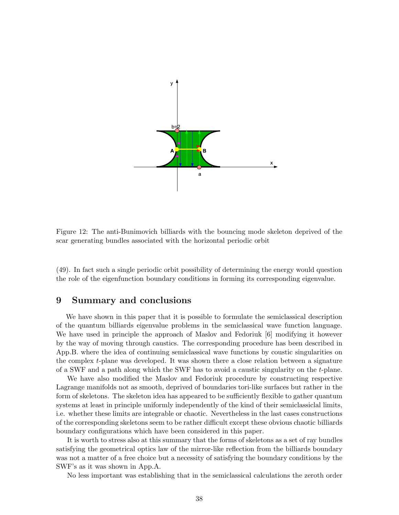

Figure 12: The anti-Bunimovich billiards with the bouncing mode skeleton deprived of the scar generating bundles associated with the horizontal periodic orbit

(49). In fact such a single periodic orbit possibility of determining the energy would question the role of the eigenfunction boundary conditions in forming its corresponding eigenvalue.

### 9 Summary and conclusions

We have shown in this paper that it is possible to formulate the semiclassical description of the quantum billiards eigenvalue problems in the semiclassical wave function language. We have used in principle the approach of Maslov and Fedoriuk [6] modifying it however by the way of moving through caustics. The corresponding procedure has been described in App.B. where the idea of continuing semiclassical wave functions by coustic singularities on the complex t-plane was developed. It was shown there a close relation between a signature of a SWF and a path along which the SWF has to avoid a caustic singularity on the t-plane.

We have also modified the Maslov and Fedoriuk procedure by constructing respective Lagrange manifolds not as smooth, deprived of boundaries tori-like surfaces but rather in the form of skeletons. The skeleton idea has appeared to be sufficiently flexible to gather quantum systems at least in principle uniformly independently of the kind of their semiclassiclal limits, i.e. whether these limits are integrable or chaotic. Nevertheless in the last cases constructions of the corresponding skeletons seem to be rather difficult except these obvious chaotic billiards boundary configurations which have been considered in this paper.

It is worth to stress also at this summary that the forms of skeletons as a set of ray bundles satisfying the geometrical optics law of the mirror-like reflection from the billiards boundary was not a matter of a free choice but a necessity of satisfying the boundary conditions by the SWF's as it was shown in App.A.

No less important was establishing that in the semiclassical calculations the zeroth order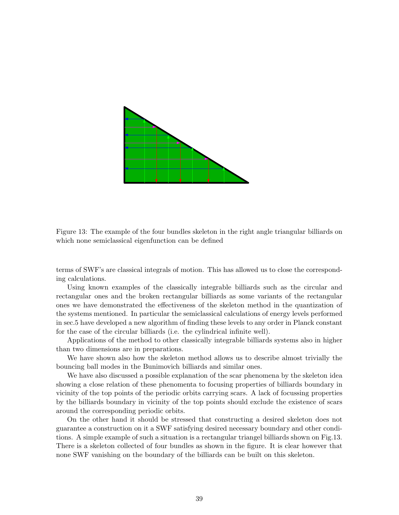

Figure 13: The example of the four bundles skeleton in the right angle triangular billiards on which none semiclassical eigenfunction can be defined

terms of SWF's are classical integrals of motion. This has allowed us to close the corresponding calculations.

Using known examples of the classically integrable billiards such as the circular and rectangular ones and the broken rectangular billiards as some variants of the rectangular ones we have demonstrated the effectiveness of the skeleton method in the quantization of the systems mentioned. In particular the semiclassical calculations of energy levels performed in sec.5 have developed a new algorithm of finding these levels to any order in Planck constant for the case of the circular billiards (i.e. the cylindrical infinite well).

Applications of the method to other classically integrable billiards systems also in higher than two dimensions are in preparations.

We have shown also how the skeleton method allows us to describe almost trivially the bouncing ball modes in the Bunimovich billiards and similar ones.

We have also discussed a possible explanation of the scar phenomena by the skeleton idea showing a close relation of these phenomenta to focusing properties of billiards boundary in vicinity of the top points of the periodic orbits carrying scars. A lack of focussing properties by the billiards boundary in vicinity of the top points should exclude the existence of scars around the corresponding periodic orbits.

On the other hand it should be stressed that constructing a desired skeleton does not guarantee a construction on it a SWF satisfying desired necessary boundary and other conditions. A simple example of such a situation is a rectangular triangel billiards shown on Fig.13. There is a skeleton collected of four bundles as shown in the figure. It is clear however that none SWF vanishing on the boundary of the billiards can be built on this skeleton.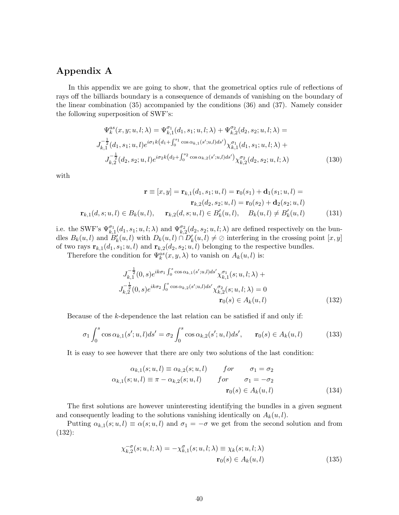## Appendix A

In this appendix we are going to show, that the geometrical optics rule of reflections of rays off the billiards boundary is a consequence of demands of vanishing on the boundary of the linear combination (35) accompanied by the conditions (36) and (37). Namely consider the following superposition of SWF's:

$$
\Psi_k^{as}(x, y; u, l; \lambda) = \Psi_{k,1}^{\sigma_1}(d_1, s_1; u, l; \lambda) + \Psi_{k,2}^{\sigma_2}(d_2, s_2; u, l; \lambda) =
$$
\n
$$
J_{k,1}^{-\frac{1}{2}}(d_1, s_1; u, l)e^{i\sigma_1 k\left(d_1 + \int_0^{s_1} \cos \alpha_{k,1}(s'; u, l)ds'\right)} \chi_{k,1}^{\sigma_1}(d_1, s_1; u, l; \lambda) +
$$
\n
$$
J_{k,2}^{-\frac{1}{2}}(d_2, s_2; u, l)e^{i\sigma_2 k\left(d_2 + \int_0^{s_2} \cos \alpha_{k,2}(s'; u, l)ds'\right)} \chi_{k,2}^{\sigma_2}(d_2, s_2; u, l; \lambda)
$$
\n(130)

with

$$
\mathbf{r} \equiv [x, y] = \mathbf{r}_{k,1}(d_1, s_1; u, l) = \mathbf{r}_0(s_1) + \mathbf{d}_1(s_1; u, l) =
$$
  
\n
$$
\mathbf{r}_{k,2}(d_2, s_2; u, l) = \mathbf{r}_0(s_2) + \mathbf{d}_2(s_2; u, l)
$$
  
\n
$$
\mathbf{r}_{k,1}(d, s; u, l) \in B_k(u, l), \quad \mathbf{r}_{k,2}(d, s; u, l) \in B'_k(u, l), \quad B_k(u, l) \neq B'_k(u, l)
$$
 (131)

i.e. the SWF's  $\Psi_{k,1}^{\sigma_1}(d_1, s_1; u, l; \lambda)$  and  $\Psi_{k,2}^{\sigma_2}(d_2, s_2; u, l; \lambda)$  are defined respectively on the bundles  $B_k(u, l)$  and  $B'_k(u, l)$  with  $D_k(u, l) \cap D'_k(u, l) \neq \emptyset$  interfering in the crossing point  $[x, y]$ of two rays  $\mathbf{r}_{k,1}(d_1, s_1; u, l)$  and  $\mathbf{r}_{k,2}(d_2, s_2; u, l)$  belonging to the respective bundles.

Therefore the condition for  $\Psi_k^{as}(x, y, \lambda)$  to vanish on  $A_k(u, l)$  is:

$$
J_{k,1}^{-\frac{1}{2}}(0,s)e^{ik\sigma_1\int_0^s \cos \alpha_{k,1}(s';u,l)ds'} \chi_{k,1}^{\sigma_1}(s;u,l;\lambda) +
$$
  

$$
J_{k,2}^{-\frac{1}{2}}(0,s)e^{ik\sigma_2\int_0^s \cos \alpha_{k,2}(s';u,l)ds'} \chi_{k,2}^{\sigma_2}(s;u,l;\lambda) = 0
$$
  

$$
\mathbf{r}_0(s) \in A_k(u,l)
$$
 (132)

Because of the k-dependence the last relation can be satisfied if and only if:

$$
\sigma_1 \int_0^s \cos \alpha_{k,1}(s';u,l) ds' = \sigma_2 \int_0^s \cos \alpha_{k,2}(s';u,l) ds', \qquad \mathbf{r}_0(s) \in A_k(u,l) \tag{133}
$$

It is easy to see however that there are only two solutions of the last condition:

$$
\alpha_{k,1}(s; u, l) \equiv \alpha_{k,2}(s; u, l) \qquad \text{for} \qquad \sigma_1 = \sigma_2
$$
  

$$
\alpha_{k,1}(s; u, l) \equiv \pi - \alpha_{k,2}(s; u, l) \qquad \text{for} \qquad \sigma_1 = -\sigma_2
$$
  

$$
\mathbf{r}_0(s) \in A_k(u, l) \tag{134}
$$

The first solutions are however uninteresting identifying the bundles in a given segment and consequently leading to the solutions vanishing identically on  $A_k(u, l)$ .

Putting  $\alpha_{k,1}(s; u, l) \equiv \alpha(s; u, l)$  and  $\sigma_1 = -\sigma$  we get from the second solution and from (132):

$$
\chi_{k,2}^{-\sigma}(s; u, l; \lambda) = -\chi_{k,1}^{\sigma}(s; u, l; \lambda) \equiv \chi_k(s; u, l; \lambda)
$$

$$
\mathbf{r}_0(s) \in A_k(u, l)
$$
(135)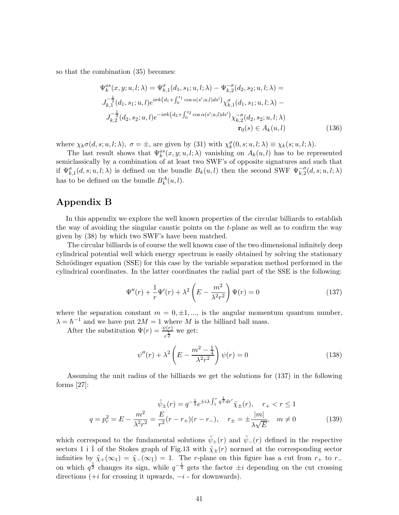so that the combination (35) becomes:

$$
\Psi_k^{as}(x, y; u, l; \lambda) = \Psi_{k,1}^{\sigma}(d_1, s_1; u, l; \lambda) - \Psi_{k,2}^{-\sigma}(d_2, s_2; u, l; \lambda) =
$$
  
\n
$$
J_{k,1}^{-\frac{1}{2}}(d_1, s_1; u, l)e^{i\sigma k\left(d_1 + \int_0^{s_1} \cos \alpha(s'; u, l)ds'\right)} \chi_{k,1}^{\sigma}(d_1, s_1; u, l; \lambda) -
$$
  
\n
$$
J_{k,2}^{-\frac{1}{2}}(d_2, s_2; u, l)e^{-i\sigma k\left(d_2 + \int_0^{s_2} \cos \alpha(s'; u, l)ds'\right)} \chi_{k,2}^{-\sigma}(d_2, s_2; u, l; \lambda)
$$
  
\n
$$
\mathbf{r}_0(s) \in A_k(u, l) \tag{136}
$$

where  $\chi_k \sigma(d, s; u, l; \lambda), \ \sigma = \pm$ , are given by (31) with  $\chi_k^{\sigma}(0, s; u, l; \lambda) \equiv \chi_k(s; u, l; \lambda)$ .

The last result shows that  $\Psi_k^{as}(x, y; u, l; \lambda)$  vanishing on  $A_k(u, l)$  has to be represented semiclassically by a combination of at least two SWF's of opposite signatures and such that if  $\Psi_{k,1}^{\sigma}(d,s;u,l;\lambda)$  is defined on the bundle  $B_k(u,l)$  then the second SWF  $\Psi_{k,2}^{-\sigma}(d,s;u,l;\lambda)$ has to be defined on the bundle  $B_k^A(u, l)$ .

### Appendix B

In this appendix we explore the well known properties of the circular billiards to establish the way of avoiding the singular caustic points on the t-plane as well as to confirm the way given by (38) by which two SWF's have been matched.

The circular billiards is of course the well known case of the two dimensional infinitely deep cylindrical potential well which energy spectrum is easily obtained by solving the stationary Schrödinger equation (SSE) for this case by the variable separation method performed in the cylindrical coordinates. In the latter coordinates the radial part of the SSE is the following:

$$
\Psi''(r) + \frac{1}{r}\Psi'(r) + \lambda^2 \left(E - \frac{m^2}{\lambda^2 r^2}\right)\Psi(r) = 0
$$
\n(137)

where the separation constant  $m = 0, \pm 1, \dots$ , is the angular momentum quantum number,  $\lambda = \hbar^{-1}$  and we have put  $2M = 1$  where M is the billiard ball mass.

After the substitution  $\Psi(r) = \frac{\psi(r)}{r^{\frac{1}{2}}}$  we get:

$$
\psi''(r) + \lambda^2 \left( E - \frac{m^2 - \frac{1}{4}}{\lambda^2 r^2} \right) \psi(r) = 0 \tag{138}
$$

Assuming the unit radius of the billiards we get the solutions for (137) in the following forms  $[27]$ :

$$
\tilde{\psi}_{\pm}(r) = q^{-\frac{1}{4}} e^{\pm i\lambda \int_{1}^{r} q^{\frac{1}{2}} dr'} \tilde{\chi}_{\pm}(r), \quad r_{+} < r \le 1
$$
\n
$$
q = p_{r}^{2} = E - \frac{m^{2}}{\lambda^{2} r^{2}} = \frac{E}{r^{2}} (r - r_{+}) (r - r_{-}), \quad r_{\pm} = \pm \frac{|m|}{\lambda \sqrt{E}}, \quad m \ne 0
$$
\n(139)

which correspond to the fundamental solutions  $\tilde{\psi}_+(r)$  and  $\tilde{\psi}_-(r)$  defined in the respective sectors 1 i  $\overline{1}$  of the Stokes graph of Fig.13 with  $\tilde{\chi}_{\pm}(r)$  normed at the corresponding sector infinities by  $\tilde{\chi}_+(\infty_1) = \tilde{\chi}_-(\infty_{\bar{1}}) = 1$ . The r-plane on this figure has a cut from  $r_+$  to  $r_$ on which  $q^{\frac{1}{2}}$  changes its sign, while  $q^{-\frac{1}{4}}$  gets the factor  $\pm i$  depending on the cut crossing directions  $(+i$  for crossing it upwards,  $-i$  - for downwards).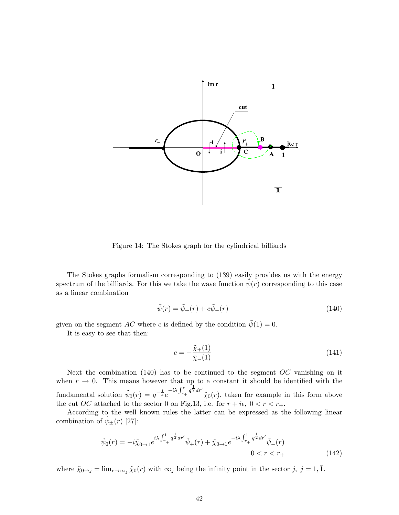

Figure 14: The Stokes graph for the cylindrical billiards

The Stokes graphs formalism corresponding to (139) easily provides us with the energy spectrum of the billiards. For this we take the wave function  $\psi(r)$  corresponding to this case as a linear combination

$$
\tilde{\psi}(r) = \tilde{\psi}_+(r) + c\tilde{\psi}_-(r) \tag{140}
$$

given on the segment AC where c is defined by the condition  $\tilde{\psi}(1) = 0$ .

It is easy to see that then:

$$
c = -\frac{\tilde{\chi}_+(1)}{\tilde{\chi}_-(1)}\tag{141}
$$

Next the combination  $(140)$  has to be continued to the segment OC vanishing on it when  $r \to 0$ . This means however that up to a constant it should be identified with the fundamental solution  $\tilde{\psi}_0(r) = q^{-\frac{1}{4}}e$  $-i\lambda \int_{r_+}^r q^{\frac{1}{2}} dr'$  $\tilde{\chi}_0(r)$ , taken for example in this form above the cut OC attached to the sector 0 on Fig.13, i.e. for  $r + i\epsilon$ ,  $0 < r < r_{+}$ .

According to the well known rules the latter can be expressed as the following linear combination of  $\tilde{\psi}_{\pm}(r)$  [27]:

$$
\tilde{\psi}_0(r) = -i\tilde{\chi}_{0 \to \bar{1}} e^{i\lambda \int_{r_+}^1 q^{\frac{1}{2}} dr'} \tilde{\psi}_+(r) + \tilde{\chi}_{0 \to 1} e^{-i\lambda \int_{r_+}^1 q^{\frac{1}{2}} dr'} \tilde{\psi}_-(r) \n0 < r < r_+ \n\tag{142}
$$

where  $\tilde{\chi}_{0\to j} = \lim_{r\to\infty} \tilde{\chi}_0(r)$  with  $\infty_j$  being the infinity point in the sector  $j, j = 1, \overline{1}$ .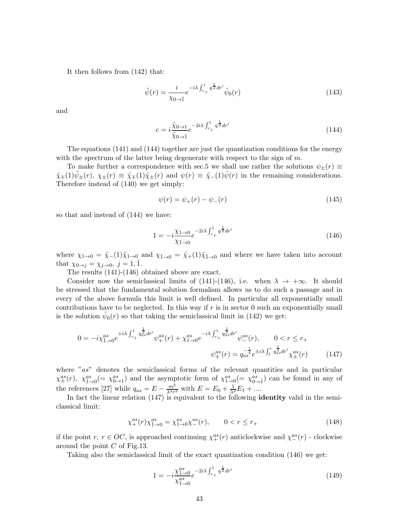It then follows from (142) that:

$$
\tilde{\psi}(r) = \frac{i}{\chi_{0 \to \bar{1}}} e^{-i\lambda \int_{r_+}^1 q^{\frac{1}{2}} dr'} \tilde{\psi}_0(r) \tag{143}
$$

and

$$
c = i \frac{\tilde{\chi}_{0 \to 1}}{\tilde{\chi}_{0 \to \bar{1}}} e^{-2i\lambda \int_{r_+}^{1} q^{\frac{1}{2}} dr'} \tag{144}
$$

The equations (141) and (144) together are just the quantization conditions for the energy with the spectrum of the latter being degenerate with respect to the sign of  $m$ .

To make further a correspondence with sec.5 we shall use rather the solutions  $\psi_{\pm}(r) \equiv$  $\tilde{\chi}_{\pm}(1)\tilde{\psi}_{\pm}(r), \chi_{\pm}(r) \equiv \tilde{\chi}_{\pm}(1)\tilde{\chi}_{\pm}(r)$  and  $\psi(r) \equiv \tilde{\chi}_{-}(1)\tilde{\psi}(r)$  in the remaining considerations. Therefore instead of (140) we get simply:

$$
\psi(r) = \psi_+(r) - \psi_-(r) \tag{145}
$$

so that and instead of (144) we have:

$$
1 = -i\frac{\chi_{1\to 0}}{\chi_{1\to 0}}e^{-2i\lambda \int_{r_+}^1 q^{\frac{1}{2}}dr'}\tag{146}
$$

where  $\chi_{1\to 0} = \tilde{\chi}_-(1)\tilde{\chi}_{1\to 0}$  and  $\chi_{1\to 0} = \tilde{\chi}_+(1)\tilde{\chi}_{1\to 0}$  and where we have taken into account that  $\chi_{0\rightarrow j} = \chi_{j\rightarrow 0}, j = 1, 1$ .

The results (141)-(146) obtained above are exact.

Consider now the semiclassical limits of (141)-(146), i.e. when  $\lambda \to +\infty$ . It should be stressed that the fundamental solution formalism allows us to do such a passage and in every of the above formula this limit is well defined. In particular all exponentially small contributions have to be neglected. In this way if  $r$  is in sector 0 such an exponentially small is the solution  $\tilde{\psi}_0(r)$  so that taking the semiclassical limit in (142) we get:

$$
0 = -i\chi_{\bar{1}\to 0}^{as}e^{+i\lambda\int_{r_+}^1 q_{as}^{\frac{1}{2}} dr'}\psi_{+}^{as}(r) + \chi_{1\to 0}^{as}e^{-i\lambda\int_{r_+}^1 q_{as}^{\frac{1}{2}} dr'}\psi_{-}^{as}(r), \qquad 0 < r \le r_+
$$

$$
\psi_{\pm}^{as}(r) = q_{as}^{-\frac{1}{4}} e^{\pm i\lambda\int_{1}^r q_{as}^{\frac{1}{2}} dr'}\chi_{\pm}^{as}(r) \tag{147}
$$

where "as" denotes the semiclassical forms of the relevant quantities and in particular  $\chi_{\pm}^{as}(r)$ ,  $\chi_{1\to 0}^{as}(=\chi_{0\to 1}^{as})$  and the asymptotic form of  $\chi_{1\to 0}^{as}(=\chi_{0\to 1}^{as})$  can be found in any of the references [27] while  $q_{as} = E - \frac{m^2}{\lambda^2 r}$  $\frac{m^2}{\lambda^2 r^2}$  with  $E = E_0 + \frac{1}{\lambda^2} E_1 + ...$ 

In fact the linear relation  $(147)$  is equivalent to the following **identity** valid in the semiclassical limit:

$$
\chi_{+}^{as}(r)\chi_{1\to 0}^{as} = \chi_{1\to 0}^{as}\chi_{-}^{as}(r), \qquad 0 < r \le r_{+} \tag{148}
$$

if the point  $r, r \in OC$ , is approached continuing  $\chi_+^{as}(r)$  anticlockwise and  $\chi_-^{as}(r)$  - clockwise around the point C of Fig.13.

Taking also the semiclassical limit of the exact quantization condition (146) we get:

$$
1 = -i\frac{\chi_{1\to 0}^{as}}{\chi_{1\to 0}^{as}}e^{-2i\lambda\int_{r_+}^1 q^{\frac{1}{2}}dr'}\tag{149}
$$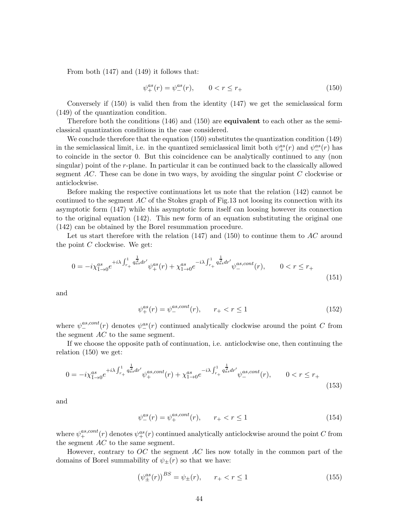From both (147) and (149) it follows that:

$$
\psi_{+}^{as}(r) = \psi_{-}^{as}(r), \qquad 0 < r \le r_{+} \tag{150}
$$

Conversely if (150) is valid then from the identity (147) we get the semiclassical form (149) of the quantization condition.

Therefore both the conditions  $(146)$  and  $(150)$  are **equivalent** to each other as the semiclassical quantization conditions in the case considered.

We conclude therefore that the equation (150) substitutes the quantization condition (149) in the semiclassical limit, i.e. in the quantized semiclassical limit both  $\psi^{as}_{+}(r)$  and  $\psi^{as}_{-}(r)$  has to coincide in the sector 0. But this coincidence can be analytically continued to any (non singular) point of the r-plane. In particular it can be continued back to the classically allowed segment  $AC$ . These can be done in two ways, by avoiding the singular point  $C$  clockwise or anticlockwise.

Before making the respective continuations let us note that the relation (142) cannot be continued to the segment  $AC$  of the Stokes graph of Fig.13 not loosing its connection with its asymptotic form (147) while this asymptotic form itself can loosing however its connection to the original equation (142). This new form of an equation substituting the original one (142) can be obtained by the Borel resummation procedure.

Let us start therefore with the relation  $(147)$  and  $(150)$  to continue them to AC around the point  $C$  clockwise. We get:

$$
0 = -i\chi_{1\to 0}^{as}e^{+i\lambda\int_{r_+}^1 q_{as}^{\frac{1}{2}} dr'}\psi_+^{as}(r) + \chi_{1\to 0}^{as}e^{-i\lambda\int_{r_+}^1 q_{as}^{\frac{1}{2}} dr'}\psi_-^{as, cont}(r), \qquad 0 < r \le r_+ \tag{151}
$$

and

$$
\psi_{+}^{as}(r) = \psi_{-}^{as,cont}(r), \qquad r_{+} < r \le 1 \tag{152}
$$

where  $\psi^{as,cont}_{-}(r)$  denotes  $\psi^{as}_{-}(r)$  continued analytically clockwise around the point C from the segment AC to the same segment.

If we choose the opposite path of continuation, i.e. anticlockwise one, then continuing the relation (150) we get:

$$
0 = -i\chi_{1\to 0}^{as}e^{+i\lambda\int_{r_+}^1 q_{as}^{\frac{1}{2}} dr'}\psi_+^{as, cont}(r) + \chi_{1\to 0}^{as}e^{-i\lambda\int_{r_+}^1 q_{as}^{\frac{1}{2}} dr'}\psi_-^{as, cont}(r), \qquad 0 < r \le r_+(153)
$$

and

$$
\psi_{-}^{as}(r) = \psi_{+}^{as,cont}(r), \qquad r_{+} < r \le 1 \tag{154}
$$

where  $\psi^{as,cont}_+(r)$  denotes  $\psi^{as}_+(r)$  continued analytically anticlockwise around the point C from the segment AC to the same segment.

However, contrary to  $OC$  the segment  $AC$  lies now totally in the common part of the domains of Borel summability of  $\psi_{\pm}(r)$  so that we have:

$$
(\psi_{\pm}^{as}(r))^{BS} = \psi_{\pm}(r), \qquad r_{+} < r \le 1 \tag{155}
$$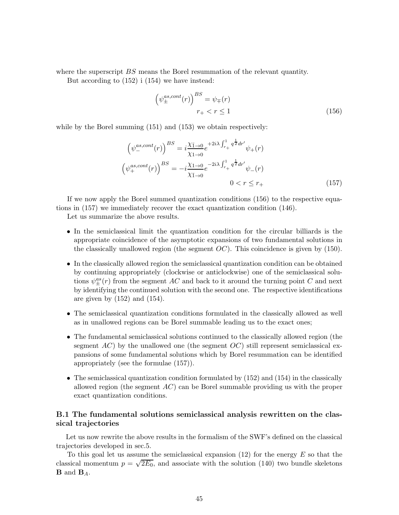where the superscript BS means the Borel resummation of the relevant quantity.

But according to (152) i (154) we have instead:

$$
\left(\psi_{\pm}^{as,cont}(r)\right)^{BS} = \psi_{\mp}(r)
$$

$$
r_{+} < r \le 1\tag{156}
$$

while by the Borel summing  $(151)$  and  $(153)$  we obtain respectively:

$$
\left(\psi_{-}^{as,cont}(r)\right)^{BS} = i\frac{\chi_{\bar{1}\to 0}}{\chi_{1\to 0}}e^{+2i\lambda\int_{r_{+}}^{1} q^{\frac{1}{2}} dr'}\psi_{+}(r)
$$

$$
\left(\psi_{+}^{as,cont}(r)\right)^{BS} = -i\frac{\chi_{1\to 0}}{\chi_{\bar{1}\to 0}}e^{-2i\lambda\int_{r_{+}}^{1} q^{\frac{1}{2}} dr'}\psi_{-}(r)
$$

$$
0 < r \leq r_{+} \tag{157}
$$

If we now apply the Borel summed quantization conditions (156) to the respective equations in (157) we immediately recover the exact quantization condition (146).

Let us summarize the above results.

- In the semiclassical limit the quantization condition for the circular billiards is the appropriate coincidence of the asymptotic expansions of two fundamental solutions in the classically unallowed region (the segment  $OC$ ). This coincidence is given by (150).
- In the classically allowed region the semiclassical quantization condition can be obtained by continuing appropriately (clockwise or anticlockwise) one of the semiclassical solutions  $\psi_{\pm}^{as}(r)$  from the segment AC and back to it around the turning point C and next by identifying the continued solution with the second one. The respective identifications are given by  $(152)$  and  $(154)$ .
- The semiclassical quantization conditions formulated in the classically allowed as well as in unallowed regions can be Borel summable leading us to the exact ones;
- The fundamental semiclassical solutions continued to the classically allowed region (the segment  $AC$ ) by the unallowed one (the segment  $OC$ ) still represent semiclassical expansions of some fundamental solutions which by Borel resummation can be identified appropriately (see the formulae (157)).
- The semiclassical quantization condition formulated by (152) and (154) in the classically allowed region (the segment  $AC$ ) can be Borel summable providing us with the proper exact quantization conditions.

### B.1 The fundamental solutions semiclassical analysis rewritten on the classical trajectories

Let us now rewrite the above results in the formalism of the SWF's defined on the classical trajectories developed in sec.5.

To this goal let us assume the semiclassical expansion  $(12)$  for the energy E so that the classical momentum  $p = \sqrt{2E_0}$ , and associate with the solution (140) two bundle skeletons  $\mathbf{B}$  and  $\mathbf{B}_A$ .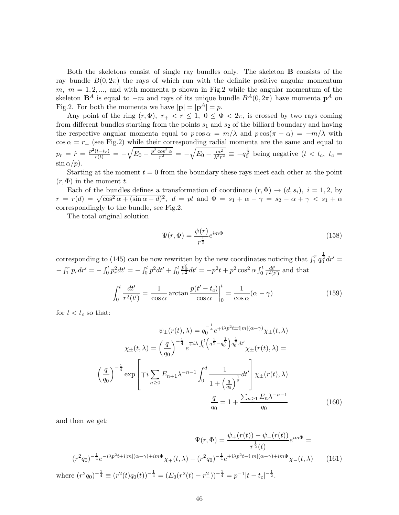Both the skeletons consist of single ray bundles only. The skeleton B consists of the ray bundle  $B(0, 2\pi)$  the rays of which run with the definite positive angular momentum m,  $m = 1, 2, \dots$ , and with momenta **p** shown in Fig.2 while the angular momentum of the skeleton  $\mathbf{B}^A$  is equal to  $-m$  and rays of its unique bundle  $B^A(0, 2\pi)$  have momenta  $\mathbf{p}^A$  on Fig.2. For both the momenta we have  $|\mathbf{p}| = |\mathbf{p}^A| = p$ .

Any point of the ring  $(r, \Phi)$ ,  $r_+ < r \leq 1$ ,  $0 \leq \Phi < 2\pi$ , is crossed by two rays coming from different bundles starting from the points  $s_1$  and  $s_2$  of the billiard boundary and having the respective angular momenta equal to  $p \cos \alpha = m/\lambda$  and  $p \cos(\pi - \alpha) = -m/\lambda$  with  $\cos \alpha = r_+$  (see Fig.2) while their corresponding radial momenta are the same and equal to  $p_r = \dot{r} = \frac{p^2(t-t_c)}{r(t)} = -\sqrt{E_0 - \frac{p^2 \cos^2 \alpha}{r^2}}$  $\overline{\frac{\cos^2\alpha}{r^2}}\,=\,-\sqrt{E_0-\frac{m^2}{\lambda^2r^2}}$  $\frac{m^2}{\lambda^2 r^2} \equiv -q_0^{\frac{1}{2}}$  being negative  $(t < t_c, t_c =$  $\sin \alpha/p$ ).

Starting at the moment  $t = 0$  from the boundary these rays meet each other at the point  $(r, \Phi)$  in the moment t.

Each of the bundles defines a transformation of coordinate  $(r, \Phi) \rightarrow (d, s_i)$ ,  $i = 1, 2$ , by  $r = r(d) = \sqrt{\cos^2 \alpha + (\sin \alpha - d)^2}, d = pt$  and  $\Phi = s_1 + \alpha - \gamma = s_2 - \alpha + \gamma < s_1 + \alpha$ correspondingly to the bundle, see Fig.2.

The total original solution

$$
\Psi(r,\Phi) = \frac{\psi(r)}{r^{\frac{1}{2}}}e^{im\Phi} \tag{158}
$$

corresponding to (145) can be now rewritten by the new coordinates noticing that  $\int_1^r q_0^{\frac{1}{2}} dr' =$  $-\int_1^r p_r dr' = -\int_0^t p_r^2 dt' = -\int_0^t p^2 dt' + \int_0^t$  $\frac{p^2_\Phi}{r^2} dt' = -p^2 t + p^2 \cos^2 \alpha \int_0^t \frac{dt'}{r^2(t')}$  $\frac{dt'}{r^2(t')}$  and that

$$
\int_0^t \frac{dt'}{r^2(t')} = \frac{1}{\cos \alpha} \arctan \frac{p(t'-t_c)}{\cos \alpha} \Big|_0^t = \frac{1}{\cos \alpha} (\alpha - \gamma)
$$
\n(159)

for  $t < t_c$  so that:

$$
\psi_{\pm}(r(t),\lambda) = q_0^{-\frac{1}{4}} e^{\mp i\lambda p^2 t \pm i|m|(\alpha-\gamma)} \chi_{\pm}(t,\lambda)
$$

$$
\chi_{\pm}(t,\lambda) = \left(\frac{q}{q_0}\right)^{-\frac{1}{4}} e^{\mp i\lambda \int_0^t \left(q^{\frac{1}{2}} - q_0^{\frac{1}{2}}\right) q_0^{\frac{1}{2}} dt'} \chi_{\pm}(r(t),\lambda) =
$$

$$
\left(\frac{q}{q_0}\right)^{-\frac{1}{4}} \exp\left[\mp i \sum_{n\geq 0} E_{n+1} \lambda^{-n-1} \int_0^d \frac{1}{1 + \left(\frac{q}{q_0}\right)^{\frac{1}{2}}} dt'\right] \chi_{\pm}(r(t),\lambda)
$$

$$
\frac{q}{q_0} = 1 + \frac{\sum_{n\geq 1} E_n \lambda^{-n-1}}{q_0} \tag{160}
$$

and then we get:

$$
\Psi(r,\Phi) = \frac{\psi_+(r(t)) - \psi_-(r(t))}{r^{\frac{1}{2}}(t)} e^{im\Phi} =
$$
  
\n
$$
(r^2 q_0)^{-\frac{1}{4}} e^{-i\lambda p^2 t + i|m|(\alpha - \gamma) + im\Phi} \chi_+(t,\lambda) - (r^2 q_0)^{-\frac{1}{4}} e^{+i\lambda p^2 t - i|m|(\alpha - \gamma) + im\Phi} \chi_-(t,\lambda)
$$
 (161)  
\nwhere  $(r^2 q_0)^{-\frac{1}{4}} \equiv (r^2(t)q_0(t))^{-\frac{1}{4}} = (E_0(r^2(t) - r_+^2))^{-\frac{1}{4}} = p^{-1}|t - t_c|^{-\frac{1}{2}}.$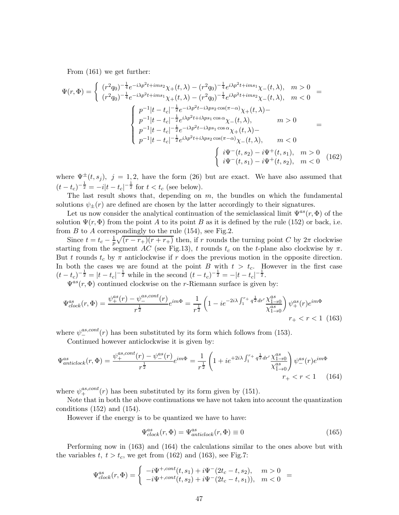From (161) we get further:

$$
\Psi(r,\Phi) = \begin{cases}\n(r^2q_0)^{-\frac{1}{4}}e^{-i\lambda p^2t + ims_2}\chi_+(t,\lambda) - (r^2q_0)^{-\frac{1}{4}}e^{i\lambda p^2t + ims_1}\chi_-(t,\lambda), & m > 0 \\
(r^2q_0)^{-\frac{1}{4}}e^{-i\lambda p^2t + ims_1}\chi_+(t,\lambda) - (r^2q_0)^{-\frac{1}{4}}e^{i\lambda p^2t + ims_2}\chi_-(t,\lambda), & m < 0\n\end{cases} =
$$
\n
$$
\begin{cases}\np^{-1}|t-t_c|^{-\frac{1}{2}}e^{-i\lambda p^2t - i\lambda ps_2\cos(\pi-\alpha)}\chi_+(t,\lambda) - \\
p^{-1}|t-t_c|^{-\frac{1}{2}}e^{i\lambda p^2t + i\lambda ps_1\cos\alpha}\chi_-(t,\lambda), & m > 0 \\
p^{-1}|t-t_c|^{-\frac{1}{2}}e^{-i\lambda p^2t - i\lambda ps_1\cos\alpha}\chi_+(t,\lambda) - \\
p^{-1}|t-t_c|^{-\frac{1}{2}}e^{i\lambda p^2t + i\lambda ps_2\cos(\pi-\alpha)}\chi_-(t,\lambda), & m < 0 \\
p^{-1}|t-t_c|^{-\frac{1}{2}}e^{i\lambda p^2t + i\lambda ps_2\cos(\pi-\alpha)}\chi_-(t,\lambda), & m > 0 \\
i\Psi^-(t,s_2) - i\Psi^+(t,s_1), & m > 0\n\end{cases} (162)
$$

where  $\Psi^{\pm}(t,s_i), j = 1,2$ , have the form (26) but are exact. We have also assumed that  $(t - t_c)^{-\frac{1}{2}} = -i|t - t_c|^{-\frac{1}{2}}$  for  $t < t_c$  (see below).

The last result shows that, depending on  $m$ , the bundles on which the fundamental solutions  $\psi_{+}(r)$  are defined are chosen by the latter accordingly to their signatures.

Let us now consider the analytical continuation of the semiclassical limit  $\Psi^{as}(r, \Phi)$  of the solution  $\Psi(r, \Phi)$  from the point A to its point B as it is defined by the rule (152) or back, i.e. from  $B$  to  $A$  correspondingly to the rule (154), see Fig.2.

Since  $t = t_c - \frac{1}{p} \sqrt{(r - r_+)(r + r_+)}$  then, if r rounds the turning point C by  $2\pi$  clockwise starting from the segment AC (see Fig.13), t rounds  $t_c$  on the t-plane also clockwise by  $\pi$ . But t rounds  $t_c$  by  $\pi$  anticlockwise if r does the previous motion in the opposite direction. In both the cases we are found at the point B with  $t > t_c$ . However in the first case  $(t - t_c)^{-\frac{1}{2}} = |t - t_c|^{-\frac{1}{2}}$  while in the second  $(t - t_c)^{-\frac{1}{2}} = -|t - t_c|^{-\frac{1}{2}}$ .

 $\Psi^{as}(r, \Phi)$  continued clockwise on the r-Riemann surface is given by:

$$
\Psi_{clock}^{as}(r,\Phi) = \frac{\psi_{+}^{as}(r) - \psi_{-}^{as,cont}(r)}{r^{\frac{1}{2}}}e^{im\Phi} = \frac{1}{r^{\frac{1}{2}}}\left(1 - ie^{-2i\lambda\int_{1}^{r_{+}} q^{\frac{1}{2}}dr'}\frac{\chi_{1\to 0}^{as}}{\chi_{1\to 0}^{as}}\right)\psi_{+}^{as}(r)e^{im\Phi}
$$
  

$$
r_{+} < r < 1 \tag{163}
$$

where  $\psi^{as,cont}_{-}(r)$  has been substituted by its form which follows from (153).

Continued however anticlockwise it is given by:

$$
\Psi_{anticlock}^{as}(r,\Phi) = \frac{\psi_{+}^{as,cont}(r) - \psi_{-}^{as}(r)}{r^{\frac{1}{2}}}e^{im\Phi} = \frac{1}{r^{\frac{1}{2}}}\left(1 + ie^{+2i\lambda} \int_{1}^{r_{+}} q^{\frac{1}{2}} dr' \frac{\chi_{1\to 0}^{as}}{\chi_{1\to 0}^{as}}\right)\psi_{-}^{as}(r)e^{im\Phi}
$$
\n
$$
r_{+} < r < 1\tag{164}
$$

where  $\psi_{+}^{as, cont}(r)$  has been substituted by its form given by (151).

Note that in both the above continuations we have not taken into account the quantization conditions  $(152)$  and  $(154)$ .

However if the energy is to be quantized we have to have:

$$
\Psi^{as}_{clock}(r, \Phi) = \Psi^{as}_{anticlock}(r, \Phi) \equiv 0 \tag{165}
$$

Performing now in (163) and (164) the calculations similar to the ones above but with the variables  $t, t > t_c$ , we get from (162) and (163), see Fig.7:

$$
\Psi_{clock}^{as}(r,\Phi) = \begin{cases}\n-i\Psi^{+,cont}(t,s_1) + i\Psi^-(2t_c - t,s_2), & m > 0 \\
-i\Psi^{+,cont}(t,s_2) + i\Psi^-(2t_c - t,s_1)), & m < 0\n\end{cases}
$$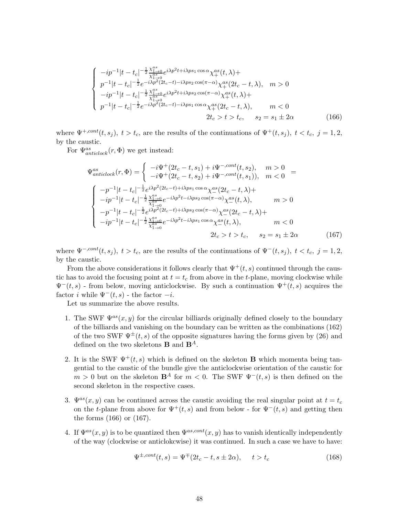$$
\begin{cases}\n-ip^{-1}|t-t_c|^{-\frac{1}{2}\frac{\chi_{1\to 0}^{as}}{\chi_{1\to 0}^{as}}e^{i\lambda p^{2}t+i\lambda ps_{1}\cos\alpha}\chi_{+}^{as}(t,\lambda)+ \\
p^{-1}|t-t_c|^{-\frac{1}{2}}e^{-i\lambda p^{2}(2t_{c}-t)-i\lambda ps_{2}\cos(\pi-\alpha)}\chi_{+}^{as}(2t_{c}-t,\lambda), & m > 0 \\
-ip^{-1}|t-t_{c}|^{-\frac{1}{2}\frac{\chi_{1\to 0}^{as}}{\chi_{1\to 0}^{as}}e^{i\lambda p^{2}t+i\lambda ps_{2}\cos(\pi-\alpha)}\chi_{+}^{as}(t,\lambda)+ \\
p^{-1}|t-t_{c}|^{-\frac{1}{2}}e^{-i\lambda p^{2}(2t_{c}-t)-i\lambda ps_{1}\cos\alpha}\chi_{+}^{as}(2t_{c}-t,\lambda), & m < 0 \\
2t_{c} > t > t_{c}, & s_{2} = s_{1} \pm 2\alpha\n\end{cases}
$$
\n(166)

where  $\Psi^{+,cont}(t, s_i)$ ,  $t > t_c$ , are the results of the continuations of  $\Psi^+(t, s_i)$ ,  $t < t_c$ ,  $j = 1, 2$ , by the caustic.

For  $\Psi^{as}_{anticlock}(r, \Phi)$  we get instead:

$$
\Psi_{anticlock}^{as}(r, \Phi) = \begin{cases}\n-i\Psi^{+}(2t_{c} - t, s_{1}) + i\Psi^{-,cont}(t, s_{2}), & m > 0 \\
-i\Psi^{+}(2t_{c} - t, s_{2}) + i\Psi^{-,cont}(t, s_{1})), & m < 0\n\end{cases} =
$$
\n
$$
\begin{cases}\n-p^{-1}|t - t_{c}|^{-\frac{1}{2}}e^{i\lambda p^{2}(2t_{c} - t) + i\lambda ps_{1} \cos \alpha} \chi_{-}^{as}(2t_{c} - t, \lambda) + \\
-i p^{-1}|t - t_{c}|^{-\frac{1}{2}} \frac{\chi_{1 \to 0}^{as}}{\chi_{1 \to 0}^{as}} e^{-i\lambda p^{2}t - i\lambda ps_{2} \cos(\pi - \alpha)} \chi_{-}^{as}(t, \lambda), & m > 0\n\end{cases}
$$
\n
$$
-p^{-1}|t - t_{c}|^{-\frac{1}{2}}e^{i\lambda p^{2}(2t_{c} - t) + i\lambda ps_{2} \cos(\pi - \alpha)} \chi_{-}^{as}(2t_{c} - t, \lambda) +
$$
\n
$$
-ip^{-1}|t - t_{c}|^{-\frac{1}{2}} \frac{\chi_{1 \to 0}^{as}}{\chi_{1 \to 0}^{as}} e^{-i\lambda p^{2}t - i\lambda ps_{1} \cos \alpha} \chi_{-}^{as}(t, \lambda), & m < 0
$$
\n
$$
2t_{c} > t > t_{c}, \quad s_{2} = s_{1} \pm 2\alpha \tag{167}
$$

where  $\Psi^{-,cont}(t, s_j)$ ,  $t > t_c$ , are the results of the continuations of  $\Psi^-(t, s_j)$ ,  $t < t_c$ ,  $j = 1, 2$ , by the caustic.

From the above considerations it follows clearly that  $\Psi^+(t,s)$  continued through the caustic has to avoid the focusing point at  $t = t_c$  from above in the t-plane, moving clockwise while  $\Psi^-(t,s)$  - from below, moving anticlockwise. By such a continuation  $\Psi^+(t,s)$  acquires the factor *i* while  $\Psi^-(t, s)$  - the factor  $-i$ .

Let us summarize the above results.

- 1. The SWF  $\Psi^{as}(x, y)$  for the circular billiards originally defined closely to the boundary of the billiards and vanishing on the boundary can be written as the combinations (162) of the two SWF  $\Psi^{\pm}(t, s)$  of the opposite signatures having the forms given by (26) and defined on the two skeletons **B** and  $\mathbf{B}^{A}$ .
- 2. It is the SWF  $\Psi^+(t,s)$  which is defined on the skeleton **B** which momenta being tangential to the caustic of the bundle give the anticlockwise orientation of the caustic for  $m > 0$  but on the skeleton  $\mathbf{B}^A$  for  $m < 0$ . The SWF  $\Psi^-(t, s)$  is then defined on the second skeleton in the respective cases.
- 3.  $\Psi^{as}(x, y)$  can be continued across the caustic avoiding the real singular point at  $t = t_c$ on the t-plane from above for  $\Psi^+(t,s)$  and from below - for  $\Psi^-(t,s)$  and getting then the forms (166) or (167).
- 4. If  $\Psi^{as}(x, y)$  is to be quantized then  $\Psi^{as, cont}(x, y)$  has to vanish identically independently of the way (clockwise or anticlokcwise) it was continued. In such a case we have to have:

$$
\Psi^{\pm, cont}(t,s) = \Psi^{\mp}(2t_c - t, s \pm 2\alpha), \qquad t > t_c \tag{168}
$$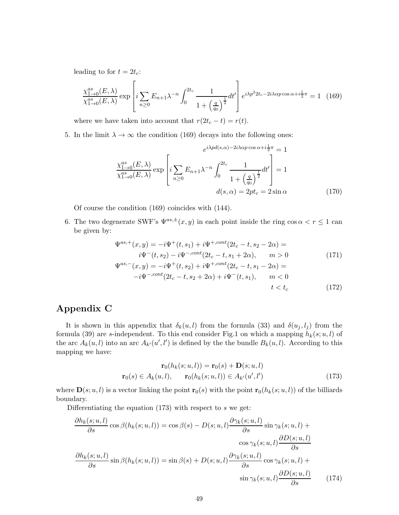leading to for  $t = 2t_c$ :

$$
\frac{\chi_{1\to 0}^{as}(E,\lambda)}{\chi_{1\to 0}^{as}(E,\lambda)} \exp\left[i\sum_{n\geq 0} E_{n+1}\lambda^{-n} \int_0^{2t_c} \frac{1}{1+\left(\frac{q}{q_0}\right)^{\frac{1}{2}}} dt'\right] e^{i\lambda p^2 2t_c - 2i\lambda \alpha p \cos \alpha + i\frac{1}{2}\pi} = 1 \quad (169)
$$

where we have taken into account that  $r(2t_c - t) = r(t)$ .

5. In the limit  $\lambda \to \infty$  the condition (169) decays into the following ones:

$$
e^{i\lambda p d(s,\alpha) - 2i\lambda\alpha p \cos\alpha + i\frac{1}{2}\pi} = 1
$$

$$
\frac{\chi_{\overline{1}\to 0}^{as}(E,\lambda)}{\chi_{1\to 0}^{as}(E,\lambda)} \exp\left[i\sum_{n\geq 0} E_{n+1}\lambda^{-n} \int_{0}^{2t_c} \frac{1}{1 + \left(\frac{q}{q_0}\right)^{\frac{1}{2}}} dt'\right] = 1
$$

$$
d(s,\alpha) = 2pt_c = 2\sin\alpha
$$
(170)

Of course the condition (169) coincides with (144).

6. The two degenerate SWF's  $\Psi^{as,\pm}(x,y)$  in each point inside the ring  $\cos \alpha < r \leq 1$  can be given by:

$$
\Psi^{as,+}(x,y) = -i\Psi^+(t,s_1) + i\Psi^{+,cont}(2t_c - t,s_2 - 2\alpha) =
$$
  
\n
$$
i\Psi^-(t,s_2) - i\Psi^{-,cont}(2t_c - t,s_1 + 2\alpha), \qquad m > 0
$$
  
\n
$$
\Psi^{as,-}(x,y) = -i\Psi^+(t,s_2) + i\Psi^{+,cont}(2t_c - t,s_1 - 2\alpha) =
$$
  
\n
$$
-i\Psi^{-,cont}(2t_c - t,s_2 + 2\alpha) + i\Psi^-(t,s_1), \qquad m < 0
$$
\n(171)

$$
t < t_c \tag{172}
$$

# Appendix C

It is shown in this appendix that  $\delta_k(u, l)$  from the formula (33) and  $\delta(u_i, l_i)$  from the formula (39) are s-independent. To this end consider Fig.1 on which a mapping  $h_k(s; u, l)$  of the arc  $A_k(u, l)$  into an arc  $A_{k'}(u', l')$  is defined by the the bundle  $B_k(u, l)$ . According to this mapping we have:

$$
\mathbf{r}_0(h_k(s; u, l)) = \mathbf{r}_0(s) + \mathbf{D}(s; u, l)
$$

$$
\mathbf{r}_0(s) \in A_k(u, l), \qquad \mathbf{r}_0(h_k(s; u, l)) \in A_{k'}(u', l')
$$
(173)

where  $\mathbf{D}(s; u, l)$  is a vector linking the point  $\mathbf{r}_0(s)$  with the point  $\mathbf{r}_0(h_k(s; u, l))$  of the billiards boundary.

Differentiating the equation  $(173)$  with respect to s we get:

$$
\frac{\partial h_k(s; u, l)}{\partial s} \cos \beta(h_k(s; u, l)) = \cos \beta(s) - D(s; u, l) \frac{\partial \gamma_k(s; u, l)}{\partial s} \sin \gamma_k(s; u, l) + \cos \gamma_k(s; u, l) \frac{\partial D(s; u, l)}{\partial s}
$$

$$
\frac{\partial h_k(s; u, l)}{\partial s} \sin \beta(h_k(s; u, l)) = \sin \beta(s) + D(s; u, l) \frac{\partial \gamma_k(s; u, l)}{\partial s} \cos \gamma_k(s; u, l) + \frac{\partial \gamma_k(s; u, l)}{\partial s} \sin \gamma_k(s; u, l) \frac{\partial D(s; u, l)}{\partial s}
$$
(174)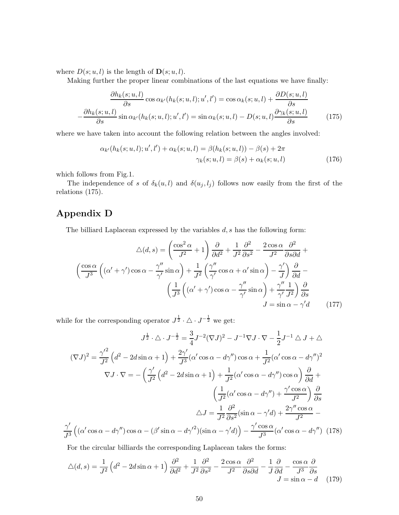where  $D(s; u, l)$  is the length of  $\mathbf{D}(s; u, l)$ .

Making further the proper linear combinations of the last equations we have finally:

$$
\frac{\partial h_k(s; u, l)}{\partial s} \cos \alpha_{k'}(h_k(s; u, l); u', l') = \cos \alpha_k(s; u, l) + \frac{\partial D(s; u, l)}{\partial s} \n- \frac{\partial h_k(s; u, l)}{\partial s} \sin \alpha_{k'}(h_k(s; u, l); u', l') = \sin \alpha_k(s; u, l) - D(s; u, l) \frac{\partial \gamma_k(s; u, l)}{\partial s}
$$
\n(175)

where we have taken into account the following relation between the angles involved:

$$
\alpha_{k'}(h_k(s; u, l); u', l') + \alpha_k(s; u, l) = \beta(h_k(s; u, l)) - \beta(s) + 2\pi
$$
  

$$
\gamma_k(s; u, l) = \beta(s) + \alpha_k(s; u, l)
$$
 (176)

which follows from Fig.1.

The independence of s of  $\delta_k(u, l)$  and  $\delta(u_j, l_j)$  follows now easily from the first of the relations (175).

# Appendix D

The billiard Laplacean expressed by the variables  $d, s$  has the following form:

$$
\triangle(d,s) = \left(\frac{\cos^2\alpha}{J^2} + 1\right)\frac{\partial}{\partial d^2} + \frac{1}{J^2}\frac{\partial^2}{\partial s^2} - \frac{2\cos\alpha}{J^2}\frac{\partial^2}{\partial s\partial d} + \left(\frac{\cos\alpha}{J^3}\left((\alpha' + \gamma')\cos\alpha - \frac{\gamma''}{\gamma'}\sin\alpha\right) + \frac{1}{J^2}\left(\frac{\gamma''}{\gamma'}\cos\alpha + \alpha'\sin\alpha\right) - \frac{\gamma'}{J}\right)\frac{\partial}{\partial d} - \left(\frac{1}{J^3}\left((\alpha' + \gamma')\cos\alpha - \frac{\gamma''}{\gamma'}\sin\alpha\right) + \frac{\gamma''}{\gamma'}\frac{1}{J^2}\right)\frac{\partial}{\partial s} - J = \sin\alpha - \gamma'd\qquad(177)
$$

while for the corresponding operator  $J^{\frac{1}{2}} \cdot \triangle \cdot J^{-\frac{1}{2}}$  we get:

$$
J^{\frac{1}{2}} \cdot \triangle \cdot J^{-\frac{1}{2}} = \frac{3}{4} J^{-2} (\nabla J)^2 - J^{-1} \nabla J \cdot \nabla - \frac{1}{2} J^{-1} \triangle J + \triangle
$$

$$
(\nabla J)^2 = \frac{\gamma'^2}{J^2} \left( d^2 - 2d \sin \alpha + 1 \right) + \frac{2\gamma'}{J^3} (\alpha' \cos \alpha - d\gamma'') \cos \alpha + \frac{1}{J^2} (\alpha' \cos \alpha - d\gamma'')^2
$$

$$
\nabla J \cdot \nabla = -\left( \frac{\gamma'}{J^2} \left( d^2 - 2d \sin \alpha + 1 \right) + \frac{1}{J^2} (\alpha' \cos \alpha - d\gamma'') \cos \alpha \right) \frac{\partial}{\partial d} + \left( \frac{1}{J^2} (\alpha' \cos \alpha - d\gamma'') + \frac{\gamma' \cos \alpha}{J^2} \right) \frac{\partial}{\partial s}
$$

$$
\triangle J = \frac{1}{J^2} \frac{\partial^2}{\partial s^2} (\sin \alpha - \gamma' d) + \frac{2\gamma'' \cos \alpha}{J^2} - \frac{\gamma'}{J^3} \left( (\alpha' \cos \alpha - d\gamma'') \cos \alpha - (\beta' \sin \alpha - d\gamma'^2) (\sin \alpha - \gamma' d) \right) - \frac{\gamma' \cos \alpha}{J^3} (\alpha' \cos \alpha - d\gamma'') \tag{178}
$$

For the circular billiards the corresponding Laplacean takes the forms:

$$
\triangle(d,s) = \frac{1}{J^2} \left( d^2 - 2d\sin\alpha + 1 \right) \frac{\partial^2}{\partial d^2} + \frac{1}{J^2} \frac{\partial^2}{\partial s^2} - \frac{2\cos\alpha}{J^2} \frac{\partial^2}{\partial s \partial d} - \frac{1}{J} \frac{\partial}{\partial d} - \frac{\cos\alpha}{J^3} \frac{\partial}{\partial s} \nJ = \sin\alpha - d \quad (179)
$$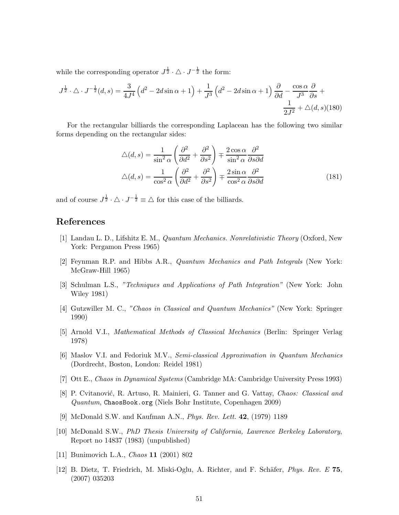while the corresponding operator  $J^{\frac{1}{2}} \cdot \triangle \cdot J^{-\frac{1}{2}}$  the form:

$$
J^{\frac{1}{2}} \cdot \triangle \cdot J^{-\frac{1}{2}}(d,s) = \frac{3}{4J^4} \left(d^2 - 2d\sin\alpha + 1\right) + \frac{1}{J^3} \left(d^2 - 2d\sin\alpha + 1\right) \frac{\partial}{\partial d} - \frac{\cos\alpha}{J^3} \frac{\partial}{\partial s} + \frac{1}{2J^2} + \triangle(d,s)(180)
$$

For the rectangular billiards the corresponding Laplacean has the following two similar forms depending on the rectangular sides:

$$
\Delta(d,s) = \frac{1}{\sin^2 \alpha} \left( \frac{\partial^2}{\partial d^2} + \frac{\partial^2}{\partial s^2} \right) \mp \frac{2 \cos \alpha}{\sin^2 \alpha} \frac{\partial^2}{\partial s \partial d}
$$

$$
\Delta(d,s) = \frac{1}{\cos^2 \alpha} \left( \frac{\partial^2}{\partial d^2} + \frac{\partial^2}{\partial s^2} \right) \mp \frac{2 \sin \alpha}{\cos^2 \alpha} \frac{\partial^2}{\partial s \partial d}
$$
(181)

and of course  $J^{\frac{1}{2}} \cdot \triangle \cdot J^{-\frac{1}{2}} \equiv \triangle$  for this case of the billiards.

### References

- [1] Landau L. D., Lifshitz E. M., *Quantum Mechanics. Nonrelativistic Theory* (Oxford, New York: Pergamon Press 1965)
- [2] Feynman R.P. and Hibbs A.R., *Quantum Mechanics and Path Integrals* (New York: McGraw-Hill 1965)
- [3] Schulman L.S., *"Techniques and Applications of Path Integration"* (New York: John Wiley 1981)
- [4] Gutzwiller M. C., *"Chaos in Classical and Quantum Mechanics"* (New York: Springer 1990)
- [5] Arnold V.I., *Mathematical Methods of Classical Mechanics* (Berlin: Springer Verlag 1978)
- [6] Maslov V.I. and Fedoriuk M.V., *Semi-classical Approximation in Quantum Mechanics* (Dordrecht, Boston, London: Reidel 1981)
- [7] Ott E., *Chaos in Dynamical Systems* (Cambridge MA: Cambridge University Press 1993)
- [8] P. Cvitanović, R. Artuso, R. Mainieri, G. Tanner and G. Vattay, *Chaos: Classical and Quantum*, ChaosBook.org (Niels Bohr Institute, Copenhagen 2009)
- [9] McDonald S.W. and Kaufman A.N., *Phys. Rev. Lett.* 42, (1979) 1189
- [10] McDonald S.W., *PhD Thesis University of California, Lawrence Berkeley Laboratory*, Report no 14837 (1983) (unpublished)
- [11] Bunimovich L.A., *Chaos* 11 (2001) 802
- [12] B. Dietz, T. Friedrich, M. Miski-Oglu, A. Richter, and F. Sch¨afer, *Phys. Rev. E* 75, (2007) 035203